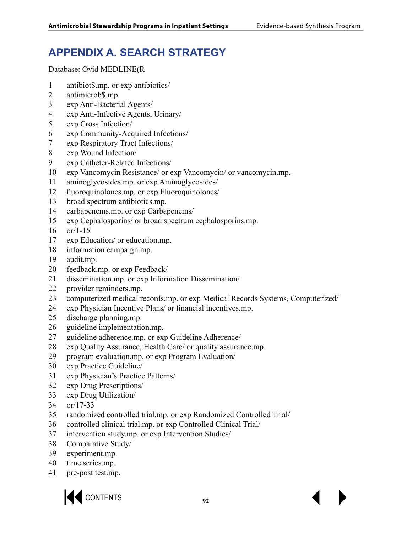# **APPENDIX A. SEARCH STRATEGY**

Database: Ovid MEDLINE(R

- antibiot\$.mp. or exp antibiotics/
- antimicrob\$.mp.
- exp Anti-Bacterial Agents/
- exp Anti-Infective Agents, Urinary/
- exp Cross Infection/
- exp Community-Acquired Infections/
- exp Respiratory Tract Infections/
- exp Wound Infection/
- exp Catheter-Related Infections/
- exp Vancomycin Resistance/ or exp Vancomycin/ or vancomycin.mp.
- aminoglycosides.mp. or exp Aminoglycosides/
- fluoroquinolones.mp. or exp Fluoroquinolones/
- broad spectrum antibiotics.mp.
- carbapenems.mp. or exp Carbapenems/
- exp Cephalosporins/ or broad spectrum cephalosporins.mp.
- or/1-15
- exp Education/ or education.mp.
- information campaign.mp.
- audit.mp.
- feedback.mp. or exp Feedback/
- dissemination.mp. or exp Information Dissemination/
- provider reminders.mp.
- computerized medical records.mp. or exp Medical Records Systems, Computerized/
- exp Physician Incentive Plans/ or financial incentives.mp.
- discharge planning.mp.
- guideline implementation.mp.
- guideline adherence.mp. or exp Guideline Adherence/
- exp Quality Assurance, Health Care/ or quality assurance.mp.
- program evaluation.mp. or exp Program Evaluation/
- exp Practice Guideline/
- exp Physician's Practice Patterns/
- exp Drug Prescriptions/
- exp Drug Utilization/
- or/17-33
- randomized controlled trial.mp. or exp Randomized Controlled Trial/
- controlled clinical trial.mp. or exp Controlled Clinical Trial/
- intervention study.mp. or exp Intervention Studies/
- Comparative Study/
- experiment.mp.
- time series.mp.
- pre-post test.mp.

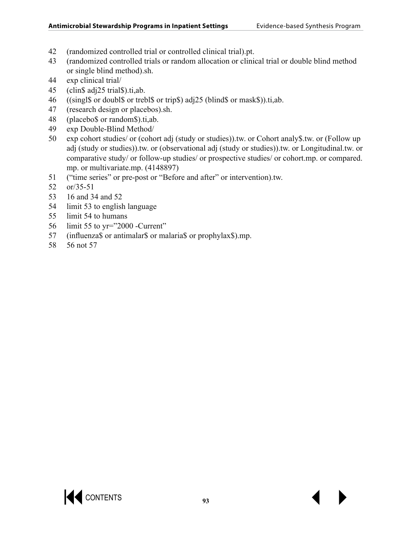- (randomized controlled trial or controlled clinical trial).pt.
- (randomized controlled trials or random allocation or clinical trial or double blind method or single blind method).sh.
- exp clinical trial/
- (clin\$ adj25 trial\$).ti,ab.
- ((singl\$ or doubl\$ or trebl\$ or trip\$) adj25 (blind\$ or mask\$)).ti,ab.
- (research design or placebos).sh.
- (placebo\$ or random\$).ti,ab.
- exp Double-Blind Method/
- exp cohort studies/ or (cohort adj (study or studies)).tw. or Cohort analy\$.tw. or (Follow up adj (study or studies)).tw. or (observational adj (study or studies)).tw. or Longitudinal.tw. or comparative study/ or follow-up studies/ or prospective studies/ or cohort.mp. or compared. mp. or multivariate.mp. (4148897)
- ("time series" or pre-post or "Before and after" or intervention).tw.
- or/35-51
- 16 and 34 and 52
- limit 53 to english language
- limit 54 to humans
- limit 55 to yr="2000 -Current"
- 57 (influenza\$ or antimalar\$ or malaria\$ or prophylax\$).mp.
- 56 not 57

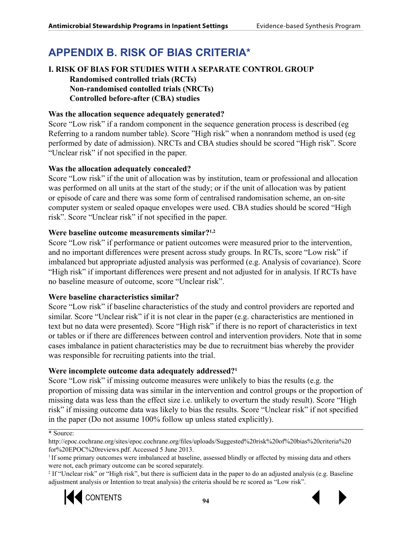# **APPENDIX B. RISK OF BIAS CRITERIA\***

# **I. RISK OF BIAS FOR STUDIES WITH A SEPARATE CONTROL GROUP Randomised controlled trials (RCTs) Non-randomised contolled trials (NRCTs) Controlled before-after (CBA) studies**

# **Was the allocation sequence adequately generated?**

Score "Low risk" if a random component in the sequence generation process is described (eg Referring to a random number table). Score "High risk" when a nonrandom method is used (eg performed by date of admission). NRCTs and CBA studies should be scored "High risk". Score "Unclear risk" if not specified in the paper.

# **Was the allocation adequately concealed?**

Score "Low risk" if the unit of allocation was by institution, team or professional and allocation was performed on all units at the start of the study; or if the unit of allocation was by patient or episode of care and there was some form of centralised randomisation scheme, an on-site computer system or sealed opaque envelopes were used. CBA studies should be scored "High risk". Score "Unclear risk" if not specified in the paper.

# **Were baseline outcome measurements similar?1,2**

Score "Low risk" if performance or patient outcomes were measured prior to the intervention, and no important differences were present across study groups. In RCTs, score "Low risk" if imbalanced but appropriate adjusted analysis was performed (e.g. Analysis of covariance). Score "High risk" if important differences were present and not adjusted for in analysis. If RCTs have no baseline measure of outcome, score "Unclear risk".

# **Were baseline characteristics similar?**

Score "Low risk" if baseline characteristics of the study and control providers are reported and similar. Score "Unclear risk" if it is not clear in the paper (e.g. characteristics are mentioned in text but no data were presented). Score "High risk" if there is no report of characteristics in text or tables or if there are differences between control and intervention providers. Note that in some cases imbalance in patient characteristics may be due to recruitment bias whereby the provider was responsible for recruiting patients into the trial.

# **Were incomplete outcome data adequately addressed?1**

Score "Low risk" if missing outcome measures were unlikely to bias the results (e.g. the proportion of missing data was similar in the intervention and control groups or the proportion of missing data was less than the effect size i.e. unlikely to overturn the study result). Score "High risk" if missing outcome data was likely to bias the results. Score "Unclear risk" if not specified in the paper (Do not assume 100% follow up unless stated explicitly).

# \* Source:

<sup>2</sup> If "Unclear risk" or "High risk", but there is sufficient data in the paper to do an adjusted analysis (e.g. Baseline adjustment analysis or Intention to treat analysis) the criteria should be re scored as "Low risk".





http://epoc.cochrane.org/sites/epoc.cochrane.org/files/uploads/Suggested%20risk%20of%20bias%20criteria%20 for%20EPOC%20reviews.pdf. Accessed 5 June 2013.

<sup>&</sup>lt;sup>1</sup> If some primary outcomes were imbalanced at baseline, assessed blindly or affected by missing data and others were not, each primary outcome can be scored separately.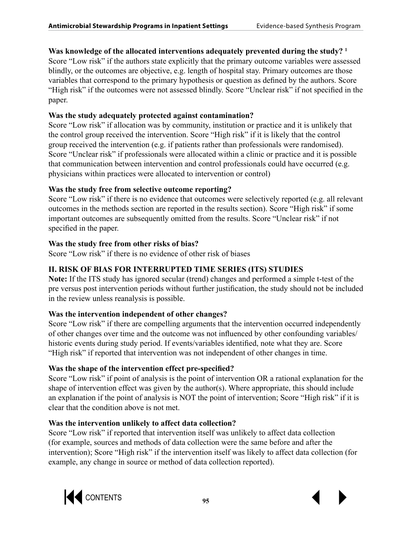# **Was knowledge of the allocated interventions adequately prevented during the study? 1**

Score "Low risk" if the authors state explicitly that the primary outcome variables were assessed blindly, or the outcomes are objective, e.g. length of hospital stay. Primary outcomes are those variables that correspond to the primary hypothesis or question as defined by the authors. Score "High risk" if the outcomes were not assessed blindly. Score "Unclear risk" if not specified in the paper.

# **Was the study adequately protected against contamination?**

Score "Low risk" if allocation was by community, institution or practice and it is unlikely that the control group received the intervention. Score "High risk" if it is likely that the control group received the intervention (e.g. if patients rather than professionals were randomised). Score "Unclear risk" if professionals were allocated within a clinic or practice and it is possible that communication between intervention and control professionals could have occurred (e.g. physicians within practices were allocated to intervention or control)

# **Was the study free from selective outcome reporting?**

Score "Low risk" if there is no evidence that outcomes were selectively reported (e.g. all relevant outcomes in the methods section are reported in the results section). Score "High risk" if some important outcomes are subsequently omitted from the results. Score "Unclear risk" if not specified in the paper.

# **Was the study free from other risks of bias?**

Score "Low risk" if there is no evidence of other risk of biases

# **II. RISK OF BIAS FOR INTERRUPTED TIME SERIES (ITS) STUDIES**

**Note:** If the ITS study has ignored secular (trend) changes and performed a simple t-test of the pre versus post intervention periods without further justification, the study should not be included in the review unless reanalysis is possible.

# **Was the intervention independent of other changes?**

Score "Low risk" if there are compelling arguments that the intervention occurred independently of other changes over time and the outcome was not influenced by other confounding variables/ historic events during study period. If events/variables identified, note what they are. Score "High risk" if reported that intervention was not independent of other changes in time.

# **Was the shape of the intervention effect pre-specified?**

Score "Low risk" if point of analysis is the point of intervention OR a rational explanation for the shape of intervention effect was given by the author(s). Where appropriate, this should include an explanation if the point of analysis is NOT the point of intervention; Score "High risk" if it is clear that the condition above is not met.

# **Was the intervention unlikely to affect data collection?**

Score "Low risk" if reported that intervention itself was unlikely to affect data collection (for example, sources and methods of data collection were the same before and after the intervention); Score "High risk" if the intervention itself was likely to affect data collection (for example, any change in source or method of data collection reported).

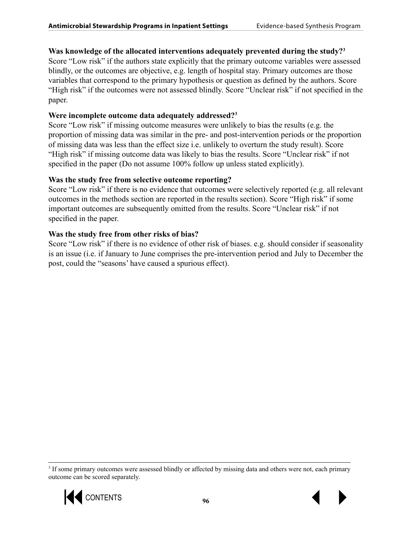# **Was knowledge of the allocated interventions adequately prevented during the study?3**

Score "Low risk" if the authors state explicitly that the primary outcome variables were assessed blindly, or the outcomes are objective, e.g. length of hospital stay. Primary outcomes are those variables that correspond to the primary hypothesis or question as defined by the authors. Score "High risk" if the outcomes were not assessed blindly. Score "Unclear risk" if not specified in the paper.

# **Were incomplete outcome data adequately addressed?3**

Score "Low risk" if missing outcome measures were unlikely to bias the results (e.g. the proportion of missing data was similar in the pre- and post-intervention periods or the proportion of missing data was less than the effect size i.e. unlikely to overturn the study result). Score "High risk" if missing outcome data was likely to bias the results. Score "Unclear risk" if not specified in the paper (Do not assume 100% follow up unless stated explicitly).

# **Was the study free from selective outcome reporting?**

Score "Low risk" if there is no evidence that outcomes were selectively reported (e.g. all relevant outcomes in the methods section are reported in the results section). Score "High risk" if some important outcomes are subsequently omitted from the results. Score "Unclear risk" if not specified in the paper.

# **Was the study free from other risks of bias?**

Score "Low risk" if there is no evidence of other risk of biases. e.g. should consider if seasonality is an issue (i.e. if January to June comprises the pre-intervention period and July to December the post, could the "seasons' have caused a spurious effect).

<sup>&</sup>lt;sup>3</sup> If some primary outcomes were assessed blindly or affected by missing data and others were not, each primary outcome can be scored separately.



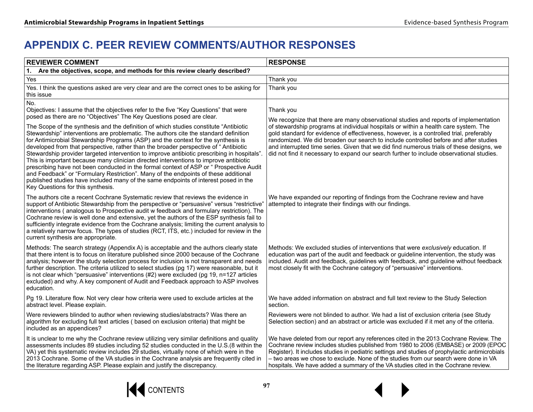# **APPENDIX C. PEER REVIEW COMMENTS/AUTHOR RESPONSES**

| <b>REVIEWER COMMENT</b><br><b>RESPONSE</b>                                                                                                                                                                                                                                                                                                                                                                                                                                                                                                                                                                                                                                                                                                                                                                                                                      |                                                                                                                                                                                                                                                                                                                                                                                                                                                                |  |  |
|-----------------------------------------------------------------------------------------------------------------------------------------------------------------------------------------------------------------------------------------------------------------------------------------------------------------------------------------------------------------------------------------------------------------------------------------------------------------------------------------------------------------------------------------------------------------------------------------------------------------------------------------------------------------------------------------------------------------------------------------------------------------------------------------------------------------------------------------------------------------|----------------------------------------------------------------------------------------------------------------------------------------------------------------------------------------------------------------------------------------------------------------------------------------------------------------------------------------------------------------------------------------------------------------------------------------------------------------|--|--|
| 1.<br>Are the objectives, scope, and methods for this review clearly described?                                                                                                                                                                                                                                                                                                                                                                                                                                                                                                                                                                                                                                                                                                                                                                                 |                                                                                                                                                                                                                                                                                                                                                                                                                                                                |  |  |
| Yes                                                                                                                                                                                                                                                                                                                                                                                                                                                                                                                                                                                                                                                                                                                                                                                                                                                             | Thank you                                                                                                                                                                                                                                                                                                                                                                                                                                                      |  |  |
| Yes. I think the questions asked are very clear and are the correct ones to be asking for<br>this issue                                                                                                                                                                                                                                                                                                                                                                                                                                                                                                                                                                                                                                                                                                                                                         | Thank you                                                                                                                                                                                                                                                                                                                                                                                                                                                      |  |  |
| No.<br>Objectives: I assume that the objectives refer to the five "Key Questions" that were<br>posed as there are no "Objectives" The Key Questions posed are clear.                                                                                                                                                                                                                                                                                                                                                                                                                                                                                                                                                                                                                                                                                            | Thank you<br>We recognize that there are many observational studies and reports of implementation                                                                                                                                                                                                                                                                                                                                                              |  |  |
| The Scope of the synthesis and the definition of which studies constitute "Antibiotic<br>Stewardship" interventions are problematic. The authors cite the standard definition<br>for Antimicrobial Stewardship Programs (ASP) and the context for the synthesis is<br>developed from that perspective, rather than the broader perspective of "Antibiotic<br>Stewardship provider targeted intervention to improve antibiotic prescribing in hospitals".<br>This is important because many clinician directed interventions to improve antibiotic<br>prescribing have not been conducted in the formal context of ASP or " Prospective Audit<br>and Feedback" or "Formulary Restriction". Many of the endpoints of these additional<br>published studies have included many of the same endpoints of interest posed in the<br>Key Questions for this synthesis. | of stewardship programs at individual hospitals or within a health care system. The<br>gold standard for evidence of effectiveness, however, is a controlled trial, preferably<br>randomized. We did broaden our search to include controlled before and after studies<br>and interrupted time series. Given that we did find numerous trials of these designs, we<br>did not find it necessary to expand our search further to include observational studies. |  |  |
| The authors cite a recent Cochrane Systematic review that reviews the evidence in<br>support of Antibiotic Stewardship from the perspective or "persuasive" versus "restrictive"<br>interventions (analogous to Prospective audit w feedback and formulary restriction). The<br>Cochrane review is well done and extensive, yet the authors of the ESP synthesis fail to<br>sufficiently integrate evidence from the Cochrane analysis; limiting the current analysis to<br>a relatively narrow focus. The types of studies (RCT, ITS, etc.) included for review in the<br>current synthesis are appropriate.                                                                                                                                                                                                                                                   | We have expanded our reporting of findings from the Cochrane review and have<br>attempted to integrate their findings with our findings.                                                                                                                                                                                                                                                                                                                       |  |  |
| Methods: The search strategy (Appendix A) is acceptable and the authors clearly state<br>that there intent is to focus on literature published since 2000 because of the Cochrane<br>analysis; however the study selection process for inclusion is not transparent and needs<br>further description. The criteria utilized to select studies (pg 17) were reasonable, but it<br>is not clear which "persuasive" interventions $(\#2)$ were excluded (pg 19, n=127 articles<br>excluded) and why. A key component of Audit and Feedback approach to ASP involves<br>education.                                                                                                                                                                                                                                                                                  | Methods: We excluded studies of interventions that were exclusively education. If<br>education was part of the audit and feedback or guideline intervention, the study was<br>included. Audit and feedback, guidelines with feedback, and guideline without feedback<br>most closely fit with the Cochrane category of "persuasive" interventions.                                                                                                             |  |  |
| Pg 19. Literature flow. Not very clear how criteria were used to exclude articles at the<br>abstract level. Please explain.                                                                                                                                                                                                                                                                                                                                                                                                                                                                                                                                                                                                                                                                                                                                     | We have added information on abstract and full text review to the Study Selection<br>section.                                                                                                                                                                                                                                                                                                                                                                  |  |  |
| Were reviewers blinded to author when reviewing studies/abstracts? Was there an<br>algorithm for excluding full text articles (based on exclusion criteria) that might be<br>included as an appendices?                                                                                                                                                                                                                                                                                                                                                                                                                                                                                                                                                                                                                                                         | Reviewers were not blinded to author. We had a list of exclusion criteria (see Study<br>Selection section) and an abstract or article was excluded if it met any of the criteria.                                                                                                                                                                                                                                                                              |  |  |
| It is unclear to me why the Cochrane review utilizing very similar definitions and quality<br>assessments includes 89 studies including 52 studies conducted in the U.S.(8 within the<br>VA) yet this systematic review includes 29 studies, virtually none of which were in the<br>2013 Cochrane. Some of the VA studies in the Cochrane analysis are frequently cited in<br>the literature regarding ASP. Please explain and justify the discrepancy.                                                                                                                                                                                                                                                                                                                                                                                                         | We have deleted from our report any references cited in the 2013 Cochrane Review. The<br>Cochrane review includes studies published from 1980 to 2006 (EMBASE) or 2009 (EPOC<br>Register). It includes studies in pediatric settings and studies of prophylactic antimicrobials<br>- two areas we chose to exclude. None of the studies from our search were done in VA<br>hospitals. We have added a summary of the VA studies cited in the Cochrane review.  |  |  |



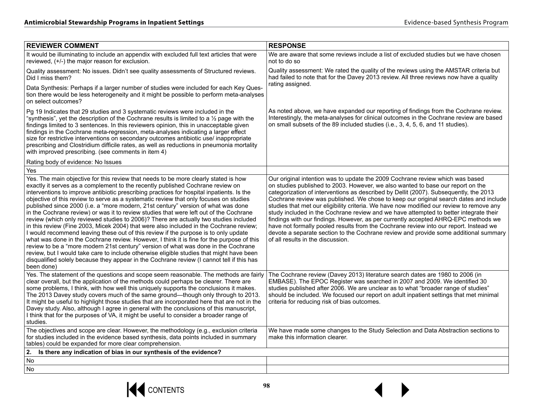| <b>REVIEWER COMMENT</b>                                                                                                                                                                                                                                                                                                                                                                                                                                                                                                                                                                                                                                                                                                                                                                                                                                                                                                                                                                                                                                                                                                                                                                                        | <b>RESPONSE</b>                                                                                                                                                                                                                                                                                                                                                                                                                                                                                                                                                                                                                                                                                                                                                                                                                                     |  |  |
|----------------------------------------------------------------------------------------------------------------------------------------------------------------------------------------------------------------------------------------------------------------------------------------------------------------------------------------------------------------------------------------------------------------------------------------------------------------------------------------------------------------------------------------------------------------------------------------------------------------------------------------------------------------------------------------------------------------------------------------------------------------------------------------------------------------------------------------------------------------------------------------------------------------------------------------------------------------------------------------------------------------------------------------------------------------------------------------------------------------------------------------------------------------------------------------------------------------|-----------------------------------------------------------------------------------------------------------------------------------------------------------------------------------------------------------------------------------------------------------------------------------------------------------------------------------------------------------------------------------------------------------------------------------------------------------------------------------------------------------------------------------------------------------------------------------------------------------------------------------------------------------------------------------------------------------------------------------------------------------------------------------------------------------------------------------------------------|--|--|
| It would be illuminating to include an appendix with excluded full text articles that were<br>reviewed, (+/-) the major reason for exclusion.                                                                                                                                                                                                                                                                                                                                                                                                                                                                                                                                                                                                                                                                                                                                                                                                                                                                                                                                                                                                                                                                  | We are aware that some reviews include a list of excluded studies but we have chosen<br>not to do so                                                                                                                                                                                                                                                                                                                                                                                                                                                                                                                                                                                                                                                                                                                                                |  |  |
| Quality assessment: No issues. Didn't see quality assessments of Structured reviews.<br>Did I miss them?                                                                                                                                                                                                                                                                                                                                                                                                                                                                                                                                                                                                                                                                                                                                                                                                                                                                                                                                                                                                                                                                                                       | Quality assessment: We rated the quality of the reviews using the AMSTAR criteria but<br>had failed to note that for the Davey 2013 review. All three reviews now have a quality                                                                                                                                                                                                                                                                                                                                                                                                                                                                                                                                                                                                                                                                    |  |  |
| Data Synthesis: Perhaps if a larger number of studies were included for each Key Ques-<br>tion there would be less heterogeneity and it might be possible to perform meta-analyses<br>on select outcomes?                                                                                                                                                                                                                                                                                                                                                                                                                                                                                                                                                                                                                                                                                                                                                                                                                                                                                                                                                                                                      | rating assigned.                                                                                                                                                                                                                                                                                                                                                                                                                                                                                                                                                                                                                                                                                                                                                                                                                                    |  |  |
| Pg 19 Indicates that 29 studies and 3 systematic reviews were included in the<br>"synthesis", yet the description of the Cochrane results is limited to a $\frac{1}{2}$ page with the<br>findings limited to 3 sentences. In this reviewers opinion, this in unacceptable given<br>findings in the Cochrane meta-regression, meta-analyses indicating a larger effect<br>size for restrictive interventions on secondary outcomes antibiotic use/ inappropriate<br>prescribing and Clostridium difficile rates, as well as reductions in pneumonia mortality<br>with improved prescribing. (see comments in item 4)                                                                                                                                                                                                                                                                                                                                                                                                                                                                                                                                                                                            | As noted above, we have expanded our reporting of findings from the Cochrane review.<br>Interestingly, the meta-analyses for clinical outcomes in the Cochrane review are based<br>on small subsets of the 89 included studies (i.e., 3, 4, 5, 6, and 11 studies).                                                                                                                                                                                                                                                                                                                                                                                                                                                                                                                                                                                  |  |  |
| Rating body of evidence: No Issues                                                                                                                                                                                                                                                                                                                                                                                                                                                                                                                                                                                                                                                                                                                                                                                                                                                                                                                                                                                                                                                                                                                                                                             |                                                                                                                                                                                                                                                                                                                                                                                                                                                                                                                                                                                                                                                                                                                                                                                                                                                     |  |  |
| Yes                                                                                                                                                                                                                                                                                                                                                                                                                                                                                                                                                                                                                                                                                                                                                                                                                                                                                                                                                                                                                                                                                                                                                                                                            |                                                                                                                                                                                                                                                                                                                                                                                                                                                                                                                                                                                                                                                                                                                                                                                                                                                     |  |  |
| Yes. The main objective for this review that needs to be more clearly stated is how<br>exactly it serves as a complement to the recently published Cochrane review on<br>interventions to improve antibiotic prescribing practices for hospital inpatients. Is the<br>objective of this review to serve as a systematic review that only focuses on studies<br>published since 2000 (i.e. a "more modern, 21st century" version of what was done<br>in the Cochrane review) or was it to review studies that were left out of the Cochrane<br>review (which only reviewed studies to 2006)? There are actually two studies included<br>in this review (Fine 2003, Micek 2004) that were also included in the Cochrane review;<br>I would recommend leaving these out of this review if the purpose is to only update<br>what was done in the Cochrane review. However, I think it is fine for the purpose of this<br>review to be a "more modern 21st century" version of what was done in the Cochrane<br>review, but I would take care to include otherwise eligible studies that might have been<br>disqualified solely because they appear in the Cochrane review (I cannot tell if this has<br>been done) | Our original intention was to update the 2009 Cochrane review which was based<br>on studies published to 2003. However, we also wanted to base our report on the<br>categorization of interventions as described by Dellit (2007). Subsequently, the 2013<br>Cochrane review was published. We chose to keep our original search dates and include<br>studies that met our eligibility criteria. We have now modified our review to remove any<br>study included in the Cochrane review and we have attempted to better integrate their<br>findings with our findings. However, as per currently accepted AHRQ-EPC methods we<br>have not formally pooled results from the Cochrane review into our report. Instead we<br>devote a separate section to the Cochrane review and provide some additional summary<br>of all results in the discussion. |  |  |
| Yes. The statement of the questions and scope seem reasonable. The methods are fairly<br>clear overall, but the application of the methods could perhaps be clearer. There are<br>some problems, I think, with how well this uniquely supports the conclusions it makes.<br>The 2013 Davey study covers much of the same ground—though only through to 2013.<br>It might be useful to highlight those studies that are incorporated here that are not in the<br>Davey study. Also, although I agree in general with the conclusions of this manuscript,<br>I think that for the purposes of VA, it might be useful to consider a broader range of<br>studies.                                                                                                                                                                                                                                                                                                                                                                                                                                                                                                                                                  | The Cochrane review (Davey 2013) literature search dates are 1980 to 2006 (in<br>EMBASE). The EPOC Register was searched in 2007 and 2009. We identified 30<br>studies published after 2006. We are unclear as to what "broader range of studies"<br>should be included. We focused our report on adult inpatient settings that met minimal<br>criteria for reducing risk of bias outcomes.                                                                                                                                                                                                                                                                                                                                                                                                                                                         |  |  |
| The objectives and scope are clear. However, the methodology (e.g., exclusion criteria<br>for studies included in the evidence based synthesis, data points included in summary<br>tables) could be expanded for more clear comprehension.                                                                                                                                                                                                                                                                                                                                                                                                                                                                                                                                                                                                                                                                                                                                                                                                                                                                                                                                                                     | We have made some changes to the Study Selection and Data Abstraction sections to<br>make this information clearer.                                                                                                                                                                                                                                                                                                                                                                                                                                                                                                                                                                                                                                                                                                                                 |  |  |
| 2.<br>Is there any indication of bias in our synthesis of the evidence?                                                                                                                                                                                                                                                                                                                                                                                                                                                                                                                                                                                                                                                                                                                                                                                                                                                                                                                                                                                                                                                                                                                                        |                                                                                                                                                                                                                                                                                                                                                                                                                                                                                                                                                                                                                                                                                                                                                                                                                                                     |  |  |
| <b>No</b>                                                                                                                                                                                                                                                                                                                                                                                                                                                                                                                                                                                                                                                                                                                                                                                                                                                                                                                                                                                                                                                                                                                                                                                                      |                                                                                                                                                                                                                                                                                                                                                                                                                                                                                                                                                                                                                                                                                                                                                                                                                                                     |  |  |
| <b>No</b>                                                                                                                                                                                                                                                                                                                                                                                                                                                                                                                                                                                                                                                                                                                                                                                                                                                                                                                                                                                                                                                                                                                                                                                                      |                                                                                                                                                                                                                                                                                                                                                                                                                                                                                                                                                                                                                                                                                                                                                                                                                                                     |  |  |



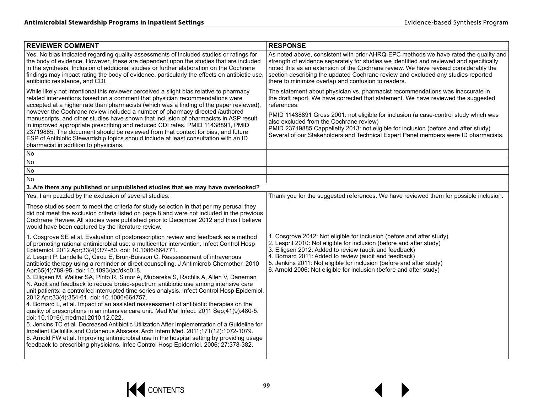| <b>REVIEWER COMMENT</b>                                                                                                                                                                                                                                                                                                                                                                                                                                                                                                                                                                                                                                                                                                                                                                                                                                                                                                                                                                                                                                                                                                                                                                                                                                                                                                                                                                                      | <b>RESPONSE</b>                                                                                                                                                                                                                                                                                                                                                                                                                                                                                      |
|--------------------------------------------------------------------------------------------------------------------------------------------------------------------------------------------------------------------------------------------------------------------------------------------------------------------------------------------------------------------------------------------------------------------------------------------------------------------------------------------------------------------------------------------------------------------------------------------------------------------------------------------------------------------------------------------------------------------------------------------------------------------------------------------------------------------------------------------------------------------------------------------------------------------------------------------------------------------------------------------------------------------------------------------------------------------------------------------------------------------------------------------------------------------------------------------------------------------------------------------------------------------------------------------------------------------------------------------------------------------------------------------------------------|------------------------------------------------------------------------------------------------------------------------------------------------------------------------------------------------------------------------------------------------------------------------------------------------------------------------------------------------------------------------------------------------------------------------------------------------------------------------------------------------------|
| Yes. No bias indicated regarding quality assessments of included studies or ratings for<br>the body of evidence. However, these are dependent upon the studies that are included<br>in the synthesis. Inclusion of additional studies or further elaboration on the Cochrane<br>findings may impact rating the body of evidence, particularly the effects on antibiotic use,<br>antibiotic resistance, and CDI.                                                                                                                                                                                                                                                                                                                                                                                                                                                                                                                                                                                                                                                                                                                                                                                                                                                                                                                                                                                              | As noted above, consistent with prior AHRQ-EPC methods we have rated the quality and<br>strength of evidence separately for studies we identified and reviewed and specifically<br>noted this as an extension of the Cochrane review. We have revised considerably the<br>section describing the updated Cochrane review and excluded any studies reported<br>there to minimize overlap and confusion to readers.                                                                                    |
| While likely not intentional this reviewer perceived a slight bias relative to pharmacy<br>related interventions based on a comment that physician recommendations were<br>accepted at a higher rate than pharmacists (which was a finding of the paper reviewed),<br>however the Cochrane review included a number of pharmacy directed /authored<br>manuscripts, and other studies have shown that inclusion of pharmacists in ASP result<br>in improved appropriate prescribing and reduced CDI rates. PMID 11438891, PMID<br>23719885. The document should be reviewed from that context for bias, and future<br>ESP of Antibiotic Stewardship topics should include at least consultation with an ID<br>pharmacist in addition to physicians.<br>No                                                                                                                                                                                                                                                                                                                                                                                                                                                                                                                                                                                                                                                     | The statement about physician vs. pharmacist recommendations was inaccurate in<br>the draft report. We have corrected that statement. We have reviewed the suggested<br>references:<br>PMID 11438891 Gross 2001: not eligible for inclusion (a case-control study which was<br>also excluded from the Cochrane review)<br>PMID 23719885 Cappelletty 2013: not eligible for inclusion (before and after study)<br>Several of our Stakeholders and Technical Expert Panel members were ID pharmacists. |
| <b>No</b>                                                                                                                                                                                                                                                                                                                                                                                                                                                                                                                                                                                                                                                                                                                                                                                                                                                                                                                                                                                                                                                                                                                                                                                                                                                                                                                                                                                                    |                                                                                                                                                                                                                                                                                                                                                                                                                                                                                                      |
| <b>No</b>                                                                                                                                                                                                                                                                                                                                                                                                                                                                                                                                                                                                                                                                                                                                                                                                                                                                                                                                                                                                                                                                                                                                                                                                                                                                                                                                                                                                    |                                                                                                                                                                                                                                                                                                                                                                                                                                                                                                      |
| No                                                                                                                                                                                                                                                                                                                                                                                                                                                                                                                                                                                                                                                                                                                                                                                                                                                                                                                                                                                                                                                                                                                                                                                                                                                                                                                                                                                                           |                                                                                                                                                                                                                                                                                                                                                                                                                                                                                                      |
| 3. Are there any published or unpublished studies that we may have overlooked?                                                                                                                                                                                                                                                                                                                                                                                                                                                                                                                                                                                                                                                                                                                                                                                                                                                                                                                                                                                                                                                                                                                                                                                                                                                                                                                               |                                                                                                                                                                                                                                                                                                                                                                                                                                                                                                      |
| Yes. I am puzzled by the exclusion of several studies:                                                                                                                                                                                                                                                                                                                                                                                                                                                                                                                                                                                                                                                                                                                                                                                                                                                                                                                                                                                                                                                                                                                                                                                                                                                                                                                                                       | Thank you for the suggested references. We have reviewed them for possible inclusion.                                                                                                                                                                                                                                                                                                                                                                                                                |
| These studies seem to meet the criteria for study selection in that per my perusal they<br>did not meet the exclusion criteria listed on page 8 and were not included in the previous<br>Cochrane Review. All studies were published prior to December 2012 and thus I believe<br>would have been captured by the literature review.                                                                                                                                                                                                                                                                                                                                                                                                                                                                                                                                                                                                                                                                                                                                                                                                                                                                                                                                                                                                                                                                         |                                                                                                                                                                                                                                                                                                                                                                                                                                                                                                      |
| 1. Cosgrove SE et al. Evaluation of postprescription review and feedback as a method<br>of promoting rational antimicrobial use: a multicenter intervention. Infect Control Hosp<br>Epidemiol. 2012 Apr;33(4):374-80. doi: 10.1086/664771.<br>2. Lesprit P, Landelle C, Girou E, Brun-Buisson C. Reassessment of intravenous<br>antibiotic therapy using a reminder or direct counselling. J Antimicrob Chemother. 2010<br>Apr;65(4):789-95. doi: 10.1093/jac/dkq018.<br>3. Elligsen M, Walker SA, Pinto R, Simor A, Mubareka S, Rachlis A, Allen V, Daneman<br>N. Audit and feedback to reduce broad-spectrum antibiotic use among intensive care<br>unit patients: a controlled interrupted time series analysis. Infect Control Hosp Epidemiol.<br>2012 Apr;33(4):354-61. doi: 10.1086/664757.<br>4. Bornard L, et al. Impact of an assisted reassessment of antibiotic therapies on the<br>quality of prescriptions in an intensive care unit. Med Mal Infect. 2011 Sep;41(9):480-5.<br>doi: 10.1016/j.medmal.2010.12.022.<br>5. Jenkins TC et al. Decreased Antibiotic Utilization After Implementation of a Guideline for<br>Inpatient Cellulitis and Cutaneous Abscess. Arch Intern Med. 2011;171(12):1072-1079.<br>6. Arnold FW et al. Improving antimicrobial use in the hospital setting by providing usage<br>feedback to prescribing physicians. Infec Control Hosp Epidemiol. 2006; 27:378-382. | 1. Cosgrove 2012: Not eligible for inclusion (before and after study)<br>2. Lesprit 2010: Not eligible for inclusion (before and after study)<br>3. Elligsen 2012: Added to review (audit and feedback)<br>4. Bornard 2011: Added to review (audit and feedback)<br>5. Jenkins 2011: Not eligible for inclusion (before and after study)<br>6. Arnold 2006: Not eligible for inclusion (before and after study)                                                                                      |

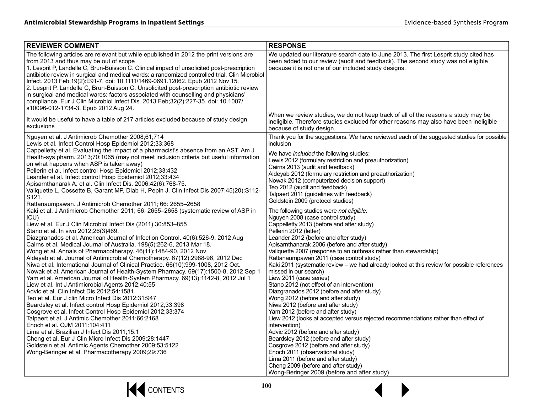| <b>REVIEWER COMMENT</b>                                                                                                                                                                                                                                                                                                                                                                                                                                                                                                                                                                                                                                                                                                                                                                                                                                                                                                                                                                                                                                                                                                                                                                                                                                                                                                                                                                                                                                                                                                                                                                                                                                                                                                                                                                                                                                                                                               | <b>RESPONSE</b>                                                                                                                                                                                                                                                                                                                                                                                                                                                                                                                                                                                                                                                                                                                                                                                                                                                                                                                                                                                                                                                                                                                                                                                                                                                                                                                                                |
|-----------------------------------------------------------------------------------------------------------------------------------------------------------------------------------------------------------------------------------------------------------------------------------------------------------------------------------------------------------------------------------------------------------------------------------------------------------------------------------------------------------------------------------------------------------------------------------------------------------------------------------------------------------------------------------------------------------------------------------------------------------------------------------------------------------------------------------------------------------------------------------------------------------------------------------------------------------------------------------------------------------------------------------------------------------------------------------------------------------------------------------------------------------------------------------------------------------------------------------------------------------------------------------------------------------------------------------------------------------------------------------------------------------------------------------------------------------------------------------------------------------------------------------------------------------------------------------------------------------------------------------------------------------------------------------------------------------------------------------------------------------------------------------------------------------------------------------------------------------------------------------------------------------------------|----------------------------------------------------------------------------------------------------------------------------------------------------------------------------------------------------------------------------------------------------------------------------------------------------------------------------------------------------------------------------------------------------------------------------------------------------------------------------------------------------------------------------------------------------------------------------------------------------------------------------------------------------------------------------------------------------------------------------------------------------------------------------------------------------------------------------------------------------------------------------------------------------------------------------------------------------------------------------------------------------------------------------------------------------------------------------------------------------------------------------------------------------------------------------------------------------------------------------------------------------------------------------------------------------------------------------------------------------------------|
| The following articles are relevant but while epublished in 2012 the print versions are<br>from 2013 and thus may be out of scope<br>1. Lesprit P, Landelle C, Brun-Buisson C. Clinical impact of unsolicited post-prescription<br>antibiotic review in surgical and medical wards: a randomized controlled trial. Clin Microbiol<br>Infect. 2013 Feb;19(2):E91-7. doi: 10.1111/1469-0691.12062. Epub 2012 Nov 15.<br>2. Lesprit P, Landelle C, Brun-Buisson C. Unsolicited post-prescription antibiotic review<br>in surgical and medical wards: factors associated with counselling and physicians'<br>compliance. Eur J Clin Microbiol Infect Dis. 2013 Feb;32(2):227-35. doi: 10.1007/<br>s10096-012-1734-3. Epub 2012 Aug 24.                                                                                                                                                                                                                                                                                                                                                                                                                                                                                                                                                                                                                                                                                                                                                                                                                                                                                                                                                                                                                                                                                                                                                                                    | We updated our literature search date to June 2013. The first Lesprit study cited has<br>been added to our review (audit and feedback). The second study was not eligible<br>because it is not one of our included study designs.                                                                                                                                                                                                                                                                                                                                                                                                                                                                                                                                                                                                                                                                                                                                                                                                                                                                                                                                                                                                                                                                                                                              |
| It would be useful to have a table of 217 articles excluded because of study design<br>exclusions                                                                                                                                                                                                                                                                                                                                                                                                                                                                                                                                                                                                                                                                                                                                                                                                                                                                                                                                                                                                                                                                                                                                                                                                                                                                                                                                                                                                                                                                                                                                                                                                                                                                                                                                                                                                                     | When we review studies, we do not keep track of all of the reasons a study may be<br>ineligible. Therefore studies excluded for other reasons may also have been ineligible<br>because of study design.                                                                                                                                                                                                                                                                                                                                                                                                                                                                                                                                                                                                                                                                                                                                                                                                                                                                                                                                                                                                                                                                                                                                                        |
| Nguyen et al. J Antimicrob Chemother 2008;61;714<br>Lewis et al. Infect Control Hosp Epidemiol 2012;33:368<br>Cappelletty et al. Evaluating the impact of a pharmacist's absence from an AST. Am J<br>Health-sys pharm. 2013;70:1065 (may not meet inclusion criteria but useful information<br>on what happens when ASP is taken away)<br>Pellerin et al. Infect control Hosp Epidemiol 2012;33:432<br>Leander et al. Infect control Hosp Epidemiol 2012;33:434<br>Apisarnthanarak A. et al. Clin Infect Dis. 2006;42(6):768-75.<br>Valiquette L, Cossette B, Garant MP, Diab H, Pepin J. Clin Infect Dis 2007;45(20):S112-<br>S121.<br>Rattanaumpawan. J Antimicrob Chemother 2011; 66: 2655-2658<br>Kaki et al. J Antimicrob Chemother 2011; 66: 2655–2658 (systematic review of ASP in<br>ICU)<br>Liew et al. Eur J Clin Microbiol Infect Dis (2011) 30:853-855<br>Stano et al. In vivo 2012;26(3)469.<br>Diazgranados et al. American Journal of Infection Control. 40(6):526-9, 2012 Aug<br>Cairns et al. Medical Journal of Australia. 198(5):262-6, 2013 Mar 18.<br>Wong et al. Annals of Pharmacotherapy. 46(11):1484-90, 2012 Nov<br>Aldeyab et al. Journal of Antimicrobial Chemotherapy. 67(12):2988-96, 2012 Dec<br>Niwa et al. International Journal of Clinical Practice. 66(10):999-1008, 2012 Oct.<br>Nowak et al. American Journal of Health-System Pharmacy. 69(17):1500-8, 2012 Sep 1<br>Yam et al. American Journal of Health-System Pharmacy. 69(13):1142-8, 2012 Jul 1<br>Liew et al. Int J Antimicrobial Agents 2012;40:55<br>Advic et al. Clin Infect Dis 2012;54:1581<br>Teo et al. Eur J clin Micro Infect Dis 2012;31:947<br>Beardsley et al. Infect control Hosp Epidemiol 2012;33:398<br>Cosgrove et al. Infect Control Hosp Epidemiol 2012;33:374<br>Talpaert et al. J Antimic Chemother 2011;66:2168<br>Enoch et al. QJM 2011:104:411<br>Lima et al. Brazilian J Infect Dis 2011;15:1 | Thank you for the suggestions. We have reviewed each of the suggested studies for possible<br>inclusion<br>We have included the following studies:<br>Lewis 2012 (formulary restriction and preauthorization)<br>Cairns 2013 (audit and feedback)<br>Aldeyab 2012 (formulary restriction and preauthorization)<br>Nowak 2012 (computerized decision support)<br>Teo 2012 (audit and feedback)<br>Talpaert 2011 (guidelines with feedback)<br>Goldstein 2009 (protocol studies)<br>The following studies were not eligible:<br>Nguyen 2008 (case control study)<br>Cappelletty 2013 (before and after study)<br>Pellerin 2012 (letter)<br>Leander 2012 (before and after study)<br>Apisarnthanarak 2006 (before and after study)<br>Valiquette 2007 (response to an outbreak rather than stewardship)<br>Rattanaumpawan 2011 (case control study)<br>Kaki 2011 (systematic review - we had already looked at this review for possible references<br>missed in our search)<br>Liew 2011 (case series)<br>Stano 2012 (not effect of an intervention)<br>Diazgranados 2012 (before and after study)<br>Wong 2012 (before and after study)<br>Niwa 2012 (before and after study)<br>Yam 2012 (before and after study)<br>Liew 2012 (looks at accepted versus rejected recommendations rather than effect of<br>intervention)<br>Advic 2012 (before and after study) |
| Cheng et al. Eur J Clin Micro Infect Dis 2009;28:1447<br>Goldstein et al. Antimic Agents Chemother 2009;53:5122<br>Wong-Beringer et al. Pharmacotherapy 2009;29:736                                                                                                                                                                                                                                                                                                                                                                                                                                                                                                                                                                                                                                                                                                                                                                                                                                                                                                                                                                                                                                                                                                                                                                                                                                                                                                                                                                                                                                                                                                                                                                                                                                                                                                                                                   | Beardsley 2012 (before and after study)<br>Cosgrove 2012 (before and after study)<br>Enoch 2011 (observational study)<br>Lima 2011 (before and after study)<br>Cheng 2009 (before and after study)<br>Wong-Beringer 2009 (before and after study)                                                                                                                                                                                                                                                                                                                                                                                                                                                                                                                                                                                                                                                                                                                                                                                                                                                                                                                                                                                                                                                                                                              |



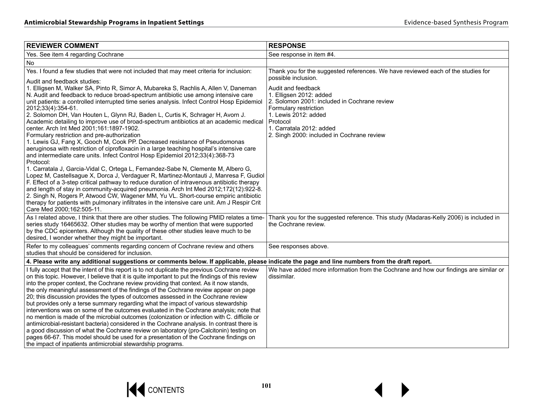| <b>REVIEWER COMMENT</b><br><b>RESPONSE</b>                                                                                                                                                                                                                                                                                                                                                                                                                                                                                                                                                                                                                                                                                                                                                                                                                                                                                                                                                                                                                                                                                                                                                                                                                                                                                                                                                                                                                                                                                                                        |                                                                                                                                                                                                                                                                                                                                                 |  |  |  |
|-------------------------------------------------------------------------------------------------------------------------------------------------------------------------------------------------------------------------------------------------------------------------------------------------------------------------------------------------------------------------------------------------------------------------------------------------------------------------------------------------------------------------------------------------------------------------------------------------------------------------------------------------------------------------------------------------------------------------------------------------------------------------------------------------------------------------------------------------------------------------------------------------------------------------------------------------------------------------------------------------------------------------------------------------------------------------------------------------------------------------------------------------------------------------------------------------------------------------------------------------------------------------------------------------------------------------------------------------------------------------------------------------------------------------------------------------------------------------------------------------------------------------------------------------------------------|-------------------------------------------------------------------------------------------------------------------------------------------------------------------------------------------------------------------------------------------------------------------------------------------------------------------------------------------------|--|--|--|
| Yes. See item 4 regarding Cochrane                                                                                                                                                                                                                                                                                                                                                                                                                                                                                                                                                                                                                                                                                                                                                                                                                                                                                                                                                                                                                                                                                                                                                                                                                                                                                                                                                                                                                                                                                                                                | See response in item #4.                                                                                                                                                                                                                                                                                                                        |  |  |  |
| <b>No</b>                                                                                                                                                                                                                                                                                                                                                                                                                                                                                                                                                                                                                                                                                                                                                                                                                                                                                                                                                                                                                                                                                                                                                                                                                                                                                                                                                                                                                                                                                                                                                         |                                                                                                                                                                                                                                                                                                                                                 |  |  |  |
| Yes. I found a few studies that were not included that may meet criteria for inclusion:<br>Audit and feedback studies:<br>1. Elligsen M, Walker SA, Pinto R, Simor A, Mubareka S, Rachlis A, Allen V, Daneman<br>N. Audit and feedback to reduce broad-spectrum antibiotic use among intensive care<br>unit patients: a controlled interrupted time series analysis. Infect Control Hosp Epidemiol<br>2012;33(4):354-61.<br>2. Solomon DH, Van Houten L, Glynn RJ, Baden L, Curtis K, Schrager H, Avorn J.<br>Academic detailing to improve use of broad-spectrum antibiotics at an academic medical<br>center. Arch Int Med 2001;161:1897-1902.<br>Formulary restriction and pre-authorization<br>1. Lewis GJ, Fang X, Gooch M, Cook PP. Decreased resistance of Pseudomonas<br>aeruginosa with restriction of ciprofloxacin in a large teaching hospital's intensive care<br>and intermediate care units. Infect Control Hosp Epidemiol 2012;33(4):368-73<br>Protocol:<br>1. Carratala J, Garcia-Vidal C, Ortega L, Fernandez-Sabe N, Clemente M, Albero G,<br>Lopez M, Castellsague X, Dorca J, Verdaguer R, Martinez-Montauti J, Manresa F, Gudiol<br>F. Effect of a 3-step critical pathway to reduce duration of intravenous antibiotic therapy<br>and length of stay in community-acquired pneumonia. Arch Int Med 2012;172(12):922-8.<br>2. Singh N, Rogers P, Atwood CW, Wagener MM, Yu VL. Short-course empiric antibiotic<br>therapy for patients with pulmonary infiltrates in the intensive care unit. Am J Respir Crit<br>Care Med 2000;162:505-11. | Thank you for the suggested references. We have reviewed each of the studies for<br>possible inclusion.<br>Audit and feedback<br>1. Elligsen 2012: added<br>2. Solomon 2001: included in Cochrane review<br>Formulary restriction<br>1. Lewis 2012: added<br>Protocol<br>1. Carratala 2012: added<br>2. Singh 2000: included in Cochrane review |  |  |  |
| As I related above, I think that there are other studies. The following PMID relates a time-<br>series study 16465632. Other studies may be worthy of mention that were supported<br>by the CDC epicenters. Although the quality of these other studies leave much to be<br>desired, I wonder whether they might be important.                                                                                                                                                                                                                                                                                                                                                                                                                                                                                                                                                                                                                                                                                                                                                                                                                                                                                                                                                                                                                                                                                                                                                                                                                                    | Thank you for the suggested reference. This study (Madaras-Kelly 2006) is included in<br>the Cochrane review.                                                                                                                                                                                                                                   |  |  |  |
| Refer to my colleagues' comments regarding concern of Cochrane review and others<br>studies that should be considered for inclusion.                                                                                                                                                                                                                                                                                                                                                                                                                                                                                                                                                                                                                                                                                                                                                                                                                                                                                                                                                                                                                                                                                                                                                                                                                                                                                                                                                                                                                              | See responses above.                                                                                                                                                                                                                                                                                                                            |  |  |  |
| 4. Please write any additional suggestions or comments below. If applicable, please indicate the page and line numbers from the draft report.                                                                                                                                                                                                                                                                                                                                                                                                                                                                                                                                                                                                                                                                                                                                                                                                                                                                                                                                                                                                                                                                                                                                                                                                                                                                                                                                                                                                                     |                                                                                                                                                                                                                                                                                                                                                 |  |  |  |
| I fully accept that the intent of this report is to not duplicate the previous Cochrane review<br>on this topic. However, I believe that it is quite important to put the findings of this review<br>into the proper context, the Cochrane review providing that context. As it now stands,<br>the only meaningful assessment of the findings of the Cochrane review appear on page<br>20; this discussion provides the types of outcomes assessed in the Cochrane review<br>but provides only a terse summary regarding what the impact of various stewardship<br>interventions was on some of the outcomes evaluated in the Cochrane analysis; note that<br>no mention is made of the microbial outcomes (colonization or infection with C. difficile or<br>antimicrobial-resistant bacteria) considered in the Cochrane analysis. In contrast there is<br>a good discussion of what the Cochrane review on laboratory (pro-Calcitonin) testing on<br>pages 66-67. This model should be used for a presentation of the Cochrane findings on<br>the impact of inpatients antimicrobial stewardship programs.                                                                                                                                                                                                                                                                                                                                                                                                                                                     | We have added more information from the Cochrane and how our findings are similar or<br>dissimilar.                                                                                                                                                                                                                                             |  |  |  |

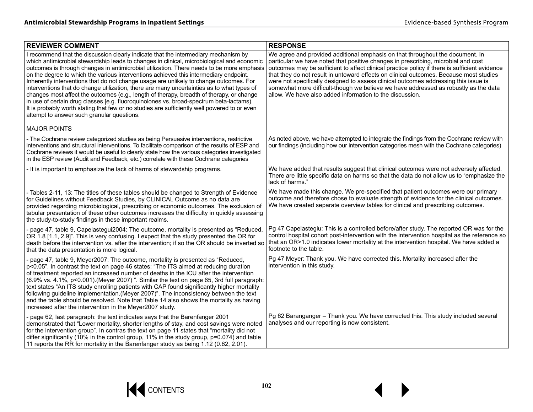| <b>REVIEWER COMMENT</b>                                                                                                                                                                                                                                                                                                                                                                                                                                                                                                                                                                                                                                                                                                                                                                                                                                                                              | <b>RESPONSE</b>                                                                                                                                                                                                                                                                                                                                                                                                                                                                                                                                                                                         |
|------------------------------------------------------------------------------------------------------------------------------------------------------------------------------------------------------------------------------------------------------------------------------------------------------------------------------------------------------------------------------------------------------------------------------------------------------------------------------------------------------------------------------------------------------------------------------------------------------------------------------------------------------------------------------------------------------------------------------------------------------------------------------------------------------------------------------------------------------------------------------------------------------|---------------------------------------------------------------------------------------------------------------------------------------------------------------------------------------------------------------------------------------------------------------------------------------------------------------------------------------------------------------------------------------------------------------------------------------------------------------------------------------------------------------------------------------------------------------------------------------------------------|
| I recommend that the discussion clearly indicate that the intermediary mechanism by<br>which antimicrobial stewardship leads to changes in clinical, microbiological and economic<br>outcomes is through changes in antimicrobial utilization. There needs to be more emphasis<br>on the degree to which the various interventions achieved this intermediary endpoint.<br>Inherently interventions that do not change usage are unlikely to change outcomes. For<br>interventions that do change utilization, there are many uncertainties as to what types of<br>changes most affect the outcomes (e.g., length of therapy, breadth of therapy, or change<br>in use of certain drug classes [e.g. fluoroquinolones vs. broad-spectrum beta-lactams).<br>It is probably worth stating that few or no studies are sufficiently well powered to or even<br>attempt to answer such granular questions. | We agree and provided additional emphasis on that throughout the document. In<br>particular we have noted that positive changes in prescribing, microbial and cost<br>outcomes may be sufficient to affect clinical practice policy if there is sufficient evidence<br>that they do not result in untoward effects on clinical outcomes. Because most studies<br>were not specifically designed to assess clinical outcomes addressing this issue is<br>somewhat more difficult-though we believe we have addressed as robustly as the data<br>allow. We have also added information to the discussion. |
| <b>MAJOR POINTS</b>                                                                                                                                                                                                                                                                                                                                                                                                                                                                                                                                                                                                                                                                                                                                                                                                                                                                                  |                                                                                                                                                                                                                                                                                                                                                                                                                                                                                                                                                                                                         |
| - The Cochrane review categorized studies as being Persuasive interventions, restrictive<br>interventions and structural interventions. To facilitate comparison of the results of ESP and<br>Cochrane reviews it would be useful to clearly state how the various categories investigated<br>in the ESP review (Audit and Feedback, etc.) correlate with these Cochrane categories                                                                                                                                                                                                                                                                                                                                                                                                                                                                                                                  | As noted above, we have attempted to integrate the findings from the Cochrane review with<br>our findings (including how our intervention categories mesh with the Cochrane categories)                                                                                                                                                                                                                                                                                                                                                                                                                 |
| - It is important to emphasize the lack of harms of stewardship programs.                                                                                                                                                                                                                                                                                                                                                                                                                                                                                                                                                                                                                                                                                                                                                                                                                            | We have added that results suggest that clinical outcomes were not adversely affected.<br>There are little specific data on harms so that the data do not allow us to "emphasize the<br>lack of harms."                                                                                                                                                                                                                                                                                                                                                                                                 |
| - Tables 2-11, 13: The titles of these tables should be changed to Strength of Evidence<br>for Guidelines without Feedback Studies, by CLINICAL Outcome as no data are<br>provided regarding microbiological, prescribing or economic outcomes. The exclusion of<br>tabular presentation of these other outcomes increases the difficulty in quickly assessing<br>the study-to-study findings in these important realms.                                                                                                                                                                                                                                                                                                                                                                                                                                                                             | We have made this change. We pre-specified that patient outcomes were our primary<br>outcome and therefore chose to evaluate strength of evidence for the clinical outcomes.<br>We have created separate overview tables for clinical and prescribing outcomes.                                                                                                                                                                                                                                                                                                                                         |
| - page 47, table 9, Capelastegui2004: The outcome, mortality is presented as "Reduced,<br>OR 1.8 [1.1, 2.9]". This is very confusing. I expect that the study presented the OR for<br>death before the intervention vs. after the intervention; if so the OR should be inverted so<br>that the data presentation is more logical.                                                                                                                                                                                                                                                                                                                                                                                                                                                                                                                                                                    | Pg 47 Capelastegiu: This is a controlled before/after study. The reported OR was for the<br>control hospital cohort post-intervention with the intervention hospital as the reference so<br>that an OR>1.0 indicates lower mortality at the intervention hospital. We have added a<br>footnote to the table.                                                                                                                                                                                                                                                                                            |
| page 47, table 9, Meyer2007: The outcome, mortality is presented as "Reduced,<br>p<0.05". In contrast the text on page 46 states: "The ITS aimed at reducing duration<br>of treatment reported an increased number of deaths in the ICU after the intervention<br>(6.9% vs. 4.1%, p<0.001). (Meyer 2007) ". Similar the text on page 65, 3rd full paragraph:<br>text states "An ITS study enrolling patients with CAP found significantly higher mortality<br>following guideline implementation. (Meyer 2007)". The inconsistency between the text<br>and the table should be resolved. Note that Table 14 also shows the mortality as having<br>increased after the intervention in the Meyer2007 study.                                                                                                                                                                                           | Pg 47 Meyer: Thank you. We have corrected this. Mortality increased after the<br>intervention in this study.                                                                                                                                                                                                                                                                                                                                                                                                                                                                                            |
| page 62, last paragraph: the text indicates says that the Barenfanger 2001<br>demonstrated that "Lower mortality, shorter lengths of stay, and cost savings were noted<br>for the intervention group". In contras the text on page 11 states that "mortality did not<br>differ significantly (10% in the control group, 11% in the study group, p=0.074) and table<br>11 reports the RR for mortality in the Barenfanger study as being 1.12 (0.62, 2.01).                                                                                                                                                                                                                                                                                                                                                                                                                                           | Pg 62 Baranganger - Thank you. We have corrected this. This study included several<br>analyses and our reporting is now consistent.                                                                                                                                                                                                                                                                                                                                                                                                                                                                     |

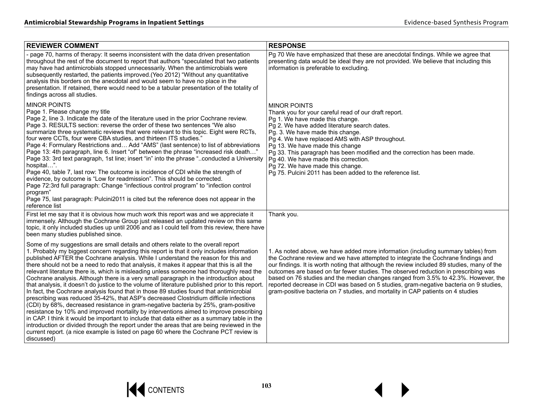| <b>REVIEWER COMMENT</b>                                                                                                                                                                                                                                                                                                                                                                                                                                                                                                                                                                                                                                                                                                                                                                                                                                                                                                                                                                                                                                                                                                                                                                                                                                                                                                        | <b>RESPONSE</b>                                                                                                                                                                                                                                                                                                                                                                                                                                                                                                                                                                                                             |  |  |  |
|--------------------------------------------------------------------------------------------------------------------------------------------------------------------------------------------------------------------------------------------------------------------------------------------------------------------------------------------------------------------------------------------------------------------------------------------------------------------------------------------------------------------------------------------------------------------------------------------------------------------------------------------------------------------------------------------------------------------------------------------------------------------------------------------------------------------------------------------------------------------------------------------------------------------------------------------------------------------------------------------------------------------------------------------------------------------------------------------------------------------------------------------------------------------------------------------------------------------------------------------------------------------------------------------------------------------------------|-----------------------------------------------------------------------------------------------------------------------------------------------------------------------------------------------------------------------------------------------------------------------------------------------------------------------------------------------------------------------------------------------------------------------------------------------------------------------------------------------------------------------------------------------------------------------------------------------------------------------------|--|--|--|
| - page 70, harms of therapy: It seems inconsistent with the data driven presentation<br>throughout the rest of the document to report that authors "speculated that two patients<br>may have had antimicrobials stopped unnecessarily. When the antimicrobials were<br>subsequently restarted, the patients improved (Yeo 2012) "Without any quantitative<br>analysis this borders on the anecdotal and would seem to have no place in the<br>presentation. If retained, there would need to be a tabular presentation of the totality of<br>findings across all studies.                                                                                                                                                                                                                                                                                                                                                                                                                                                                                                                                                                                                                                                                                                                                                      | Pg 70 We have emphasized that these are anecdotal findings. While we agree that<br>presenting data would be ideal they are not provided. We believe that including this<br>information is preferable to excluding.                                                                                                                                                                                                                                                                                                                                                                                                          |  |  |  |
| <b>MINOR POINTS</b><br>Page 1. Please change my title<br>Page 2, line 3. Indicate the date of the literature used in the prior Cochrane review.<br>Page 3. RESULTS section: reverse the order of these two sentences "We also<br>summarize three systematic reviews that were relevant to this topic. Eight were RCTs,<br>four were CCTs, four were CBA studies, and thirteen ITS studies."<br>Page 4: Formulary Restrictions and Add "AMS" (last sentence) to list of abbreviations<br>Page 13: 4th paragraph, line 6. Insert "of" between the phrase "increased risk death"<br>Page 33: 3rd text paragraph, 1st line; insert "in" into the phrase "conducted a University<br>hospital".<br>Page 40, table 7, last row: The outcome is incidence of CDI while the strength of<br>evidence, by outcome is "Low for readmission". This should be corrected.<br>Page 72:3rd full paragraph: Change "infectious control program" to "infection control<br>program"<br>Page 75, last paragraph: Pulcini2011 is cited but the reference does not appear in the<br>reference list                                                                                                                                                                                                                                                    | <b>MINOR POINTS</b><br>Thank you for your careful read of our draft report.<br>Pg 1. We have made this change.<br>Pg 2. We have added literature search dates.<br>Pg. 3. We have made this change.<br>Pg 4. We have replaced AMS with ASP throughout.<br>Pg 13. We have made this change<br>Pg 33. This paragraph has been modified and the correction has been made.<br>Pg 40. We have made this correction.<br>Pg 72. We have made this change.<br>Pg 75. Pulcini 2011 has been added to the reference list.                                                                                                              |  |  |  |
| First let me say that it is obvious how much work this report was and we appreciate it<br>immensely. Although the Cochrane Group just released an updated review on this same<br>topic, it only included studies up until 2006 and as I could tell from this review, there have<br>been many studies published since.                                                                                                                                                                                                                                                                                                                                                                                                                                                                                                                                                                                                                                                                                                                                                                                                                                                                                                                                                                                                          | Thank you.                                                                                                                                                                                                                                                                                                                                                                                                                                                                                                                                                                                                                  |  |  |  |
| Some of my suggestions are small details and others relate to the overall report<br>1. Probably my biggest concern regarding this report is that it only includes information<br>published AFTER the Cochrane analysis. While I understand the reason for this and<br>there should not be a need to redo that analysis, it makes it appear that this is all the<br>relevant literature there is, which is misleading unless someone had thoroughly read the<br>Cochrane analysis. Although there is a very small paragraph in the introduction about<br>that analysis, it doesn't do justice to the volume of literature published prior to this report.<br>In fact, the Cochrane analysis found that in those 89 studies found that antimicrobial<br>prescribing was reduced 35-42%, that ASP's decreased Clostridium difficile infections<br>(CDI) by 68%, decreased resistance in gram-negative bacteria by 25%, gram-positive<br>resistance by 10% and improved mortality by interventions aimed to improve prescribing<br>in CAP. I think it would be important to include that data either as a summary table in the<br>introduction or divided through the report under the areas that are being reviewed in the<br>current report. (a nice example is listed on page 60 where the Cochrane PCT review is<br>discussed) | 1. As noted above, we have added more information (including summary tables) from<br>the Cochrane review and we have attempted to integrate the Cochrane findings and<br>our findings. It is worth noting that although the review included 89 studies, many of the<br>outcomes are based on far fewer studies. The observed reduction in prescribing was<br>based on 76 studies and the median changes ranged from 3.5% to 42.3%. However, the<br>reported decrease in CDI was based on 5 studies, gram-negative bacteria on 9 studies,<br>gram-positive bacteria on 7 studies, and mortality in CAP patients on 4 studies |  |  |  |

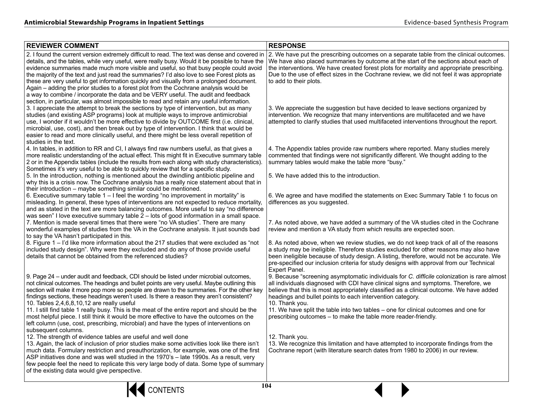| <b>REVIEWER COMMENT</b>                                                                                                                                                                                                                                                                                                                                                                                                                                                                                                                                                                                                                                                                                                                                       | <b>RESPONSE</b>                                                                                                                                                                                                                                                                                                                                                                                     |
|---------------------------------------------------------------------------------------------------------------------------------------------------------------------------------------------------------------------------------------------------------------------------------------------------------------------------------------------------------------------------------------------------------------------------------------------------------------------------------------------------------------------------------------------------------------------------------------------------------------------------------------------------------------------------------------------------------------------------------------------------------------|-----------------------------------------------------------------------------------------------------------------------------------------------------------------------------------------------------------------------------------------------------------------------------------------------------------------------------------------------------------------------------------------------------|
| 2. I found the current version extremely difficult to read. The text was dense and covered in<br>details, and the tables, while very useful, were really busy. Would it be possible to have the<br>evidence summaries made much more visible and useful, so that busy people could avoid<br>the majority of the text and just read the summaries? I'd also love to see Forest plots as<br>these are very useful to get information quickly and visually from a prolonged document.<br>Again - adding the prior studies to a forest plot from the Cochrane analysis would be<br>a way to combine / incorporate the data and be VERY useful. The audit and feedback<br>section, in particular, was almost impossible to read and retain any useful information. | 2. We have put the prescribing outcomes on a separate table from the clinical outcomes.<br>We have also placed summaries by outcome at the start of the sections about each of<br>the interventions. We have created forest plots for mortality and appropriate prescribing.<br>Due to the use of effect sizes in the Cochrane review, we did not feel it was appropriate<br>to add to their plots. |
| 3. I appreciate the attempt to break the sections by type of intervention, but as many<br>studies (and existing ASP programs) look at multiple ways to improve antimicrobial<br>use, I wonder if it wouldn't be more effective to divide by OUTCOME first (i.e. clinical,<br>microbial, use, cost), and then break out by type of intervention. I think that would be<br>easier to read and more clinically useful, and there might be less overall repetition of<br>studies in the text.                                                                                                                                                                                                                                                                     | 3. We appreciate the suggestion but have decided to leave sections organized by<br>intervention. We recognize that many interventions are multifaceted and we have<br>attempted to clarify studies that used multifaceted interventions throughout the report.                                                                                                                                      |
| 4. In tables, in addition to RR and CI, I always find raw numbers useful, as that gives a<br>more realistic understanding of the actual effect. This might fit in Executive summary table<br>2 or in the Appendix tables (include the results from each along with study characteristics).<br>Sometimes it's very useful to be able to quickly review that for a specific study.                                                                                                                                                                                                                                                                                                                                                                              | 4. The Appendix tables provide raw numbers where reported. Many studies merely<br>commented that findings were not significantly different. We thought adding to the<br>summary tables would make the table more "busy."                                                                                                                                                                            |
| 5. In the introduction, nothing is mentioned about the dwindling antibiotic pipeline and<br>why this is a crisis now. The Cochrane analysis has a really nice statement about that in<br>their introduction - maybe something similar could be mentioned.                                                                                                                                                                                                                                                                                                                                                                                                                                                                                                     | 5. We have added this to the introduction.                                                                                                                                                                                                                                                                                                                                                          |
| 6. Executive summary table $1 - I$ feel the wording "no improvement in mortality" is<br>misleading. In general, these types of interventions are not expected to reduce mortality,<br>and as stated in the text are more balancing outcomes. More useful to say "no difference<br>was seen" I love executive summary table $2$ – lots of good information in a small space.                                                                                                                                                                                                                                                                                                                                                                                   | 6. We agree and have modified the statements on Exec Summary Table 1 to focus on<br>differences as you suggested.                                                                                                                                                                                                                                                                                   |
| 7. Mention is made several times that there were "no VA studies". There are many<br>wonderful examples of studies from the VA in the Cochrane analysis. It just sounds bad<br>to say the VA hasn't participated in this.                                                                                                                                                                                                                                                                                                                                                                                                                                                                                                                                      | 7. As noted above, we have added a summary of the VA studies cited in the Cochrane<br>review and mention a VA study from which results are expected soon.                                                                                                                                                                                                                                           |
| 8. Figure 1 – I'd like more information about the 217 studies that were excluded as "not<br>included study design". Why were they excluded and do any of those provide useful<br>details that cannot be obtained from the referenced studies?                                                                                                                                                                                                                                                                                                                                                                                                                                                                                                                 | 8. As noted above, when we review studies, we do not keep track of all of the reasons<br>a study may be ineligible. Therefore studies excluded for other reasons may also have<br>been ineligible because of study design. A listing, therefore, would not be accurate. We<br>pre-specified our inclusion criteria for study designs with approval from our Technical<br>Expert Panel.              |
| 9. Page 24 - under audit and feedback, CDI should be listed under microbial outcomes,<br>not clinical outcomes. The headings and bullet points are very useful. Maybe outlining this<br>section will make it more pop more so people are drawn to the summaries. For the other key<br>findings sections, these headings weren't used. Is there a reason they aren't consistent?<br>10. Tables 2,4,6,8,10,12 are really useful                                                                                                                                                                                                                                                                                                                                 | 9. Because "screening asymptomatic individuals for C. difficile colonization is rare almost<br>all individuals diagnosed with CDI have clinical signs and symptoms. Therefore, we<br>believe that this is most appropriately classified as a clinical outcome. We have added<br>headings and bullet points to each intervention category.<br>10. Thank you.                                         |
| 11. I still find table 1 really busy. This is the meat of the entire report and should be the<br>most helpful piece. I still think it would be more effective to have the outcomes on the<br>left column (use, cost, prescribing, microbial) and have the types of interventions on<br>subsequent columns.                                                                                                                                                                                                                                                                                                                                                                                                                                                    | 11. We have split the table into two tables - one for clinical outcomes and one for<br>prescribing outcomes - to make the table more reader-friendly.                                                                                                                                                                                                                                               |
| 12. The strength of evidence tables are useful and well done<br>13. Again, the lack of inclusion of prior studies make some activities look like there isn't<br>much data. Formulary restriction and preauthorization, for example, was one of the first<br>ASP initiatives done and was well studied in the 1970's - late 1990s. As a result, very<br>few people feel the need to replicate this very large body of data. Some type of summary<br>of the existing data would give perspective.                                                                                                                                                                                                                                                               | 12. Thank you.<br>13. We recognize this limitation and have attempted to incorporate findings from the<br>Cochrane report (with literature search dates from 1980 to 2006) in our review.                                                                                                                                                                                                           |



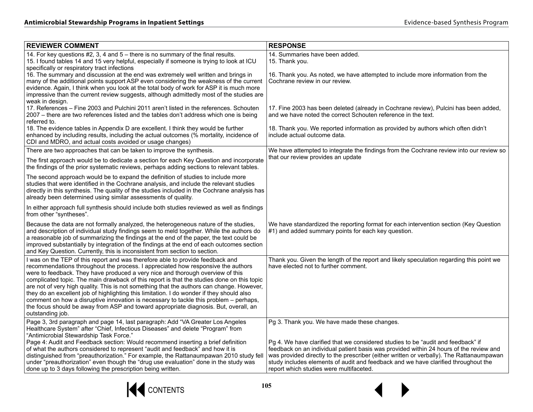| <b>REVIEWER COMMENT</b>                                                                                                                                                                                                                                                                                                                                                                                                                                                                                                                                                                                                                                                                                                                           | <b>RESPONSE</b>                                                                                                                                                                                                                                                                                                                                                                                         |  |  |  |
|---------------------------------------------------------------------------------------------------------------------------------------------------------------------------------------------------------------------------------------------------------------------------------------------------------------------------------------------------------------------------------------------------------------------------------------------------------------------------------------------------------------------------------------------------------------------------------------------------------------------------------------------------------------------------------------------------------------------------------------------------|---------------------------------------------------------------------------------------------------------------------------------------------------------------------------------------------------------------------------------------------------------------------------------------------------------------------------------------------------------------------------------------------------------|--|--|--|
| 14. For key questions #2, 3, 4 and 5 - there is no summary of the final results.<br>15. I found tables 14 and 15 very helpful, especially if someone is trying to look at ICU<br>specifically or respiratory tract infections                                                                                                                                                                                                                                                                                                                                                                                                                                                                                                                     | 14. Summaries have been added.<br>15. Thank you.                                                                                                                                                                                                                                                                                                                                                        |  |  |  |
| 16. The summary and discussion at the end was extremely well written and brings in<br>many of the additional points support ASP even considering the weakness of the current<br>evidence. Again, I think when you look at the total body of work for ASP it is much more<br>impressive than the current review suggests, although admittedly most of the studies are<br>weak in design.                                                                                                                                                                                                                                                                                                                                                           | 16. Thank you. As noted, we have attempted to include more information from the<br>Cochrane review in our review.                                                                                                                                                                                                                                                                                       |  |  |  |
| 17. References - Fine 2003 and Pulchini 2011 aren't listed in the references. Schouten<br>2007 - there are two references listed and the tables don't address which one is being<br>referred to.                                                                                                                                                                                                                                                                                                                                                                                                                                                                                                                                                  | 17. Fine 2003 has been deleted (already in Cochrane review), Pulcini has been added,<br>and we have noted the correct Schouten reference in the text.                                                                                                                                                                                                                                                   |  |  |  |
| 18. The evidence tables in Appendix D are excellent. I think they would be further<br>enhanced by including results, including the actual outcomes (% mortality, incidence of<br>CDI and MDRO, and actual costs avoided or usage changes)                                                                                                                                                                                                                                                                                                                                                                                                                                                                                                         | 18. Thank you. We reported information as provided by authors which often didn't<br>include actual outcome data.                                                                                                                                                                                                                                                                                        |  |  |  |
| There are two approaches that can be taken to improve the synthesis.                                                                                                                                                                                                                                                                                                                                                                                                                                                                                                                                                                                                                                                                              | We have attempted to integrate the findings from the Cochrane review into our review so                                                                                                                                                                                                                                                                                                                 |  |  |  |
| The first approach would be to dedicate a section for each Key Question and incorporate<br>the findings of the prior systematic reviews, perhaps adding sections to relevant tables.                                                                                                                                                                                                                                                                                                                                                                                                                                                                                                                                                              | that our review provides an update                                                                                                                                                                                                                                                                                                                                                                      |  |  |  |
| The second approach would be to expand the definition of studies to include more<br>studies that were identified in the Cochrane analysis, and include the relevant studies<br>directly in this synthesis. The quality of the studies included in the Cochrane analysis has<br>already been determined using similar assessments of quality.                                                                                                                                                                                                                                                                                                                                                                                                      |                                                                                                                                                                                                                                                                                                                                                                                                         |  |  |  |
| In either approach full synthesis should include both studies reviewed as well as findings<br>from other "syntheses".                                                                                                                                                                                                                                                                                                                                                                                                                                                                                                                                                                                                                             |                                                                                                                                                                                                                                                                                                                                                                                                         |  |  |  |
| Because the data are not formally analyzed, the heterogeneous nature of the studies,<br>and description of individual study findings seem to meld together. While the authors do<br>a reasonable job of summarizing the findings at the end of the paper, the text could be<br>improved substantially by integration of the findings at the end of each outcomes section<br>and Key Question. Currently, this is inconsistent from section to section.                                                                                                                                                                                                                                                                                            | We have standardized the reporting format for each intervention section (Key Question<br>#1) and added summary points for each key question.                                                                                                                                                                                                                                                            |  |  |  |
| I was on the TEP of this report and was therefore able to provide feedback and<br>recommendations throughout the process. I appreciated how responsive the authors<br>were to feedback. They have produced a very nice and thorough overview of this<br>complicated topic. The main drawback of this report is that the studies done on this topic<br>are not of very high quality. This is not something that the authors can change. However,<br>they do an excellent job of highlighting this limitation. I do wonder if they should also<br>comment on how a disruptive innovation is necessary to tackle this problem – perhaps,<br>the focus should be away from ASP and toward appropriate diagnosis. But, overall, an<br>outstanding job. | Thank you. Given the length of the report and likely speculation regarding this point we<br>have elected not to further comment.                                                                                                                                                                                                                                                                        |  |  |  |
| Page 3, 3rd paragraph and page 14, last paragraph: Add "VA Greater Los Angeles<br>Healthcare System" after "Chief, Infectious Diseases" and delete "Program" from<br>"Antimicrobial Stewardship Task Force."                                                                                                                                                                                                                                                                                                                                                                                                                                                                                                                                      | Pg 3. Thank you. We have made these changes.                                                                                                                                                                                                                                                                                                                                                            |  |  |  |
| Page 4: Audit and Feedback section: Would recommend inserting a brief definition<br>of what the authors considered to represent "audit and feedback" and how it is<br>distinguished from "preauthorization." For example, the Rattanaumpawan 2010 study fell<br>under "preauthorization" even though the "drug use evaluation" done in the study was<br>done up to 3 days following the prescription being written.                                                                                                                                                                                                                                                                                                                               | Pg 4. We have clarified that we considered studies to be "audit and feedback" if<br>feedback on an individual patient basis was provided within 24 hours of the review and<br>was provided directly to the prescriber (either written or verbally). The Rattanaumpawan<br>study includes elements of audit and feedback and we have clarified throughout the<br>report which studies were multifaceted. |  |  |  |



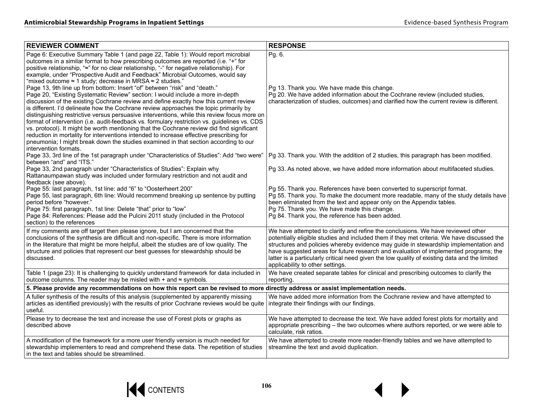| <b>REVIEWER COMMENT</b>                                                                                                                                                                                                                                                                                                                                                                                                                                                                                                                                                                                                                                                                                                                                                                                                                                                                                                                                                                                                                                                                                                                                                                                                                                                                   | <b>RESPONSE</b>                                                                                                                                                                                                                                                                                                                                                                                                                                                                                    |
|-------------------------------------------------------------------------------------------------------------------------------------------------------------------------------------------------------------------------------------------------------------------------------------------------------------------------------------------------------------------------------------------------------------------------------------------------------------------------------------------------------------------------------------------------------------------------------------------------------------------------------------------------------------------------------------------------------------------------------------------------------------------------------------------------------------------------------------------------------------------------------------------------------------------------------------------------------------------------------------------------------------------------------------------------------------------------------------------------------------------------------------------------------------------------------------------------------------------------------------------------------------------------------------------|----------------------------------------------------------------------------------------------------------------------------------------------------------------------------------------------------------------------------------------------------------------------------------------------------------------------------------------------------------------------------------------------------------------------------------------------------------------------------------------------------|
| Page 6: Executive Summary Table 1 (and page 22, Table 1): Would report microbial<br>outcomes in a similar format to how prescribing outcomes are reported (i.e. "+" for<br>positive relationship, "≈" for no clear relationship, "-" for negative relationship). For<br>example, under "Prospective Audit and Feedback" Microbial Outcomes, would say<br>"mixed outcome $\approx$ 1 study; decrease in MRSA $\approx$ 2 studies."<br>Page 13, 9th line up from bottom: Insert "of" between "risk" and "death."<br>Page 20, "Existing Systematic Review" section: I would include a more in-depth<br>discussion of the existing Cochrane review and define exactly how this current review<br>is different. I'd delineate how the Cochrane review approaches the topic primarily by<br>distinguishing restrictive versus persuasive interventions, while this review focus more on<br>format of intervention (i.e. audit-feedback vs. formulary restriction vs. guidelines vs. CDS<br>vs. protocol). It might be worth mentioning that the Cochrane review did find significant<br>reduction in mortality for interventions intended to increase effective prescribing for<br>pneumonia; I might break down the studies examined in that section according to our<br>intervention formats. | Pg. 6.<br>Pg 13. Thank you. We have made this change.<br>Pg 20. We have added information about the Cochrane review (included studies,<br>characterization of studies, outcomes) and clarified how the current review is different.                                                                                                                                                                                                                                                                |
| Page 33, 3rd line of the 1st paragraph under "Characteristics of Studies": Add "two were"<br>between "and" and "ITS."                                                                                                                                                                                                                                                                                                                                                                                                                                                                                                                                                                                                                                                                                                                                                                                                                                                                                                                                                                                                                                                                                                                                                                     | Pg 33. Thank you. With the addition of 2 studies, this paragraph has been modified.                                                                                                                                                                                                                                                                                                                                                                                                                |
| Page 33, 2nd paragraph under "Characteristics of Studies": Explain why<br>Rattanaumpawan study was included under formulary restriction and not audit and<br>feedback (see above).                                                                                                                                                                                                                                                                                                                                                                                                                                                                                                                                                                                                                                                                                                                                                                                                                                                                                                                                                                                                                                                                                                        | Pg 33. As noted above, we have added more information about multifaceted studies.                                                                                                                                                                                                                                                                                                                                                                                                                  |
| Page 55: last paragraph, 1st line: add "6" to "Oosterheert 200"<br>Page 55, last paragraph, 6th line: Would recommend breaking up sentence by putting<br>period before "however."<br>Page 75: first paragraph, 1st line: Delete "that" prior to "low"<br>Page 84: References: Please add the Pulcini 2011 study (included in the Protocol<br>section) to the references                                                                                                                                                                                                                                                                                                                                                                                                                                                                                                                                                                                                                                                                                                                                                                                                                                                                                                                   | Pg 55. Thank you. References have been converted to superscript format.<br>Pg 55. Thank you. To make the document more readable, many of the study details have<br>been eliminated from the text and appear only on the Appendix tables.<br>Pg 75. Thank you. We have made this change.<br>Pg 84. Thank you, the reference has been added.                                                                                                                                                         |
| If my comments are off target then please ignore, but I am concerned that the<br>conclusions of the synthesis are difficult and non-specific. There is more information<br>in the literature that might be more helpful, albeit the studies are of low quality. The<br>structure and policies that represent our best guesses for stewardship should be<br>discussed.                                                                                                                                                                                                                                                                                                                                                                                                                                                                                                                                                                                                                                                                                                                                                                                                                                                                                                                     | We have attempted to clarify and refine the conclusions. We have reviewed other<br>potentially eligible studies and included them if they met criteria. We have discussed the<br>structures and policies whereby evidence may guide in stewardship implementation and<br>have suggested areas for future research and evaluation of implemented programs; the<br>latter is a particularly critical need given the low quality of existing data and the limited<br>applicability to other settings. |
| Table 1 (page 23): It is challenging to quickly understand framework for data included in<br>outcome columns. The reader may be misled with $+$ and $\approx$ symbols.                                                                                                                                                                                                                                                                                                                                                                                                                                                                                                                                                                                                                                                                                                                                                                                                                                                                                                                                                                                                                                                                                                                    | We have created separate tables for clinical and prescribing outcomes to clarify the<br>reporting.                                                                                                                                                                                                                                                                                                                                                                                                 |
| 5. Please provide any recommendations on how this report can be revised to more directly address or assist implementation needs.                                                                                                                                                                                                                                                                                                                                                                                                                                                                                                                                                                                                                                                                                                                                                                                                                                                                                                                                                                                                                                                                                                                                                          |                                                                                                                                                                                                                                                                                                                                                                                                                                                                                                    |
| A fuller synthesis of the results of this analysis (supplemented by apparently missing<br>articles as identified previously) with the results of prior Cochrane reviews would be quite<br>useful.                                                                                                                                                                                                                                                                                                                                                                                                                                                                                                                                                                                                                                                                                                                                                                                                                                                                                                                                                                                                                                                                                         | We have added more information from the Cochrane review and have attempted to<br>integrate their findings with our findings.                                                                                                                                                                                                                                                                                                                                                                       |
| Please try to decrease the text and increase the use of Forest plots or graphs as<br>described above                                                                                                                                                                                                                                                                                                                                                                                                                                                                                                                                                                                                                                                                                                                                                                                                                                                                                                                                                                                                                                                                                                                                                                                      | We have attempted to decrease the text. We have added forest plots for mortality and<br>appropriate prescribing - the two outcomes where authors reported, or we were able to<br>calculate, risk ratios.                                                                                                                                                                                                                                                                                           |
| A modification of the framework for a more user friendly version is much needed for<br>stewardship implementers to read and comprehend these data. The repetition of studies<br>in the text and tables should be streamlined.                                                                                                                                                                                                                                                                                                                                                                                                                                                                                                                                                                                                                                                                                                                                                                                                                                                                                                                                                                                                                                                             | We have attempted to create more reader-friendly tables and we have attempted to<br>streamline the text and avoid duplication.                                                                                                                                                                                                                                                                                                                                                                     |

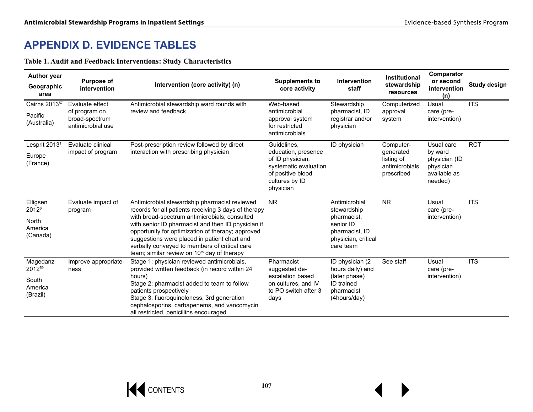# **APPENDIX D. EVIDENCE TABLES**

# **Table 1. Audit and Feedback Interventions: Study Characteristics**

| <b>Author year</b><br>Geographic<br>area            | <b>Purpose of</b><br>intervention                                       | Intervention (core activity) (n)                                                                                                                                                                                                                                                                                                                                                                                              | <b>Supplements to</b><br>core activity                                                                                              | <b>Intervention</b><br>staff                                                                                   | Institutional<br>stewardship<br>resources                            | Comparator<br>or second<br>intervention<br>(n)                                 | <b>Study design</b> |
|-----------------------------------------------------|-------------------------------------------------------------------------|-------------------------------------------------------------------------------------------------------------------------------------------------------------------------------------------------------------------------------------------------------------------------------------------------------------------------------------------------------------------------------------------------------------------------------|-------------------------------------------------------------------------------------------------------------------------------------|----------------------------------------------------------------------------------------------------------------|----------------------------------------------------------------------|--------------------------------------------------------------------------------|---------------------|
| Cairns 2013 <sup>57</sup><br>Pacific<br>(Australia) | Evaluate effect<br>of program on<br>broad-spectrum<br>antimicrobial use | Antimicrobial stewardship ward rounds with<br>review and feedback                                                                                                                                                                                                                                                                                                                                                             | Web-based<br>antimicrobial<br>approval system<br>for restricted<br>antimicrobials                                                   | Stewardship<br>pharmacist, ID<br>registrar and/or<br>physician                                                 | Computerized<br>approval<br>system                                   | Usual<br>care (pre-<br>intervention)                                           | <b>ITS</b>          |
| Lesprit 2013 <sup>1</sup><br>Europe<br>(France)     | Evaluate clinical<br>impact of program                                  | Post-prescription review followed by direct<br>interaction with prescribing physician                                                                                                                                                                                                                                                                                                                                         | Guidelines,<br>education, presence<br>of ID physician,<br>systematic evaluation<br>of positive blood<br>cultures by ID<br>physician | ID physician                                                                                                   | Computer-<br>generated<br>listing of<br>antimicrobials<br>prescribed | Usual care<br>by ward<br>physician (ID<br>physician<br>available as<br>needed) | <b>RCT</b>          |
| Elligsen<br>20126<br>North<br>America<br>(Canada)   | Evaluate impact of<br>program                                           | Antimicrobial stewardship pharmacist reviewed<br>records for all patients receiving 3 days of therapy<br>with broad-spectrum antimicrobials; consulted<br>with senior ID pharmacist and then ID physician if<br>opportunity for optimization of therapy; approved<br>suggestions were placed in patient chart and<br>verbally conveyed to members of critical care<br>team; similar review on 10 <sup>th</sup> day of therapy | <b>NR</b>                                                                                                                           | Antimicrobial<br>stewardship<br>pharmacist,<br>senior ID<br>pharmacist, ID<br>physician, critical<br>care team | <b>NR</b>                                                            | Usual<br>care (pre-<br>intervention)                                           | <b>ITS</b>          |
| Magedanz<br>201259<br>South<br>America<br>(Brazil)  | Improve appropriate-<br>ness                                            | Stage 1: physician reviewed antimicrobials,<br>provided written feedback (in record within 24<br>hours)<br>Stage 2: pharmacist added to team to follow<br>patients prospectively<br>Stage 3: fluoroquinoloness, 3rd generation<br>cephalosporins, carbapenems, and vancomycin<br>all restricted, penicillins encouraged                                                                                                       | Pharmacist<br>suggested de-<br>escalation based<br>on cultures, and IV<br>to PO switch after 3<br>days                              | ID physician (2)<br>hours daily) and<br>(later phase)<br>ID trained<br>pharmacist<br>(4hours/day)              | See staff                                                            | Usual<br>care (pre-<br>intervention)                                           | <b>ITS</b>          |

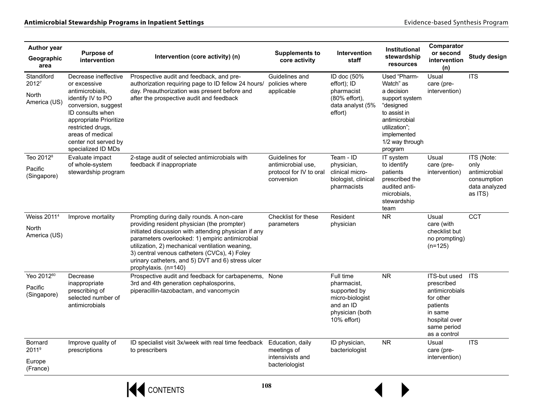| <b>Author year</b><br>Geographic<br>area         | <b>Purpose of</b><br>intervention                                                                                                                                                                                                        | Intervention (core activity) (n)                                                                                                                                                                                                                                                                                                                                                    | <b>Supplements to</b><br>core activity                                        | Intervention<br>staff                                                                                         | <b>Institutional</b><br>stewardship<br>resources                                                                                                                      | Comparator<br>or second<br>intervention<br>(n)                                                                                   | <b>Study design</b>                                                            |
|--------------------------------------------------|------------------------------------------------------------------------------------------------------------------------------------------------------------------------------------------------------------------------------------------|-------------------------------------------------------------------------------------------------------------------------------------------------------------------------------------------------------------------------------------------------------------------------------------------------------------------------------------------------------------------------------------|-------------------------------------------------------------------------------|---------------------------------------------------------------------------------------------------------------|-----------------------------------------------------------------------------------------------------------------------------------------------------------------------|----------------------------------------------------------------------------------------------------------------------------------|--------------------------------------------------------------------------------|
| Standiford<br>20127<br>North<br>America (US)     | Decrease ineffective<br>or excessive<br>antimicrobials,<br>identify IV to PO<br>conversion, suggest<br>ID consults when<br>appropriate Prioritize<br>restricted drugs,<br>areas of medical<br>center not served by<br>specialized ID MDs | Prospective audit and feedback, and pre-<br>authorization requiring page to ID fellow 24 hours/<br>day. Preauthorization was present before and<br>after the prospective audit and feedback                                                                                                                                                                                         | Guidelines and<br>policies where<br>applicable                                | ID doc (50%<br>effort); ID<br>pharmacist<br>(80% effort),<br>data analyst (5%<br>effort)                      | Used "Pharm-<br>Watch" as<br>a decision<br>support system<br>"designed<br>to assist in<br>antimicrobial<br>utilization":<br>implemented<br>1/2 way through<br>program | Usual<br>care (pre-<br>intervention)                                                                                             | <b>ITS</b>                                                                     |
| Teo 2012 <sup>8</sup><br>Pacific<br>(Singapore)  | Evaluate impact<br>of whole-system<br>stewardship program                                                                                                                                                                                | 2-stage audit of selected antimicrobials with<br>feedback if inappropriate                                                                                                                                                                                                                                                                                                          | Guidelines for<br>antimicrobial use.<br>protocol for IV to oral<br>conversion | Team - ID<br>physician,<br>clinical micro-<br>biologist, clinical<br>pharmacists                              | IT system<br>to identify<br>patients<br>prescribed the<br>audited anti-<br>microbials,<br>stewardship<br>team                                                         | Usual<br>care (pre-<br>intervention)                                                                                             | ITS (Note:<br>only<br>antimicrobial<br>consumption<br>data analyzed<br>as ITS) |
| <b>Weiss 20114</b><br>North<br>America (US)      | Improve mortality                                                                                                                                                                                                                        | Prompting during daily rounds. A non-care<br>providing resident physician (the prompter)<br>initiated discussion with attending physician if any<br>parameters overlooked: 1) empiric antimicrobial<br>utilization, 2) mechanical ventilation weaning,<br>3) central venous catheters (CVCs), 4) Foley<br>urinary catheters, and 5) DVT and 6) stress ulcer<br>prophylaxis. (n=140) | Checklist for these<br>parameters                                             | Resident<br>physician                                                                                         | <b>NR</b>                                                                                                                                                             | Usual<br>care (with<br>checklist but<br>no prompting)<br>$(n=125)$                                                               | CCT                                                                            |
| Yeo 2012 <sup>60</sup><br>Pacific<br>(Singapore) | Decrease<br>inappropriate<br>prescribing of<br>selected number of<br>antimicrobials                                                                                                                                                      | Prospective audit and feedback for carbapenems, None<br>3rd and 4th generation cephalosporins,<br>piperacillin-tazobactam, and vancomycin                                                                                                                                                                                                                                           |                                                                               | Full time<br>pharmacist,<br>supported by<br>micro-biologist<br>and an ID<br>physician (both<br>$10\%$ effort) | <b>NR</b>                                                                                                                                                             | ITS-but used<br>prescribed<br>antimicrobials<br>for other<br>patients<br>in same<br>hospital over<br>same period<br>as a control | <b>ITS</b>                                                                     |
| <b>Bornard</b><br>$2011^9$<br>Europe<br>(France) | Improve quality of<br>prescriptions                                                                                                                                                                                                      | ID specialist visit 3x/week with real time feedback<br>to prescribers                                                                                                                                                                                                                                                                                                               | Education, daily<br>meetings of<br>intensivists and<br>bacteriologist         | ID physician,<br>bacteriologist                                                                               | N <sub>R</sub>                                                                                                                                                        | Usual<br>care (pre-<br>intervention)                                                                                             | <b>ITS</b>                                                                     |

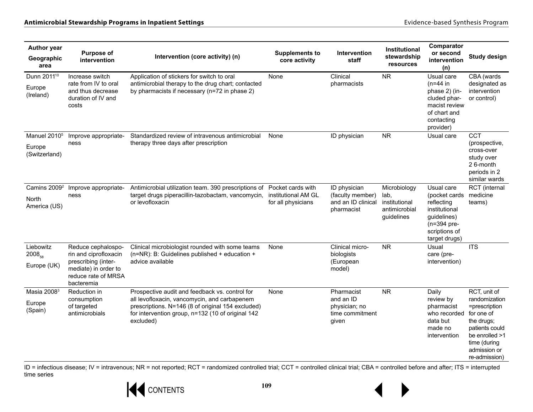| <b>Author year</b><br>Geographic<br>area                 | <b>Purpose of</b><br>intervention                                                                                               | Intervention (core activity) (n)                                                                                                                                                                                      | <b>Supplements to</b><br>core activity                         | <b>Intervention</b><br>staff                                         | <b>Institutional</b><br>stewardship<br>resources                     | Comparator<br>or second<br><i>intervention</i><br>(n)                                                                      | <b>Study design</b>                                                                                                                                               |
|----------------------------------------------------------|---------------------------------------------------------------------------------------------------------------------------------|-----------------------------------------------------------------------------------------------------------------------------------------------------------------------------------------------------------------------|----------------------------------------------------------------|----------------------------------------------------------------------|----------------------------------------------------------------------|----------------------------------------------------------------------------------------------------------------------------|-------------------------------------------------------------------------------------------------------------------------------------------------------------------|
| Dunn 2011 <sup>10</sup><br>Europe<br>(Ireland)           | Increase switch<br>rate from IV to oral<br>and thus decrease<br>duration of IV and<br>costs                                     | Application of stickers for switch to oral<br>antimicrobial therapy to the drug chart; contacted<br>by pharmacists if necessary (n=72 in phase 2)                                                                     | None                                                           | Clinical<br>pharmacists                                              | <b>NR</b>                                                            | Usual care<br>$(n=44)$ in<br>phase 2) (in-<br>cluded phar-<br>macist review<br>of chart and<br>contacting<br>provider)     | CBA (wards<br>designated as<br>intervention<br>or control)                                                                                                        |
| Manuel 2010 <sup>5</sup><br>Europe<br>(Switzerland)      | Improve appropriate-<br>ness                                                                                                    | Standardized review of intravenous antimicrobial<br>therapy three days after prescription                                                                                                                             | None                                                           | ID physician                                                         | <b>NR</b>                                                            | Usual care                                                                                                                 | CCT<br>(prospective,<br>cross-over<br>study over<br>26-month<br>periods in 2<br>similar wards                                                                     |
| Camins 2009 <sup>2</sup><br><b>North</b><br>America (US) | Improve appropriate-<br>ness                                                                                                    | Antimicrobial utilization team. 390 prescriptions of<br>target drugs piperacillin-tazobactam, vancomycin,<br>or levofloxacin                                                                                          | Pocket cards with<br>institutional AM GL<br>for all physicians | ID physician<br>(faculty member)<br>and an ID clinical<br>pharmacist | Microbiology<br>lab.<br>institutional<br>antimicrobial<br>guidelines | Usual care<br>(pocket cards<br>reflecting<br>institutional<br>guidelines)<br>(n=394 pre-<br>scriptions of<br>target drugs) | RCT (internal<br>medicine<br>teams)                                                                                                                               |
| Liebowitz<br>$2008_{58}$<br>Europe (UK)                  | Reduce cephalospo-<br>rin and ciprofloxacin<br>prescribing (inter-<br>mediate) in order to<br>reduce rate of MRSA<br>bacteremia | Clinical microbiologist rounded with some teams<br>(n=NR): B: Guidelines published + education +<br>advice available                                                                                                  | None                                                           | Clinical micro-<br>biologists<br>(European<br>model)                 | <b>NR</b>                                                            | Usual<br>care (pre-<br>intervention)                                                                                       | <b>ITS</b>                                                                                                                                                        |
| Masia 2008 <sup>3</sup><br>Europe<br>(Spain)             | Reduction in<br>consumption<br>of targeted<br>antimicrobials                                                                    | Prospective audit and feedback vs. control for<br>all levofloxacin, vancomycin, and carbapenem<br>prescriptions. N=146 (8 of original 154 excluded)<br>for intervention group, n=132 (10 of original 142<br>excluded) | None                                                           | Pharmacist<br>and an ID<br>physician; no<br>time commitment<br>given | <b>NR</b>                                                            | Daily<br>review by<br>pharmacist<br>who recorded<br>data but<br>made no<br>intervention                                    | RCT, unit of<br>randomization<br>=prescription<br>for one of<br>the drugs;<br>patients could<br>be enrolled $>1$<br>time (during<br>admission or<br>re-admission) |

ID = infectious disease; IV = intravenous; NR = not reported; RCT = randomized controlled trial; CCT = controlled clinical trial; CBA = controlled before and after; ITS = interrupted time series



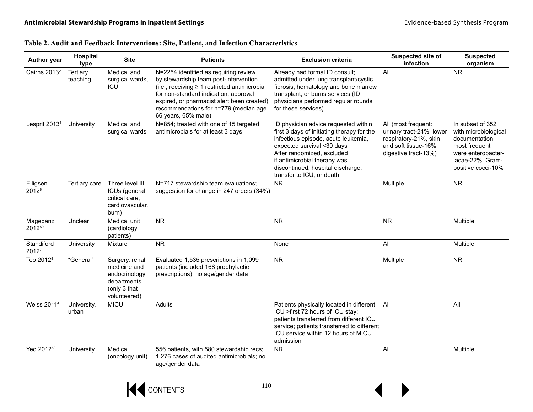| <b>Author year</b>        | <b>Hospital</b><br>type | <b>Site</b>                                                                                    | <b>Patients</b>                                                                                                                                                                                                                                                                              | <b>Exclusion criteria</b>                                                                                                                                                                                                                                                               | Suspected site of<br>infection                                                                                           | <b>Suspected</b><br>organism                                                                                                                |
|---------------------------|-------------------------|------------------------------------------------------------------------------------------------|----------------------------------------------------------------------------------------------------------------------------------------------------------------------------------------------------------------------------------------------------------------------------------------------|-----------------------------------------------------------------------------------------------------------------------------------------------------------------------------------------------------------------------------------------------------------------------------------------|--------------------------------------------------------------------------------------------------------------------------|---------------------------------------------------------------------------------------------------------------------------------------------|
| Cairns 2013 <sup>2</sup>  | Tertiary<br>teaching    | Medical and<br>surgical wards,<br>ICU                                                          | N=2254 identified as requiring review<br>by stewardship team post-intervention<br>(i.e., receiving $\geq 1$ restricted antimicrobial<br>for non-standard indication, approval<br>expired, or pharmacist alert been created);<br>recommendations for n=779 (median age<br>66 years, 65% male) | Already had formal ID consult;<br>admitted under lung transplant/cystic<br>fibrosis, hematology and bone marrow<br>transplant, or burns services (ID<br>physicians performed regular rounds<br>for these services)                                                                      | All                                                                                                                      | <b>NR</b>                                                                                                                                   |
| Lesprit 2013 <sup>1</sup> | University              | Medical and<br>surgical wards                                                                  | N=854; treated with one of 15 targeted<br>antimicrobials for at least 3 days                                                                                                                                                                                                                 | ID physician advice requested within<br>first 3 days of initiating therapy for the<br>infectious episode, acute leukemia,<br>expected survival <30 days<br>After randomized, excluded<br>if antimicrobial therapy was<br>discontinued, hospital discharge,<br>transfer to ICU, or death | All (most frequent:<br>urinary tract-24%, lower<br>respiratory-21%, skin<br>and soft tissue-16%,<br>digestive tract-13%) | In subset of 352<br>with microbiological<br>documentation,<br>most frequent<br>were enterobacter-<br>iacae-22%, Gram-<br>positive cocci-10% |
| Elligsen<br>20126         | Tertiary care           | Three level III<br>ICUs (general<br>critical care,<br>cardiovascular,<br>burn)                 | N=717 stewardship team evaluations;<br>suggestion for change in 247 orders (34%)                                                                                                                                                                                                             | <b>NR</b>                                                                                                                                                                                                                                                                               | Multiple                                                                                                                 | <b>NR</b>                                                                                                                                   |
| Magedanz<br>201259        | Unclear                 | Medical unit<br>(cardiology<br>patients)                                                       | <b>NR</b>                                                                                                                                                                                                                                                                                    | <b>NR</b>                                                                                                                                                                                                                                                                               | <b>NR</b>                                                                                                                | Multiple                                                                                                                                    |
| Standiford<br>20127       | University              | Mixture                                                                                        | <b>NR</b>                                                                                                                                                                                                                                                                                    | None                                                                                                                                                                                                                                                                                    | All                                                                                                                      | Multiple                                                                                                                                    |
| Teo 2012 <sup>8</sup>     | "General"               | Surgery, renal<br>medicine and<br>endocrinology<br>departments<br>(only 3 that<br>volunteered) | Evaluated 1,535 prescriptions in 1,099<br>patients (included 168 prophylactic<br>prescriptions); no age/gender data                                                                                                                                                                          | <b>NR</b>                                                                                                                                                                                                                                                                               | Multiple                                                                                                                 | <b>NR</b>                                                                                                                                   |
| Weiss 2011 <sup>4</sup>   | University,<br>urban    | <b>MICU</b>                                                                                    | Adults                                                                                                                                                                                                                                                                                       | Patients physically located in different<br>ICU > first 72 hours of ICU stay;<br>patients transferred from different ICU<br>service; patients transferred to different<br>ICU service within 12 hours of MICU<br>admission                                                              | All                                                                                                                      | All                                                                                                                                         |
| Yeo 2012 <sup>60</sup>    | University              | Medical<br>(oncology unit)                                                                     | 556 patients, with 580 stewardship recs;<br>1,276 cases of audited antimicrobials; no<br>age/gender data                                                                                                                                                                                     | <b>NR</b>                                                                                                                                                                                                                                                                               | All                                                                                                                      | Multiple                                                                                                                                    |

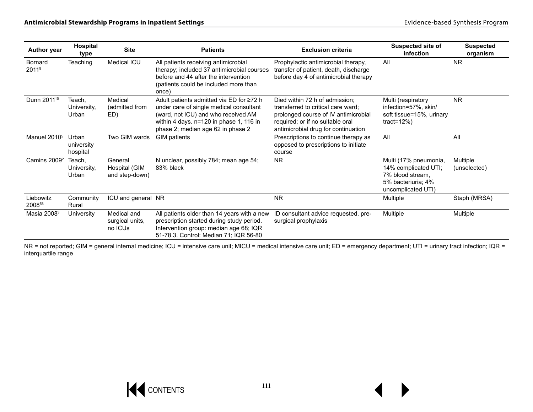| <b>Author year</b>                  | <b>Hospital</b><br>type         | <b>Site</b>                                           | <b>Patients</b>                                                                                                                                                                                            | <b>Exclusion criteria</b>                                                                                                                                                               | Suspected site of<br>infection                                                                                | <b>Suspected</b><br>organism |
|-------------------------------------|---------------------------------|-------------------------------------------------------|------------------------------------------------------------------------------------------------------------------------------------------------------------------------------------------------------------|-----------------------------------------------------------------------------------------------------------------------------------------------------------------------------------------|---------------------------------------------------------------------------------------------------------------|------------------------------|
| <b>Bornard</b><br>2011 <sup>9</sup> | Teaching                        | Medical ICU                                           | All patients receiving antimicrobial<br>therapy; included 37 antimicrobial courses<br>before and 44 after the intervention<br>(patients could be included more than<br>once)                               | Prophylactic antimicrobial therapy,<br>transfer of patient, death, discharge<br>before day 4 of antimicrobial therapy                                                                   | All                                                                                                           | <b>NR</b>                    |
| Dunn 2011 <sup>10</sup>             | Teach,<br>University,<br>Urban  | Medical<br>(admitted from<br>ED)                      | Adult patients admitted via ED for ≥72 h<br>under care of single medical consultant<br>(ward, not ICU) and who received AM<br>within 4 days. n=120 in phase 1, 116 in<br>phase 2; median age 62 in phase 2 | Died within 72 h of admission;<br>transferred to critical care ward;<br>prolonged course of IV antimicrobial<br>required; or if no suitable oral<br>antimicrobial drug for continuation | Multi (respiratory<br>infection=57%, skin/<br>soft tissue=15%, urinary<br>tract=12%)                          | <b>NR</b>                    |
| Manuel 2010 <sup>5</sup>            | Urban<br>university<br>hospital | Two GIM wards                                         | GIM patients                                                                                                                                                                                               | Prescriptions to continue therapy as<br>opposed to prescriptions to initiate<br>course                                                                                                  | All                                                                                                           | All                          |
| Camins 2009 <sup>2</sup>            | Teach.<br>University,<br>Urban  | General<br>Hospital (GIM<br>and step-down)            | N unclear, possibly 784; mean age 54;<br>83% black                                                                                                                                                         | <b>NR</b>                                                                                                                                                                               | Multi (17% pneumonia,<br>14% complicated UTI;<br>7% blood stream,<br>5% bacteriuria; 4%<br>uncomplicated UTI) | Multiple<br>(unselected)     |
| Liebowitz<br>200858                 | Community<br>Rural              | ICU and general NR                                    |                                                                                                                                                                                                            | <b>NR</b>                                                                                                                                                                               | Multiple                                                                                                      | Staph (MRSA)                 |
| Masia 2008 <sup>3</sup>             | University                      | Medical and<br>surgical units,<br>no ICU <sub>s</sub> | All patients older than 14 years with a new<br>prescription started during study period.<br>Intervention group: median age 68; IQR<br>51-78.3. Control: Median 71; IQR 56-80                               | ID consultant advice requested, pre-<br>surgical prophylaxis                                                                                                                            | Multiple                                                                                                      | Multiple                     |

NR = not reported; GIM = general internal medicine; ICU = intensive care unit; MICU = medical intensive care unit; ED = emergency department; UTI = urinary tract infection; IQR = interquartile range

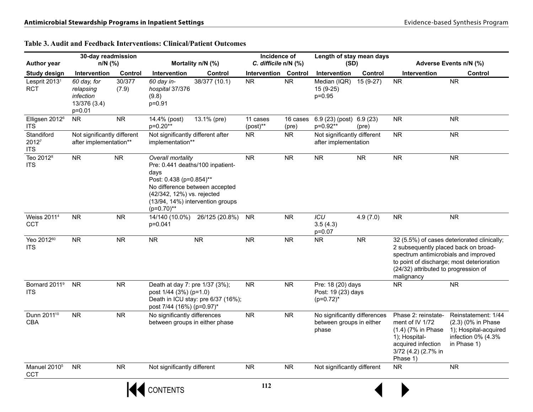| <b>Author year</b>                       | 30-day readmission<br>$n/N$ (%)                                   |                 |                                                                                                                                                                           | Mortality n/N (%)                  | Incidence of<br>C. difficile n/N (%) |                            | Length of stay mean days<br>(SD)                                  |                |                                                                                                                                                                                 | Adverse Events n/N (%)                                                                                  |
|------------------------------------------|-------------------------------------------------------------------|-----------------|---------------------------------------------------------------------------------------------------------------------------------------------------------------------------|------------------------------------|--------------------------------------|----------------------------|-------------------------------------------------------------------|----------------|---------------------------------------------------------------------------------------------------------------------------------------------------------------------------------|---------------------------------------------------------------------------------------------------------|
| Study design                             | Intervention                                                      | Control         | Intervention                                                                                                                                                              | Control                            | <b>Intervention Control</b>          |                            | Intervention                                                      | Control        | Intervention                                                                                                                                                                    | Control                                                                                                 |
| Lesprit 2013 <sup>1</sup><br><b>RCT</b>  | 60 day, for<br>relapsing<br>infection<br>13/376 (3.4)<br>$p=0.01$ | 30/377<br>(7.9) | 60 day in-<br>hospital 37/376<br>(9.8)<br>p=0.91                                                                                                                          | 38/377 (10.1)                      | <b>NR</b>                            | $\overline{\text{NR}}$     | Median (IQR)<br>15 (9-25)<br>p=0.95                               | $15(9-27)$     | $\overline{\text{NR}}$                                                                                                                                                          | $\overline{\text{NR}}$                                                                                  |
| Elligsen 2012 <sup>6</sup><br><b>ITS</b> | <b>NR</b>                                                         | <b>NR</b>       | 14.4% (post)<br>p=0.20**                                                                                                                                                  | 13.1% (pre)                        | 11 cases<br>(post)**                 | 16 cases<br>$(\text{pre})$ | 6.9 (23) (post) 6.9 (23)<br>p=0.92**                              | $(\text{pre})$ | <b>NR</b>                                                                                                                                                                       | <b>NR</b>                                                                                               |
| Standiford<br>20127<br><b>ITS</b>        | Not significantly different<br>after implementation**             |                 | Not significantly different after<br>implementation**                                                                                                                     |                                    | <b>NR</b>                            | <b>NR</b>                  | Not significantly different<br>after implementation               |                | <b>NR</b>                                                                                                                                                                       | <b>NR</b>                                                                                               |
| Teo 2012 <sup>8</sup><br><b>ITS</b>      | <b>NR</b>                                                         | <b>NR</b>       | Overall mortality<br>Pre: 0.441 deaths/100 inpatient-<br>days<br>Post: 0.438 (p=0.854)**<br>No difference between accepted<br>(42/342, 12%) vs. rejected<br>$(p=0.70)$ ** | (13/94, 14%) intervention groups   | <b>NR</b>                            | <b>NR</b>                  | <b>NR</b>                                                         | <b>NR</b>      | <b>NR</b>                                                                                                                                                                       | <b>NR</b>                                                                                               |
| Weiss 2011 <sup>4</sup><br><b>CCT</b>    | <b>NR</b>                                                         | <b>NR</b>       | 14/140 (10.0%)<br>p=0.041                                                                                                                                                 | 26/125 (20.8%)                     | <b>NR</b>                            | <b>NR</b>                  | ICU<br>3.5(4.3)<br>p=0.07                                         | 4.9(7.0)       | <b>NR</b>                                                                                                                                                                       | <b>NR</b>                                                                                               |
| Yeo 2012 <sup>60</sup><br><b>ITS</b>     | <b>NR</b>                                                         | <b>NR</b>       | <b>NR</b>                                                                                                                                                                 | <b>NR</b>                          | <b>NR</b>                            | <b>NR</b>                  | <b>NR</b>                                                         | <b>NR</b>      | 2 subsequently placed back on broad-<br>spectrum antimicrobials and improved<br>to point of discharge; most deterioration<br>(24/32) attributed to progression of<br>malignancy | 32 (5.5%) of cases deteriorated clinically;                                                             |
| Bornard 2011 <sup>9</sup><br><b>ITS</b>  | <b>NR</b>                                                         | <b>NR</b>       | Death at day 7: pre 1/37 (3%);<br>post 1/44 (3%) (p=1.0)<br>post 7/44 (16%) (p=0.97)*                                                                                     | Death in ICU stay: pre 6/37 (16%); | <b>NR</b>                            | <b>NR</b>                  | Pre: 18 (20) days<br>Post: 19 (23) days<br>$(p=0.72)^*$           |                | <b>NR</b>                                                                                                                                                                       | <b>NR</b>                                                                                               |
| Dunn 2011 <sup>10</sup><br><b>CBA</b>    | ${\sf NR}$                                                        | <b>NR</b>       | No significantly differences<br>between groups in either phase                                                                                                            |                                    | <b>NR</b>                            | <b>NR</b>                  | No significantly differences<br>between groups in either<br>phase |                | Phase 2: reinstate-<br>ment of IV 1/72<br>(1.4) (7% in Phase<br>1); Hospital-<br>acquired infection<br>3/72 (4.2) (2.7% in<br>Phase 1)                                          | Reinstatement: 1/44<br>(2.3) (0% in Phase<br>1); Hospital-acquired<br>infection 0% (4.3%<br>in Phase 1) |
| Manuel 2010 <sup>5</sup><br>CCT          | <b>NR</b>                                                         | <b>NR</b>       | Not significantly different                                                                                                                                               |                                    | <b>NR</b>                            | <b>NR</b>                  | Not significantly different                                       |                | <b>NR</b>                                                                                                                                                                       | ${\sf NR}$                                                                                              |
|                                          |                                                                   |                 | <b>CONTENTS</b>                                                                                                                                                           |                                    | 112                                  |                            |                                                                   |                |                                                                                                                                                                                 |                                                                                                         |

# **Table 3. Audit and Feedback Interventions: Clinical/Patient Outcomes**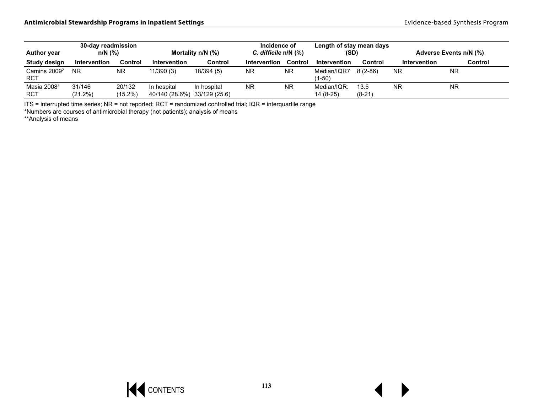| 30-day readmission<br>$n/N$ (%)<br><b>Author year</b> |                   |                   | Mortality $n/N$ (%)                         |             | Incidence of<br>C. difficile $n/N$ (%) |           | Length of stay mean days<br>(SD) |                  | Adverse Events n/N (%) |         |
|-------------------------------------------------------|-------------------|-------------------|---------------------------------------------|-------------|----------------------------------------|-----------|----------------------------------|------------------|------------------------|---------|
| <b>Study design</b>                                   | Intervention      | Control           | <b>Intervention</b>                         | Control     | Intervention                           | Control   | <b>Intervention</b>              | Control          | <b>Intervention</b>    | Control |
| Camins 2009 <sup>2</sup><br><b>RCT</b>                | <b>NR</b>         | <b>NR</b>         | 11/390(3)                                   | 18/394(5)   | <b>NR</b>                              | <b>NR</b> | Median/IQR7<br>$(1-50)$          | $8(2-86)$        | <b>NR</b>              | NR      |
| Masia 2008 <sup>3</sup><br><b>RCT</b>                 | 31/146<br>(21.2%) | 20/132<br>(15.2%) | In hospital<br>40/140 (28.6%) 33/129 (25.6) | In hospital | <b>NR</b>                              | <b>NR</b> | Median/IQR:<br>$14(8-25)$        | 13.5<br>$(8-21)$ | <b>NR</b>              | NR      |

ITS = interrupted time series; NR = not reported; RCT = randomized controlled trial; IQR = interquartile range

\*Numbers are courses of antimicrobial therapy (not patients); analysis of means

\*\*Analysis of means

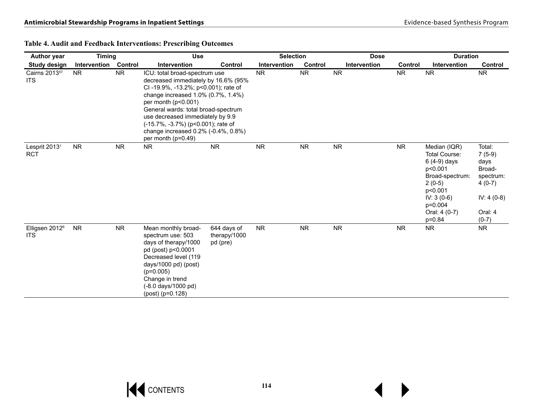| Table 4. Audit and Feedback Interventions: Prescribing Outcomes |  |  |  |  |
|-----------------------------------------------------------------|--|--|--|--|
|-----------------------------------------------------------------|--|--|--|--|

| <b>Author year</b>                       | <b>Timing</b> |                | <b>Use</b>                                                                                                                                                                                                                                                                                                                                             |                                         | <b>Selection</b> |           | <b>Dose</b>  |           | <b>Duration</b>                                                                                                                                                    |                                                                                                     |
|------------------------------------------|---------------|----------------|--------------------------------------------------------------------------------------------------------------------------------------------------------------------------------------------------------------------------------------------------------------------------------------------------------------------------------------------------------|-----------------------------------------|------------------|-----------|--------------|-----------|--------------------------------------------------------------------------------------------------------------------------------------------------------------------|-----------------------------------------------------------------------------------------------------|
| <b>Study design</b>                      | Intervention  | <b>Control</b> | <b>Intervention</b>                                                                                                                                                                                                                                                                                                                                    | Control                                 | Intervention     | Control   | Intervention | Control   | Intervention                                                                                                                                                       | Control                                                                                             |
| Cairns 2013 <sup>57</sup><br><b>ITS</b>  | <b>NR</b>     | <b>NR</b>      | ICU: total broad-spectrum use<br>decreased immediately by 16.6% (95%<br>CI-19.9%, -13.2%; p<0.001); rate of<br>change increased 1.0% (0.7%, 1.4%)<br>per month (p<0.001)<br>General wards: total broad-spectrum<br>use decreased immediately by 9.9<br>(-15.7%, -3.7%) (p<0.001); rate of<br>change increased 0.2% (-0.4%, 0.8%)<br>per month (p=0.49) |                                         | <b>NR</b>        | <b>NR</b> | <b>NR</b>    | <b>NR</b> | <b>NR</b>                                                                                                                                                          | ${\sf NR}$                                                                                          |
| Lesprit 2013 <sup>1</sup><br><b>RCT</b>  | <b>NR</b>     | <b>NR</b>      | <b>NR</b>                                                                                                                                                                                                                                                                                                                                              | <b>NR</b>                               | <b>NR</b>        | <b>NR</b> | <b>NR</b>    | <b>NR</b> | Median (IQR)<br><b>Total Course:</b><br>$6(4-9)$ days<br>p<0.001<br>Broad-spectrum:<br>$2(0-5)$<br>p<0.001<br>$IV: 3(0-6)$<br>$p=0.004$<br>Oral: 4 (0-7)<br>p=0.84 | Total:<br>$7(5-9)$<br>days<br>Broad-<br>spectrum:<br>$4(0-7)$<br>IV: $4(0-8)$<br>Oral: 4<br>$(0-7)$ |
| Elligsen 2012 <sup>6</sup><br><b>ITS</b> | <b>NR</b>     | <b>NR</b>      | Mean monthly broad-<br>spectrum use: 503<br>days of therapy/1000<br>pd (post) p<0.0001<br>Decreased level (119<br>days/1000 pd) (post)<br>$(p=0.005)$<br>Change in trend<br>(-8.0 days/1000 pd)<br>(post) (p=0.128)                                                                                                                                    | 644 days of<br>therapy/1000<br>pd (pre) | <b>NR</b>        | <b>NR</b> | <b>NR</b>    | <b>NR</b> | <b>NR</b>                                                                                                                                                          | <b>NR</b>                                                                                           |

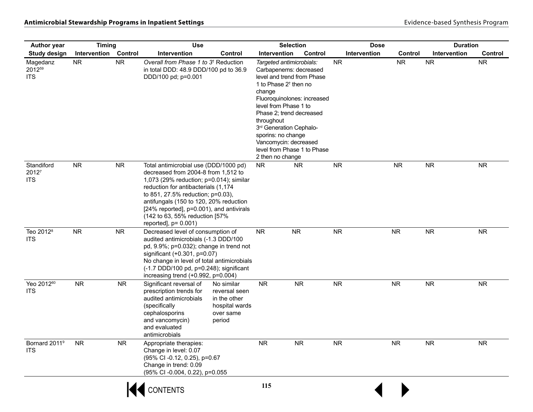| <b>Author year</b>                      | <b>Timing</b> |           | <b>Use</b>                                                                                                                                                                                                                                                                                                                                              | <b>Selection</b>                                                                                                                                                                                                                                                                                                                                     |  | <b>Dose</b>  |           | <b>Duration</b> |           |
|-----------------------------------------|---------------|-----------|---------------------------------------------------------------------------------------------------------------------------------------------------------------------------------------------------------------------------------------------------------------------------------------------------------------------------------------------------------|------------------------------------------------------------------------------------------------------------------------------------------------------------------------------------------------------------------------------------------------------------------------------------------------------------------------------------------------------|--|--------------|-----------|-----------------|-----------|
| <b>Study design</b>                     | Intervention  | Control   | Intervention<br><b>Control</b>                                                                                                                                                                                                                                                                                                                          | Intervention<br>Control                                                                                                                                                                                                                                                                                                                              |  | Intervention | Control   | Intervention    | Control   |
| Magedanz<br>201259<br><b>ITS</b>        | <b>NR</b>     | <b>NR</b> | Overall from Phase 1 to 3 <sup>t</sup> Reduction<br>in total DDD: 48.9 DDD/100 pd to 36.9<br>DDD/100 pd; p=0.001                                                                                                                                                                                                                                        | Targeted antimicrobials:<br>Carbapenems: decreased<br>level and trend from Phase<br>1 to Phase $2†$ then no<br>change<br>Fluoroquinolones: increased<br>level from Phase 1 to<br>Phase 2; trend decreased<br>throughout<br>3rd Generation Cephalo-<br>sporins: no change<br>Vancomycin: decreased<br>level from Phase 1 to Phase<br>2 then no change |  | NR           | <b>NR</b> | <b>NR</b>       | <b>NR</b> |
| Standiford<br>20127<br><b>ITS</b>       | <b>NR</b>     | <b>NR</b> | Total antimicrobial use (DDD/1000 pd)<br>decreased from 2004-8 from 1,512 to<br>1,073 (29% reduction; p=0.014); similar<br>reduction for antibacterials (1,174<br>to 851, 27.5% reduction; p=0.03),<br>antifungals (150 to 120, 20% reduction<br>[24% reported], p=0.001), and antivirals<br>(142 to 63, 55% reduction [57%<br>reported], $p = 0.001$ ) | <b>NR</b><br><b>NR</b>                                                                                                                                                                                                                                                                                                                               |  | <b>NR</b>    | <b>NR</b> | <b>NR</b>       | <b>NR</b> |
| Teo 2012 <sup>8</sup><br><b>ITS</b>     | <b>NR</b>     | <b>NR</b> | Decreased level of consumption of<br>audited antimicrobials (-1.3 DDD/100<br>pd, 9.9%; p=0.032); change in trend not<br>significant (+0.301, p=0.07)<br>No change in level of total antimicrobials<br>(-1.7 DDD/100 pd, p=0.248); significant<br>increasing trend $(+0.992, p=0.004)$                                                                   | <b>NR</b><br><b>NR</b>                                                                                                                                                                                                                                                                                                                               |  | <b>NR</b>    | <b>NR</b> | <b>NR</b>       | <b>NR</b> |
| Yeo 2012 <sup>60</sup><br><b>ITS</b>    | <b>NR</b>     | <b>NR</b> | Significant reversal of<br>No similar<br>prescription trends for<br>reversal seen<br>audited antimicrobials<br>in the other<br>(specifically<br>hospital wards<br>cephalosporins<br>over same<br>and vancomycin)<br>period<br>and evaluated<br>antimicrobials                                                                                           | <b>NR</b><br><b>NR</b>                                                                                                                                                                                                                                                                                                                               |  | <b>NR</b>    | <b>NR</b> | <b>NR</b>       | <b>NR</b> |
| Bornard 2011 <sup>9</sup><br><b>ITS</b> | <b>NR</b>     | <b>NR</b> | Appropriate therapies:<br>Change in level: 0.07<br>(95% CI-0.12, 0.25), p=0.67<br>Change in trend: 0.09<br>(95% CI-0.004, 0.22), p=0.055                                                                                                                                                                                                                | <b>NR</b><br><b>NR</b>                                                                                                                                                                                                                                                                                                                               |  | <b>NR</b>    | <b>NR</b> | <b>NR</b>       | <b>NR</b> |

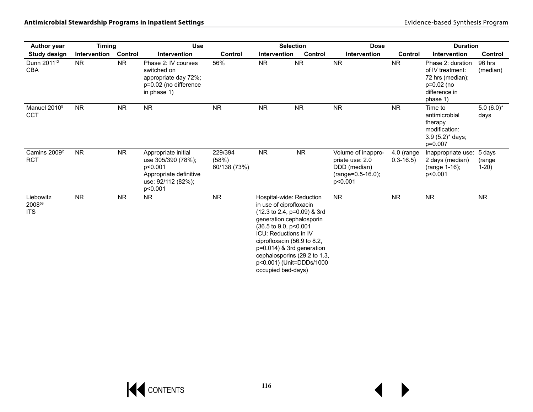| <b>Author year</b>                     | <b>Timing</b> |           | <b>Use</b>                                                                                                      |                                  |                                                                                                                                                                                                                                                                                                                | <b>Selection</b> | <b>Dose</b>                                                                             |                            | <b>Duration</b>                                                                                      |                              |
|----------------------------------------|---------------|-----------|-----------------------------------------------------------------------------------------------------------------|----------------------------------|----------------------------------------------------------------------------------------------------------------------------------------------------------------------------------------------------------------------------------------------------------------------------------------------------------------|------------------|-----------------------------------------------------------------------------------------|----------------------------|------------------------------------------------------------------------------------------------------|------------------------------|
| <b>Study design</b>                    | Intervention  | Control   | <b>Intervention</b>                                                                                             | Control                          | Intervention                                                                                                                                                                                                                                                                                                   | Control          | <b>Intervention</b>                                                                     | Control                    | Intervention                                                                                         | Control                      |
| Dunn 2011 <sup>12</sup><br><b>CBA</b>  | <b>NR</b>     | <b>NR</b> | Phase 2: IV courses<br>switched on<br>appropriate day 72%;<br>p=0.02 (no difference<br>in phase 1)              | 56%                              | <b>NR</b>                                                                                                                                                                                                                                                                                                      | <b>NR</b>        | <b>NR</b>                                                                               | <b>NR</b>                  | Phase 2: duration<br>of IV treatment:<br>72 hrs (median);<br>p=0.02 (no<br>difference in<br>phase 1) | 96 hrs<br>(median)           |
| Manuel 2010 <sup>5</sup><br><b>CCT</b> | <b>NR</b>     | <b>NR</b> | <b>NR</b>                                                                                                       | <b>NR</b>                        | <b>NR</b>                                                                                                                                                                                                                                                                                                      | <b>NR</b>        | <b>NR</b>                                                                               | <b>NR</b>                  | Time to<br>antimicrobial<br>therapy<br>modification:<br>$3.9(5.2)$ * days;<br>$p=0.007$              | $5.0(6.0)^{*}$<br>days       |
| Camins 2009 <sup>2</sup><br><b>RCT</b> | <b>NR</b>     | <b>NR</b> | Appropriate initial<br>use 305/390 (78%);<br>p<0.001<br>Appropriate definitive<br>use: 92/112 (82%);<br>p<0.001 | 229/394<br>(58%)<br>60/138 (73%) | <b>NR</b>                                                                                                                                                                                                                                                                                                      | <b>NR</b>        | Volume of inappro-<br>priate use: 2.0<br>DDD (median)<br>$(range=0.5-16.0);$<br>p<0.001 | 4.0 (range<br>$0.3 - 16.5$ | Inappropriate use:<br>2 days (median)<br>(range 1-16);<br>p<0.001                                    | 5 days<br>(range<br>$1-20$ ) |
| Liebowitz<br>200858<br><b>ITS</b>      | <b>NR</b>     | <b>NR</b> | <b>NR</b>                                                                                                       | <b>NR</b>                        | Hospital-wide: Reduction<br>in use of ciprofloxacin<br>(12.3 to 2.4, p=0.09) & 3rd<br>generation cephalosporin<br>(36.5 to 9.0, p<0.001<br>ICU: Reductions in IV<br>ciprofloxacin (56.9 to 8.2,<br>p=0.014) & 3rd generation<br>cephalosporins (29.2 to 1.3,<br>p<0.001) (Unit=DDDs/1000<br>occupied bed-days) |                  | <b>NR</b>                                                                               | <b>NR</b>                  | <b>NR</b>                                                                                            | <b>NR</b>                    |

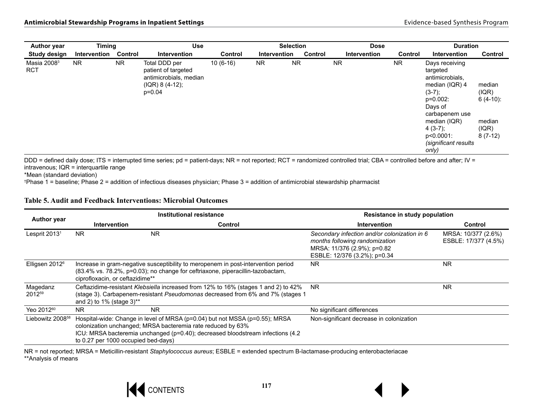| <b>Author year</b>           | <b>Timing</b> |           | <b>Use</b>                                                                                      |            | <b>Selection</b>    |           |         |           | <b>Dose</b>         |           | <b>Duration</b>                                                                                                                                                                                    |                                                                 |
|------------------------------|---------------|-----------|-------------------------------------------------------------------------------------------------|------------|---------------------|-----------|---------|-----------|---------------------|-----------|----------------------------------------------------------------------------------------------------------------------------------------------------------------------------------------------------|-----------------------------------------------------------------|
| <b>Study design</b>          | Intervention  | Control   | <b>Intervention</b>                                                                             | Control    | <b>Intervention</b> |           | Control |           | <b>Intervention</b> | Control   | <b>Intervention</b>                                                                                                                                                                                | Control                                                         |
| Masia 2008 $3$<br><b>RCT</b> | <b>NR</b>     | <b>NR</b> | Total DDD per<br>patient of targeted<br>antimicrobials, median<br>$(IQR) 8 (4-12);$<br>$p=0.04$ | $10(6-16)$ | <b>NR</b>           | <b>NR</b> |         | <b>NR</b> |                     | <b>NR</b> | Days receiving<br>targeted<br>antimicrobials,<br>median (IQR) 4<br>$(3-7);$<br>$p=0.002$ :<br>Days of<br>carbapenem use<br>median (IQR)<br>$4(3-7);$<br>p<0.0001:<br>(significant results<br>only) | median<br>( IQR)<br>$6(4-10)$ :<br>median<br>(IQR)<br>$8(7-12)$ |

DDD = defined daily dose; ITS = interrupted time series; pd = patient-days; NR = not reported; RCT = randomized controlled trial; CBA = controlled before and after; IV = intravenous; IQR = interquartile range

\*Mean (standard deviation)

†Phase 1 = baseline; Phase 2 = addition of infectious diseases physician; Phase 3 = addition of antimicrobial stewardship pharmacist

### **Table 5. Audit and Feedback Interventions: Microbial Outcomes**

| <b>Author year</b>             |                                     | Institutional resistance                                                                                                                                                                                                          | Resistance in study population                                                                                                                |                                             |
|--------------------------------|-------------------------------------|-----------------------------------------------------------------------------------------------------------------------------------------------------------------------------------------------------------------------------------|-----------------------------------------------------------------------------------------------------------------------------------------------|---------------------------------------------|
|                                | <b>Intervention</b>                 | Control                                                                                                                                                                                                                           | <b>Intervention</b>                                                                                                                           | Control                                     |
| Lesprit 2013 <sup>1</sup>      | <b>NR</b><br><b>NR</b>              |                                                                                                                                                                                                                                   | Secondary infection and/or colonization in 6<br>months following randomization<br>MRSA: 11/376 (2.9%); p=0.82<br>ESBLE: 12/376 (3.2%); p=0.34 | MRSA: 10/377 (2.6%)<br>ESBLE: 17/377 (4.5%) |
| Elligsen 2012 <sup>6</sup>     | ciprofloxacin, or ceftazidime**     | Increase in gram-negative susceptibility to meropenem in post-intervention period<br>(83.4% vs. 78.2%, p=0.03); no change for ceftriaxone, piperacillin-tazobactam,                                                               | <b>NR</b>                                                                                                                                     | NR.                                         |
| Magedanz<br>2012 <sup>59</sup> | and 2) to $1\%$ (stage $3$ )**      | Ceftazidime-resistant Klebsiella increased from 12% to 16% (stages 1 and 2) to 42%<br>(stage 3). Carbapenem-resistant Pseudomonas decreased from 6% and 7% (stages 1                                                              | <b>NR</b>                                                                                                                                     | NR.                                         |
| Yeo 2012 <sup>60</sup>         | <b>NR</b><br><b>NR</b>              |                                                                                                                                                                                                                                   | No significant differences                                                                                                                    |                                             |
| Liebowitz 2008 <sup>58</sup>   | to 0.27 per 1000 occupied bed-days) | Hospital-wide: Change in level of MRSA (p=0.04) but not MSSA (p=0.55); MRSA<br>colonization unchanged; MRSA bacteremia rate reduced by 63%<br>ICU: MRSA bacteremia unchanged ( $p=0.40$ ); decreased bloodstream infections (4.2) | Non-significant decrease in colonization                                                                                                      |                                             |

NR = not reported; MRSA = Meticillin-resistant *Staphylococcus aureus*; ESBLE = extended spectrum Β-lactamase-producing enterobacteriacae \*\*Analysis of means

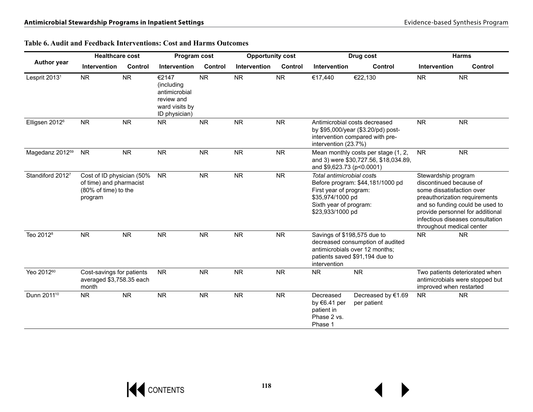#### **Author year** Intervention Control Intervention Control Intervention Control Intervention Control Intervention Control Lesprit 2013<sup>1</sup> NR NR  $\epsilon$ 2147 (including antimicrobial review and ward visits by ID physician) NR NR NR €17,440 €22,130 NR NR Elligsen 2012<sup>6</sup> NR NR NR NR NR NR NR Antimicrobial costs decreased by \$95,000/year (\$3.20/pd) postintervention compared with preintervention (23.7%) NR NR Magedanz 2012<sup>59</sup> NR NR NR NR NR NR NR Mean monthly costs per stage (1, 2, and 3) were \$30,727.56, \$18,034.89, and \$9,623.73 (p<0.0001) NR NR Standiford 2012<sup>7</sup> Cost of ID physician (50%) of time) and pharmacist (80% of time) to the program NR NR NR NR *Total antimicrobial cost*s Before program: \$44,181/1000 pd First year of program: \$35,974/1000 pd Sixth year of program: \$23,933/1000 pd Stewardship program discontinued because of some dissatisfaction over preauthorization requirements and so funding could be used to provide personnel for additional infectious diseases consultation throughout medical center Teo 2012<sup>8</sup> NR NR NR NR NR NR NR Savings of \$198,575 due to decreased consumption of audited antimicrobials over 12 months; patients saved \$91,194 due to intervention NR NR Yeo 2012<sup>60</sup> Cost-savings for patients averaged \$3,758.35 each month NR NR NR NR NR NR NR NR NR NR Two patients deteriorated when antimicrobials were stopped but improved when restarted Dunn 2011<sup>10</sup> NR NR NR NR NR NR Decreased by €6.41 per patient in Phase 2 vs. Decreased by €1.69 per patient NR NR

**Healthcare cost Program cost Opportunity cost Drug cost Harms**

#### **Table 6. Audit and Feedback Interventions: Cost and Harms Outcomes**



Phase 1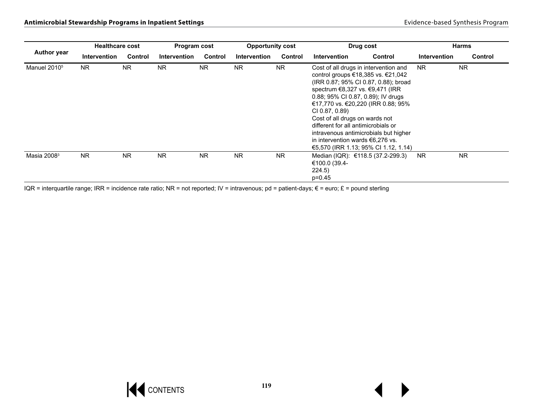|                          | <b>Healthcare cost</b> |           | Program cost        |           | <b>Opportunity cost</b> |           |                                                                                                                                                                                                                                                                                                                                                                                                                                                      | Drug cost | <b>Harms</b>        |           |
|--------------------------|------------------------|-----------|---------------------|-----------|-------------------------|-----------|------------------------------------------------------------------------------------------------------------------------------------------------------------------------------------------------------------------------------------------------------------------------------------------------------------------------------------------------------------------------------------------------------------------------------------------------------|-----------|---------------------|-----------|
| <b>Author year</b>       | <b>Intervention</b>    | Control   | <b>Intervention</b> | Control   | <b>Intervention</b>     | Control   | <b>Intervention</b>                                                                                                                                                                                                                                                                                                                                                                                                                                  | Control   | <b>Intervention</b> | Control   |
| Manuel 2010 <sup>5</sup> | <b>NR</b>              | <b>NR</b> | <b>NR</b>           | <b>NR</b> | <b>NR</b>               | <b>NR</b> | Cost of all drugs in intervention and<br>control groups €18,385 vs. €21,042<br>(IRR 0.87; 95% CI 0.87, 0.88); broad<br>spectrum €8,327 vs. €9,471 (IRR<br>0.88; 95% CI 0.87, 0.89); IV drugs<br>€17,770 vs. €20,220 (IRR 0.88; 95%<br>CI 0.87, 0.89)<br>Cost of all drugs on wards not<br>different for all antimicrobials or<br>intravenous antimicrobials but higher<br>in intervention wards $€6,276$ vs.<br>€5,570 (IRR 1.13; 95% CI 1.12, 1.14) |           | <b>NR</b>           | <b>NR</b> |
| Masia 2008 <sup>3</sup>  | <b>NR</b>              | <b>NR</b> | <b>NR</b>           | <b>NR</b> | <b>NR</b>               | <b>NR</b> | Median (IQR): €118.5 (37.2-299.3)<br>€100.0 (39.4-<br>224.5<br>$p=0.45$                                                                                                                                                                                                                                                                                                                                                                              |           | <b>NR</b>           | <b>NR</b> |

IQR = interquartile range; IRR = incidence rate ratio; NR = not reported; IV = intravenous; pd = patient-days; € = euro; £ = pound sterling

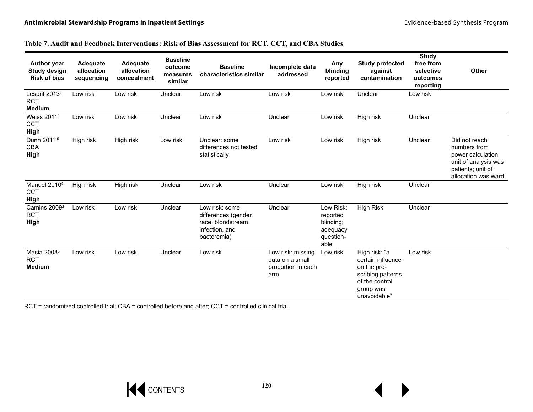### **Table 7. Audit and Feedback Interventions: Risk of Bias Assessment for RCT, CCT, and CBA Studies**

| <b>Author year</b><br><b>Study design</b><br><b>Risk of bias</b> | Adequate<br>allocation<br>sequencing | Adequate<br>allocation<br>concealment | <b>Baseline</b><br>outcome<br>measures<br>similar | <b>Baseline</b><br>characteristics similar                                                   | Incomplete data<br>addressed                                      | Any<br>blinding<br>reported                                         | <b>Study protected</b><br>against<br>contamination                                                                    | <b>Study</b><br>free from<br>selective<br>outcomes<br>reporting | Other                                                                                                                   |
|------------------------------------------------------------------|--------------------------------------|---------------------------------------|---------------------------------------------------|----------------------------------------------------------------------------------------------|-------------------------------------------------------------------|---------------------------------------------------------------------|-----------------------------------------------------------------------------------------------------------------------|-----------------------------------------------------------------|-------------------------------------------------------------------------------------------------------------------------|
| Lesprit 2013 <sup>1</sup><br><b>RCT</b><br><b>Medium</b>         | Low risk                             | Low risk                              | Unclear                                           | Low risk                                                                                     | Low risk                                                          | Low risk                                                            | Unclear                                                                                                               | Low risk                                                        |                                                                                                                         |
| Weiss 2011 <sup>4</sup><br><b>CCT</b><br>High                    | Low risk                             | Low risk                              | Unclear                                           | Low risk                                                                                     | Unclear                                                           | Low risk                                                            | High risk                                                                                                             | Unclear                                                         |                                                                                                                         |
| Dunn 2011 <sup>10</sup><br><b>CBA</b><br>High                    | High risk                            | High risk                             | Low risk                                          | Unclear: some<br>differences not tested<br>statistically                                     | Low risk                                                          | Low risk                                                            | High risk                                                                                                             | Unclear                                                         | Did not reach<br>numbers from<br>power calculation;<br>unit of analysis was<br>patients; unit of<br>allocation was ward |
| Manuel 2010 <sup>5</sup><br><b>CCT</b><br>High                   | High risk                            | High risk                             | Unclear                                           | Low risk                                                                                     | Unclear                                                           | Low risk                                                            | High risk                                                                                                             | Unclear                                                         |                                                                                                                         |
| Camins 2009 <sup>2</sup><br><b>RCT</b><br>High                   | Low risk                             | Low risk                              | Unclear                                           | Low risk: some<br>differences (gender,<br>race, bloodstream<br>infection, and<br>bacteremia) | Unclear                                                           | Low Risk:<br>reported<br>blinding;<br>adequacy<br>question-<br>able | <b>High Risk</b>                                                                                                      | Unclear                                                         |                                                                                                                         |
| Masia 2008 <sup>3</sup><br><b>RCT</b><br><b>Medium</b>           | Low risk                             | Low risk                              | Unclear                                           | Low risk                                                                                     | Low risk: missing<br>data on a small<br>proportion in each<br>arm | Low risk                                                            | High risk: "a<br>certain influence<br>on the pre-<br>scribing patterns<br>of the control<br>group was<br>unavoidable" | Low risk                                                        |                                                                                                                         |

RCT = randomized controlled trial; CBA = controlled before and after; CCT = controlled clinical trial

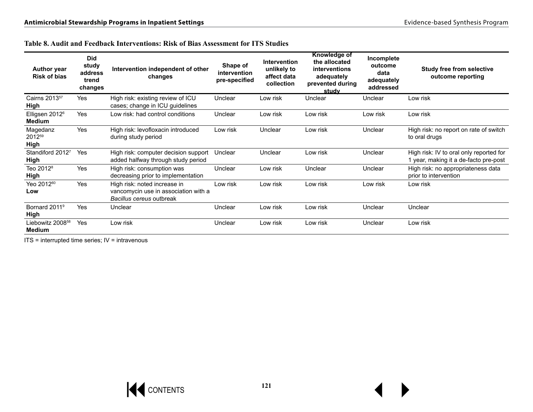# **Table 8. Audit and Feedback Interventions: Risk of Bias Assessment for ITS Studies**

| <b>Author year</b><br><b>Risk of bias</b>     | <b>Did</b><br>study<br>address<br>trend<br>changes | Intervention independent of other<br>changes                                                     | Shape of<br>intervention<br>pre-specified | Intervention<br>unlikely to<br>affect data<br>collection | <b>Knowledge of</b><br>the allocated<br>interventions<br>adequately<br>prevented during<br>study | Incomplete<br>outcome<br>data<br>adequately<br>addressed | <b>Study free from selective</b><br>outcome reporting                          |
|-----------------------------------------------|----------------------------------------------------|--------------------------------------------------------------------------------------------------|-------------------------------------------|----------------------------------------------------------|--------------------------------------------------------------------------------------------------|----------------------------------------------------------|--------------------------------------------------------------------------------|
| Cairns 2013 <sup>57</sup><br>High             | <b>Yes</b>                                         | High risk: existing review of ICU<br>cases; change in ICU guidelines                             | Unclear                                   | Low risk                                                 | Unclear                                                                                          | Unclear                                                  | Low risk                                                                       |
| Elligsen 2012 <sup>6</sup><br><b>Medium</b>   | <b>Yes</b>                                         | Low risk: had control conditions                                                                 | Unclear                                   | Low risk                                                 | Low risk                                                                                         | Low risk                                                 | Low risk                                                                       |
| Magedanz<br>201259<br>High                    | Yes                                                | High risk: levofloxacin introduced<br>during study period                                        | Low risk                                  | Unclear                                                  | Low risk                                                                                         | Unclear                                                  | High risk: no report on rate of switch<br>to oral drugs                        |
| Standiford 20127<br>High                      | Yes                                                | High risk: computer decision support<br>added halfway through study period                       | Unclear                                   | Unclear                                                  | Low risk                                                                                         | Unclear                                                  | High risk: IV to oral only reported for<br>year, making it a de-facto pre-post |
| Teo 2012 <sup>8</sup><br>High                 | Yes                                                | High risk: consumption was<br>decreasing prior to implementation                                 | Unclear                                   | Low risk                                                 | Unclear                                                                                          | Unclear                                                  | High risk: no appropriateness data<br>prior to intervention                    |
| Yeo 2012 <sup>60</sup><br>Low                 | <b>Yes</b>                                         | High risk: noted increase in<br>vancomycin use in association with a<br>Bacillus cereus outbreak | Low risk                                  | Low risk                                                 | Low risk                                                                                         | Low risk                                                 | Low risk                                                                       |
| Bornard 2011 <sup>9</sup><br>High             | Yes                                                | Unclear                                                                                          | Unclear                                   | Low risk                                                 | Low risk                                                                                         | Unclear                                                  | Unclear                                                                        |
| Liebowitz 2008 <sup>58</sup><br><b>Medium</b> | Yes                                                | Low risk                                                                                         | Unclear                                   | Low risk                                                 | Low risk                                                                                         | Unclear                                                  | Low risk                                                                       |

 $ITS = interrupted time series; IV = intravenous$ 

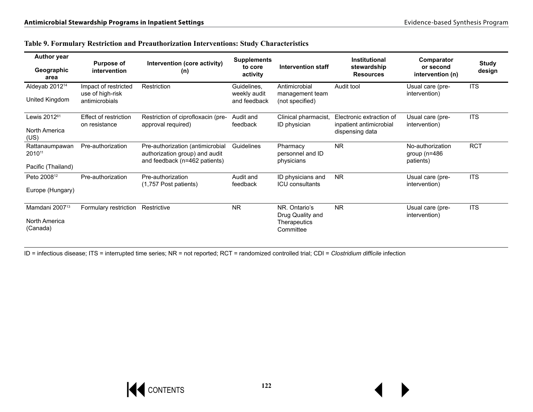| <b>Author year</b><br>Geographic<br>area                   | <b>Purpose of</b><br>intervention                          | Intervention (core activity)<br>(n)                                                                 | <b>Supplements</b><br>to core<br>activity   | Intervention staff                                             | <b>Institutional</b><br>stewardship<br><b>Resources</b>                | Comparator<br>or second<br>intervention (n)        | <b>Study</b><br>design |
|------------------------------------------------------------|------------------------------------------------------------|-----------------------------------------------------------------------------------------------------|---------------------------------------------|----------------------------------------------------------------|------------------------------------------------------------------------|----------------------------------------------------|------------------------|
| Aldeyab 2012 <sup>14</sup><br>United Kingdom               | Impact of restricted<br>use of high-risk<br>antimicrobials | Restriction                                                                                         | Guidelines,<br>weekly audit<br>and feedback | Antimicrobial<br>management team<br>(not specified)            | Audit tool                                                             | Usual care (pre-<br>intervention)                  | <b>ITS</b>             |
| Lewis 2012 <sup>61</sup><br>North America<br>(US)          | Effect of restriction<br>on resistance                     | Restriction of ciprofloxacin (pre-<br>approval required)                                            | Audit and<br>feedback                       | Clinical pharmacist,<br>ID physician                           | Electronic extraction of<br>inpatient antimicrobial<br>dispensing data | Usual care (pre-<br>intervention)                  | <b>ITS</b>             |
| Rattanaumpawan<br>2010 <sup>11</sup><br>Pacific (Thailand) | Pre-authorization                                          | Pre-authorization (antimicrobial<br>authorization group) and audit<br>and feedback (n=462 patients) | Guidelines                                  | Pharmacy<br>personnel and ID<br>physicians                     | <b>NR</b>                                                              | No-authorization<br>group ( $n = 486$<br>patients) | <b>RCT</b>             |
| Peto 2008 <sup>12</sup><br>Europe (Hungary)                | Pre-authorization                                          | Pre-authorization<br>(1,757 Post patients)                                                          | Audit and<br>feedback                       | ID physicians and<br><b>ICU</b> consultants                    | <b>NR</b>                                                              | Usual care (pre-<br>intervention)                  | <b>ITS</b>             |
| Mamdani 2007 <sup>13</sup><br>North America<br>(Canada)    | Formulary restriction                                      | Restrictive                                                                                         | <b>NR</b>                                   | NR. Ontario's<br>Drug Quality and<br>Therapeutics<br>Committee | <b>NR</b>                                                              | Usual care (pre-<br>intervention)                  | <b>ITS</b>             |

# **Table 9. Formulary Restriction and Preauthorization Interventions: Study Characteristics**

ID = infectious disease; ITS = interrupted time series; NR = not reported; RCT = randomized controlled trial; CDI = *Clostridium difficile* infection

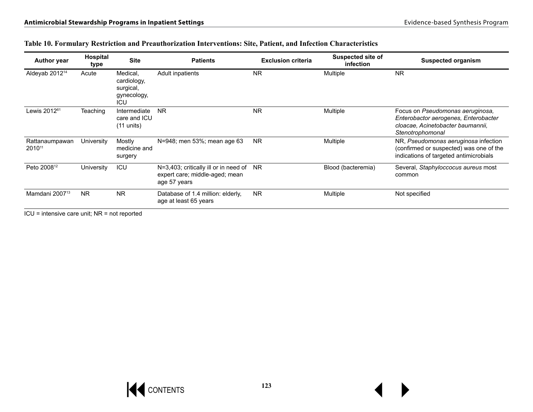| <b>Author year</b>                   | <b>Hospital</b><br>type | <b>Site</b>                                                | <b>Patients</b>                                                                         | <b>Exclusion criteria</b> | <b>Suspected site of</b><br>infection | <b>Suspected organism</b>                                                                                                         |
|--------------------------------------|-------------------------|------------------------------------------------------------|-----------------------------------------------------------------------------------------|---------------------------|---------------------------------------|-----------------------------------------------------------------------------------------------------------------------------------|
| Aldeyab 2012 <sup>14</sup>           | Acute                   | Medical,<br>cardiology,<br>surgical,<br>gynecology,<br>ICU | Adult inpatients                                                                        | <b>NR</b>                 | Multiple                              | <b>NR</b>                                                                                                                         |
| Lewis 2012 <sup>61</sup>             | Teaching                | Intermediate<br>care and ICU<br>$(11$ units)               | <b>NR</b>                                                                               | <b>NR</b>                 | Multiple                              | Focus on Pseudomonas aeruginosa,<br>Enterobactor aerogenes, Enterobacter<br>cloacae, Acinetobacter baumannii,<br>Stenotrophomonal |
| Rattanaumpawan<br>2010 <sup>11</sup> | University              | Mostly<br>medicine and<br>surgery                          | N=948; men 53%; mean age 63                                                             | <b>NR</b>                 | Multiple                              | NR, Pseudomonas aeruginosa infection<br>(confirmed or suspected) was one of the<br>indications of targeted antimicrobials         |
| Peto 2008 <sup>12</sup>              | University              | ICU                                                        | N=3,403; critically ill or in need of<br>expert care; middle-aged; mean<br>age 57 years | NR.                       | Blood (bacteremia)                    | Several, Staphyloccocus aureus most<br>common                                                                                     |
| Mamdani 2007 <sup>13</sup>           | <b>NR</b>               | <b>NR</b>                                                  | Database of 1.4 million: elderly,<br>age at least 65 years                              | <b>NR</b>                 | Multiple                              | Not specified                                                                                                                     |

# **Table 10. Formulary Restriction and Preauthorization Interventions: Site, Patient, and Infection Characteristics**

ICU = intensive care unit; NR = not reported

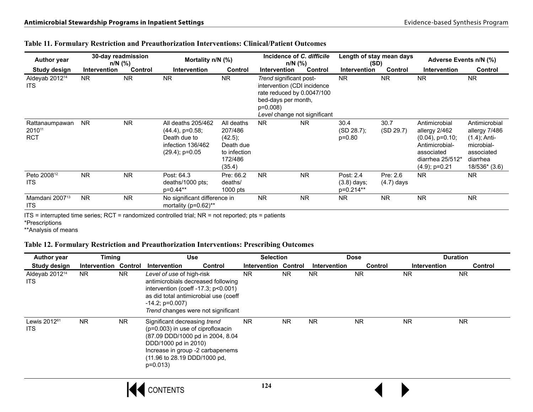| <b>Author year</b>                                 | 30-day readmission<br>$n/N$ (%) |                | Mortality n/N (%)                                                                                    |                                                                                    | Incidence of C. difficile<br>$n/N$ (%)                                                                                                                  |           | Length of stay mean days<br>(SD)        |                          | Adverse Events n/N (%)                                                                                                       |                                                                                                             |
|----------------------------------------------------|---------------------------------|----------------|------------------------------------------------------------------------------------------------------|------------------------------------------------------------------------------------|---------------------------------------------------------------------------------------------------------------------------------------------------------|-----------|-----------------------------------------|--------------------------|------------------------------------------------------------------------------------------------------------------------------|-------------------------------------------------------------------------------------------------------------|
| Study design                                       | <b>Intervention</b>             | <b>Control</b> | <b>Intervention</b>                                                                                  | Control                                                                            | <b>Intervention</b>                                                                                                                                     | Control   | Intervention                            | Control                  | <b>Intervention</b>                                                                                                          | Control                                                                                                     |
| Aldeyab 2012 <sup>14</sup><br><b>ITS</b>           | N <sub>R</sub>                  | <b>NR</b>      | <b>NR</b>                                                                                            | <b>NR</b>                                                                          | Trend significant post-<br>intervention (CDI incidence<br>rate reduced by 0.0047/100<br>bed-days per month,<br>p=0.008)<br>Level change not significant |           | <b>NR</b>                               | <b>NR</b>                | <b>NR</b>                                                                                                                    | <b>NR</b>                                                                                                   |
| Rattanaumpawan<br>2010 <sup>11</sup><br><b>RCT</b> | <b>NR</b>                       | <b>NR</b>      | All deaths 205/462<br>$(44.4)$ , p=0.58;<br>Death due to<br>infection 136/462<br>$(29.4)$ ; $p=0.05$ | All deaths<br>207/486<br>(42.5);<br>Death due<br>to infection<br>172/486<br>(35.4) | <b>NR</b>                                                                                                                                               | <b>NR</b> | 30.4<br>(SD 28.7);<br>$p=0.80$          | 30.7<br>(SD 29.7)        | Antimicrobial<br>allergy 2/462<br>$(0.04)$ , p=0.10;<br>Antimicrobial-<br>associated<br>diarrhea 25/512*<br>$(4.9)$ ; p=0.21 | Antimicrobial<br>allergy 7/486<br>$(1.4)$ ; Anti-<br>microbial-<br>associated<br>diarrhea<br>$18/536*(3.6)$ |
| Peto 2008 <sup>12</sup><br>ITS.                    | <b>NR</b>                       | <b>NR</b>      | Post: 64.3<br>deaths/1000 pts:<br>p=0.44**                                                           | Pre: 66.2<br>deaths/<br>1000 $pts$                                                 | <b>NR</b>                                                                                                                                               | <b>NR</b> | Post: 2.4<br>$(3.8)$ days;<br>p=0.214** | Pre: 2.6<br>$(4.7)$ days | <b>NR</b>                                                                                                                    | <b>NR</b>                                                                                                   |
| Mamdani 2007 <sup>13</sup><br>ITS.                 | <b>NR</b>                       | <b>NR</b>      | No significant difference in<br>mortality ( $p=0.62$ )**                                             |                                                                                    | <b>NR</b>                                                                                                                                               | <b>NR</b> | <b>NR</b>                               | <b>NR</b>                | <b>NR</b>                                                                                                                    | <b>NR</b>                                                                                                   |

# **Table 11. Formulary Restriction and Preauthorization Interventions: Clinical/Patient Outcomes**

ITS = interrupted time series; RCT = randomized controlled trial; NR = not reported; pts = patients

\*Prescriptions

\*\*Analysis of means

# **Table 12. Formulary Restriction and Preauthorization Interventions: Prescribing Outcomes**

| <b>Author year</b>                 | <b>Timing</b>               |           | Use                                                                                                                                                                                                               |         | <b>Selection</b>            |           |                     | <b>Dose</b> | <b>Duration</b>     |                |
|------------------------------------|-----------------------------|-----------|-------------------------------------------------------------------------------------------------------------------------------------------------------------------------------------------------------------------|---------|-----------------------------|-----------|---------------------|-------------|---------------------|----------------|
| <b>Study design</b>                | <b>Intervention Control</b> |           | <b>Intervention</b>                                                                                                                                                                                               | Control | <b>Intervention Control</b> |           | <b>Intervention</b> | Control     | <b>Intervention</b> | <b>Control</b> |
| Aldeyab 2012 <sup>14</sup><br>ITS. | <b>NR</b>                   | <b>NR</b> | Level of use of high-risk<br>antimicrobials decreased following<br>intervention (coeff -17.3; p<0.001)<br>as did total antimicrobial use (coeff<br>$-14.2$ ; p=0.007)<br>Trend changes were not significant       |         | <b>NR</b>                   | <b>NR</b> | <b>NR</b>           | <b>NR</b>   | <b>NR</b>           | <b>NR</b>      |
| Lewis 2012 <sup>61</sup><br>ITS.   | <b>NR</b>                   | <b>NR</b> | Significant decreasing trend<br>$(p=0.003)$ in use of ciprofloxacin<br>(87.09 DDD/1000 pd in 2004, 8.04)<br>DDD/1000 pd in 2010)<br>Increase in group -2 carbapenems<br>(11.96 to 28.19 DDD/1000 pd,<br>$p=0.013$ |         | <b>NR</b>                   | <b>NR</b> | <b>NR</b>           | <b>NR</b>   | <b>NR</b>           | <b>NR</b>      |

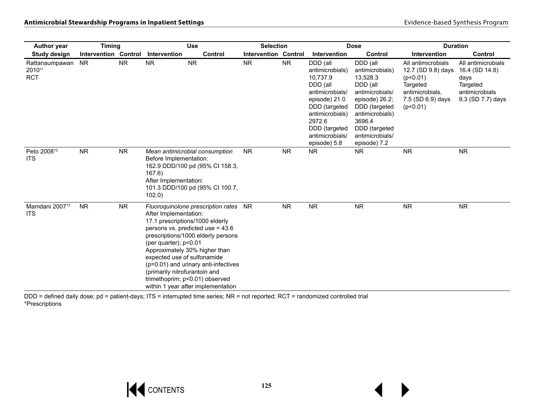| <b>Author year</b>                       | <b>Timing</b>               |           |                                                                                 | <b>Use</b>                                                                                                                                                                                                                                                                                                                           | <b>Selection</b>            |           |                                                                                                                                                                                           | <b>Dose</b>                                                                                                                                                                                | <b>Duration</b>                                                                                                      |                                                                                                 |
|------------------------------------------|-----------------------------|-----------|---------------------------------------------------------------------------------|--------------------------------------------------------------------------------------------------------------------------------------------------------------------------------------------------------------------------------------------------------------------------------------------------------------------------------------|-----------------------------|-----------|-------------------------------------------------------------------------------------------------------------------------------------------------------------------------------------------|--------------------------------------------------------------------------------------------------------------------------------------------------------------------------------------------|----------------------------------------------------------------------------------------------------------------------|-------------------------------------------------------------------------------------------------|
| Study design                             | <b>Intervention Control</b> |           | Intervention                                                                    | Control                                                                                                                                                                                                                                                                                                                              | <b>Intervention Control</b> |           | <b>Intervention</b>                                                                                                                                                                       | Control                                                                                                                                                                                    | <b>Intervention</b>                                                                                                  | Control                                                                                         |
| Rattanaumpawan<br>201011<br><b>RCT</b>   | <b>NR</b>                   | <b>NR</b> | <b>NR</b>                                                                       | <b>NR</b>                                                                                                                                                                                                                                                                                                                            | <b>NR</b>                   | <b>NR</b> | DDD (all<br>antimicrobials)<br>10,737.9<br>DDD (all<br>antimicrobials/<br>episode) 21.0<br>DDD (targeted<br>antimicrobials)<br>2972.6<br>DDD (targeted<br>antimicrobials/<br>episode) 5.8 | DDD (all<br>antimicrobials)<br>13,528.3<br>DDD (all<br>antimicrobials/<br>episode) 26.2;<br>DDD (targeted<br>antimicrobials)<br>3696.4<br>DDD (targeted<br>antimicrobials/<br>episode) 7.2 | All antimicrobials<br>12.7 (SD 9.8) days<br>(p<0.01)<br>Targeted<br>antimicrobials.<br>7.5 (SD 6.9) days<br>(p<0.01) | All antimicrobials<br>16.4 (SD 14.8)<br>days<br>Targeted<br>antimicrobials<br>9.3 (SD 7.7) days |
| Peto 2008 <sup>12</sup><br><b>ITS</b>    | <b>NR</b>                   | <b>NR</b> | Before Implementation:<br>167.6)<br>After Implementation:<br>102.0              | Mean antimicrobial consumption<br>162.9 DDD/100 pd (95% CI 158.3,<br>101.3 DDD/100 pd (95% CI 100.7,                                                                                                                                                                                                                                 | <b>NR</b>                   | <b>NR</b> | <b>NR</b>                                                                                                                                                                                 | <b>NR</b>                                                                                                                                                                                  | <b>NR</b>                                                                                                            | <b>NR</b>                                                                                       |
| Mamdani 2007 <sup>13</sup><br><b>ITS</b> | <b>NR</b>                   | <b>NR</b> | After Implementation:<br>(per quarter); p<0.01<br>(primarily nitrofurantoin and | Fluoroquinolone prescription rates NR<br>17.1 prescriptions/1000 elderly<br>persons vs. predicted use $= 43.6$<br>prescriptions/1000 elderly persons<br>Approximately 30% higher than<br>expected use of sulfonamide<br>(p=0.01) and urinary anti-infectives<br>trimethoprim; p<0.01) observed<br>within 1 year after implementation |                             | <b>NR</b> | <b>NR</b>                                                                                                                                                                                 | <b>NR</b>                                                                                                                                                                                  | <b>NR</b>                                                                                                            | <b>NR</b>                                                                                       |

DDD = defined daily dose; pd = patient-days; ITS = interrupted time series; NR = not reported; RCT = randomized controlled trial \*Prescriptions

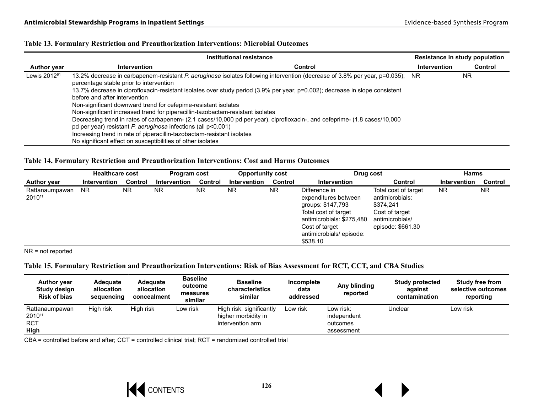### **Table 13. Formulary Restriction and Preauthorization Interventions: Microbial Outcomes**

|                          |                                                                                                                                                                                                                                                                                                                                                                                                                                        | Institutional resistance                                                                                                                                                                                                                                                                                                                                                               |              | Resistance in study population |
|--------------------------|----------------------------------------------------------------------------------------------------------------------------------------------------------------------------------------------------------------------------------------------------------------------------------------------------------------------------------------------------------------------------------------------------------------------------------------|----------------------------------------------------------------------------------------------------------------------------------------------------------------------------------------------------------------------------------------------------------------------------------------------------------------------------------------------------------------------------------------|--------------|--------------------------------|
| <b>Author year</b>       | Intervention                                                                                                                                                                                                                                                                                                                                                                                                                           | Control                                                                                                                                                                                                                                                                                                                                                                                | Intervention | Control                        |
| Lewis 2012 <sup>61</sup> | percentage stable prior to intervention<br>before and after intervention<br>Non-significant downward trend for cefepime-resistant isolates<br>Non-significant increased trend for piperacillin-tazobactam-resistant isolates<br>pd per year) resistant P. aeruginosa infections (all p<0.001)<br>Increasing trend in rate of piperacillin-tazobactam-resistant isolates<br>No significant effect on susceptibilities of other isolates | 13.2% decrease in carbapenem-resistant P. aeruginosa isolates following intervention (decrease of 3.8% per year, p=0.035);<br>13.7% decrease in ciprofloxacin-resistant isolates over study period (3.9% per year, p=0.002); decrease in slope consistent<br>Decreasing trend in rates of carbapenem- (2.1 cases/10,000 pd per year), ciprofloxacin-, and cefeprime- (1.8 cases/10,000 | -NR          | <b>NR</b>                      |

#### **Table 14. Formulary Restriction and Preauthorization Interventions: Cost and Harms Outcomes**

|                                      | <b>Healthcare cost</b> |         | <b>Program cost</b> |         | <b>Opportunity cost</b> |           | Drug cost                                                                                                                                                                |                                                                                                                | <b>Harms</b>        |           |
|--------------------------------------|------------------------|---------|---------------------|---------|-------------------------|-----------|--------------------------------------------------------------------------------------------------------------------------------------------------------------------------|----------------------------------------------------------------------------------------------------------------|---------------------|-----------|
| Author year                          | <b>Intervention</b>    | Control | <b>Intervention</b> | Control | <b>Intervention</b>     | Control   | <b>Intervention</b>                                                                                                                                                      | Control                                                                                                        | <b>Intervention</b> | Control   |
| Rattanaumpawan<br>2010 <sup>11</sup> | ΝR                     | NR.     | <b>NR</b>           | ΝR      | <b>NR</b>               | <b>NR</b> | Difference in<br>expenditures between<br>groups: \$147,793<br>Total cost of target<br>antimicrobials: \$275,480<br>Cost of target<br>antimicrobials/episode:<br>\$538.10 | Total cost of target<br>antimicrobials:<br>\$374.241<br>Cost of target<br>antimicrobials/<br>episode: \$661.30 | ΝR                  | <b>NR</b> |

NR = not reported

## **Table 15. Formulary Restriction and Preauthorization Interventions: Risk of Bias Assessment for RCT, CCT, and CBA Studies**

| <b>Author year</b><br><b>Study design</b><br><b>Risk of bias</b> | <b>Adequate</b><br>allocation<br>sequencing | <b>Adequate</b><br>allocation<br>concealment | <b>Baseline</b><br>outcome<br>measures<br>similar | <b>Baseline</b><br>characteristics<br>similar                       | Incomplete<br>data<br>addressed | Any blinding<br>reported                           | <b>Study protected</b><br>against<br>contamination | <b>Study free from</b><br>selective outcomes<br>reporting |
|------------------------------------------------------------------|---------------------------------------------|----------------------------------------------|---------------------------------------------------|---------------------------------------------------------------------|---------------------------------|----------------------------------------------------|----------------------------------------------------|-----------------------------------------------------------|
| Rattanaumpawan<br>2010 <sup>11</sup><br><b>RCT</b><br>High       | High risk                                   | High risk                                    | Low risk                                          | High risk: significantly<br>higher morbidity in<br>intervention arm | Low risk                        | Low risk:<br>independent<br>outcomes<br>assessment | Unclear                                            | Low risk                                                  |

CBA = controlled before and after; CCT = controlled clinical trial; RCT = randomized controlled trial

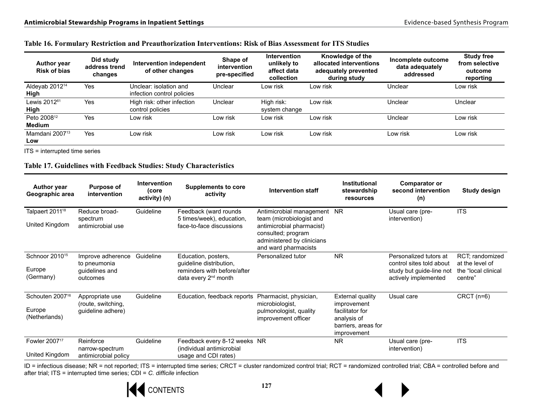#### **Table 16. Formulary Restriction and Preauthorization Interventions: Risk of Bias Assessment for ITS Studies**

| <b>Author year</b><br><b>Risk of bias</b> | Did study<br>address trend<br>changes | Intervention independent<br>of other changes         | Shape of<br>intervention<br>pre-specified | Intervention<br>unlikely to<br>affect data<br>collection | Knowledge of the<br>allocated interventions<br>adequately prevented<br>during study | Incomplete outcome<br>data adequately<br>addressed | <b>Study free</b><br>from selective<br>outcome<br>reporting |
|-------------------------------------------|---------------------------------------|------------------------------------------------------|-------------------------------------------|----------------------------------------------------------|-------------------------------------------------------------------------------------|----------------------------------------------------|-------------------------------------------------------------|
| Aldeyab 2012 <sup>14</sup><br>High        | Yes                                   | Unclear: isolation and<br>infection control policies | Unclear                                   | Low risk                                                 | Low risk                                                                            | Unclear                                            | Low risk                                                    |
| Lewis 2012 <sup>61</sup><br>High          | Yes                                   | High risk: other infection<br>control policies       | Unclear                                   | High risk:<br>system change                              | Low risk                                                                            | Unclear                                            | Unclear                                                     |
| Peto 2008 <sup>12</sup><br>Medium         | Yes                                   | Low risk                                             | Low risk                                  | Low risk                                                 | Low risk                                                                            | Unclear                                            | Low risk                                                    |
| Mamdani 2007 <sup>13</sup><br>Low         | Yes                                   | Low risk                                             | Low risk                                  | Low risk                                                 | Low risk                                                                            | Low risk                                           | Low risk                                                    |

ITS = interrupted time series

# **Table 17. Guidelines with Feedback Studies: Study Characteristics**

| Author year<br>Geographic area                         | <b>Purpose of</b><br>intervention                               | Intervention<br>(core<br>activity) (n) | <b>Supplements to core</b><br>activity                                                                            | Intervention staff                                                                                                                                               | Institutional<br>stewardship<br>resources                                                               | <b>Comparator or</b><br>second intervention<br>(n)                                                     | Study design                                                         |
|--------------------------------------------------------|-----------------------------------------------------------------|----------------------------------------|-------------------------------------------------------------------------------------------------------------------|------------------------------------------------------------------------------------------------------------------------------------------------------------------|---------------------------------------------------------------------------------------------------------|--------------------------------------------------------------------------------------------------------|----------------------------------------------------------------------|
| Talpaert 2011 <sup>18</sup><br>United Kingdom          | Reduce broad-<br>spectrum<br>antimicrobial use                  | Guideline                              | Feedback (ward rounds<br>5 times/week), education,<br>face-to-face discussions                                    | Antimicrobial management NR<br>team (microbiologist and<br>antimicrobial pharmacist)<br>consulted; program<br>administered by clinicians<br>and ward pharmacists |                                                                                                         | Usual care (pre-<br>intervention)                                                                      | <b>ITS</b>                                                           |
| Schnoor 2010 <sup>15</sup><br>Europe<br>(Germany)      | Improve adherence<br>to pneumonia<br>quidelines and<br>outcomes | Guideline                              | Education, posters,<br>quideline distribution.<br>reminders with before/after<br>data every 2 <sup>nd</sup> month | Personalized tutor                                                                                                                                               | <b>NR</b>                                                                                               | Personalized tutors at<br>control sites told about<br>study but guide-line not<br>actively implemented | RCT; randomized<br>at the level of<br>the "local clinical<br>centre" |
| Schouten 2007 <sup>16</sup><br>Europe<br>(Netherlands) | Appropriate use<br>(route, switching,<br>guideline adhere)      | Guideline                              | Education, feedback reports                                                                                       | Pharmacist, physician,<br>microbiologist,<br>pulmonologist, quality<br>improvement officer                                                                       | External quality<br>improvement<br>facilitator for<br>analysis of<br>barriers, areas for<br>improvement | Usual care                                                                                             | $CRCT$ (n=6)                                                         |
| Fowler 2007 <sup>17</sup><br>United Kingdom            | Reinforce<br>narrow-spectrum<br>antimicrobial policy            | Guideline                              | Feedback every 8-12 weeks NR<br>(individual antimicrobial<br>usage and CDI rates)                                 |                                                                                                                                                                  | <b>NR</b>                                                                                               | Usual care (pre-<br>intervention)                                                                      | <b>ITS</b>                                                           |

ID = infectious disease; NR = not reported; ITS = interrupted time series; CRCT = cluster randomized control trial; RCT = randomized controlled trial; CBA = controlled before and after trial; ITS = interrupted time series; CDI = *C. difficile* infection



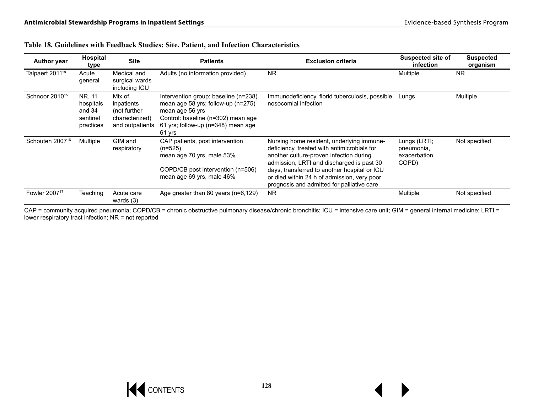| <b>Author year</b>          | Hospital<br>type                                       | <b>Site</b>                                                               | <b>Patients</b>                                                                                                                                                                       | <b>Exclusion criteria</b>                                                                                                                                                                                                                                                                                                     | Suspected site of<br>infection                      | <b>Suspected</b><br>organism |
|-----------------------------|--------------------------------------------------------|---------------------------------------------------------------------------|---------------------------------------------------------------------------------------------------------------------------------------------------------------------------------------|-------------------------------------------------------------------------------------------------------------------------------------------------------------------------------------------------------------------------------------------------------------------------------------------------------------------------------|-----------------------------------------------------|------------------------------|
| Talpaert 2011 <sup>18</sup> | Acute<br>general                                       | Medical and<br>surgical wards<br>including ICU                            | Adults (no information provided)                                                                                                                                                      | <b>NR</b>                                                                                                                                                                                                                                                                                                                     | Multiple                                            | <b>NR</b>                    |
| Schnoor 2010 <sup>15</sup>  | NR, 11<br>hospitals<br>and 34<br>sentinel<br>practices | Mix of<br>inpatients<br>(not further<br>characterized)<br>and outpatients | Intervention group: baseline (n=238)<br>mean age 58 yrs; follow-up $(n=275)$<br>mean age 56 yrs<br>Control: baseline (n=302) mean age<br>61 yrs; follow-up (n=348) mean age<br>61 yrs | Immunodeficiency, florid tuberculosis, possible<br>nosocomial infection                                                                                                                                                                                                                                                       | Lungs                                               | Multiple                     |
| Schouten 2007 <sup>16</sup> | Multiple                                               | GIM and<br>respiratory                                                    | CAP patients, post intervention<br>$(n=525)$<br>mean age 70 yrs, male 53%<br>COPD/CB post intervention (n=506)<br>mean age 69 yrs, male 46%                                           | Nursing home resident, underlying immune-<br>deficiency, treated with antimicrobials for<br>another culture-proven infection during<br>admission, LRTI and discharged is past 30<br>days, transferred to another hospital or ICU<br>or died within 24 h of admission, very poor<br>prognosis and admitted for palliative care | Lungs (LRTI;<br>pneumonia,<br>exacerbation<br>COPD) | Not specified                |
| Fowler 2007 <sup>17</sup>   | Teaching                                               | Acute care<br>wards $(3)$                                                 | Age greater than 80 years (n=6,129)                                                                                                                                                   | <b>NR</b>                                                                                                                                                                                                                                                                                                                     | Multiple                                            | Not specified                |

### **Table 18. Guidelines with Feedback Studies: Site, Patient, and Infection Characteristics**

CAP = community acquired pneumonia; COPD/CB = chronic obstructive pulmonary disease/chronic bronchitis; ICU = intensive care unit; GIM = general internal medicine; LRTI = lower respiratory tract infection; NR = not reported

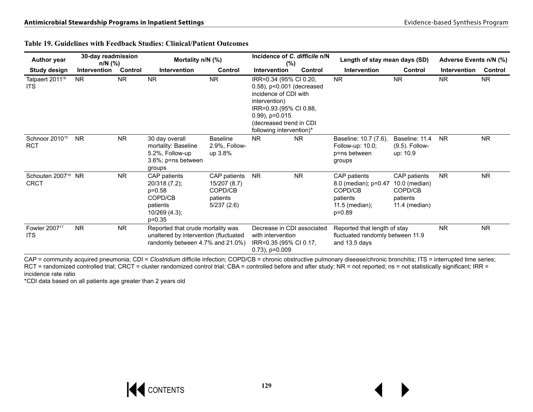| <b>Author year</b>                         | 30-day readmission<br>$n/N$ (%) |           | Mortality n/N (%)                                                                                              |                                                                   | Incidence of C. difficile n/N<br>(%)                                                                                                                                                                  |           | Length of stay mean days (SD)                                                                 |                                                                       | Adverse Events n/N (%) |           |
|--------------------------------------------|---------------------------------|-----------|----------------------------------------------------------------------------------------------------------------|-------------------------------------------------------------------|-------------------------------------------------------------------------------------------------------------------------------------------------------------------------------------------------------|-----------|-----------------------------------------------------------------------------------------------|-----------------------------------------------------------------------|------------------------|-----------|
| <b>Study design</b>                        | <b>Intervention</b>             | Control   | Intervention                                                                                                   | Control                                                           | <b>Intervention</b>                                                                                                                                                                                   | Control   | <b>Intervention</b>                                                                           | Control                                                               | <b>Intervention</b>    | Control   |
| Talpaert 2011 <sup>18</sup><br>ITS.        | N <sub>R</sub>                  | <b>NR</b> | <b>NR</b>                                                                                                      | <b>NR</b>                                                         | IRR=0.34 (95% CI 0.20,<br>0.58), p<0.001 (decreased<br>incidence of CDI with<br>intervention)<br>IRR=0.93 (95% CI 0.88,<br>$0.99$ ), $p=0.015$<br>(decreased trend in CDI<br>following intervention)* |           | <b>NR</b>                                                                                     | <b>NR</b>                                                             | <b>NR</b>              | <b>NR</b> |
| Schnoor 2010 <sup>15</sup><br><b>RCT</b>   | <b>NR</b>                       | <b>NR</b> | 30 day overall<br>mortality: Baseline<br>5.2%, Follow-up<br>3.6%; p=ns between<br>groups                       | <b>Baseline</b><br>2.9%, Follow-<br>up 3.8%                       | <b>NR</b>                                                                                                                                                                                             | <b>NR</b> | Baseline: 10.7 (7.6).<br>Follow-up: 10.0;<br>p=ns between<br>groups                           | Baseline: 11.4<br>$(9.5)$ . Follow-<br>up: 10.9                       | <b>NR</b>              | <b>NR</b> |
| Schouten 2007 <sup>16</sup><br><b>CRCT</b> | <b>NR</b>                       | <b>NR</b> | CAP patients<br>20/318 (7.2);<br>p=0.58<br>COPD/CB<br>patients<br>10/269(4.3);<br>$p=0.35$                     | CAP patients<br>15/207 (8.7)<br>COPD/CB<br>patients<br>5/237(2.6) | <b>NR</b>                                                                                                                                                                                             | <b>NR</b> | CAP patients<br>8.0 (median); p=0.47<br>COPD/CB<br>patients<br>$11.5$ (median);<br>$p = 0.89$ | CAP patients<br>10.0 (median)<br>COPD/CB<br>patients<br>11.4 (median) | <b>NR</b>              | <b>NR</b> |
| Fowler 2007 <sup>17</sup><br><b>ITS</b>    | <b>NR</b>                       | <b>NR</b> | Reported that crude mortality was<br>unaltered by intervention (fluctuated<br>randomly between 4.7% and 21.0%) |                                                                   | Decrease in CDI associated<br>with intervention<br>IRR=0.35 (95% CI 0.17,<br>$0.73$ ), $p=0.009$                                                                                                      |           | Reported that length of stay<br>fluctuated randomly between 11.9<br>and 13.5 days             |                                                                       | <b>NR</b>              | <b>NR</b> |

# **Table 19. Guidelines with Feedback Studies: Clinical/Patient Outcomes**

CAP = community acquired pneumonia; CDI = *Clostridium* difficile infection; COPD/CB = chronic obstructive pulmonary disease/chronic bronchitis; ITS = interrupted time series; RCT = randomized controlled trial; CRCT = cluster randomized control trial; CBA = controlled before and after study; NR = not reported; ns = not statistically significant; IRR = incidence rate ratio

\*CDI data based on all patients age greater than 2 years old

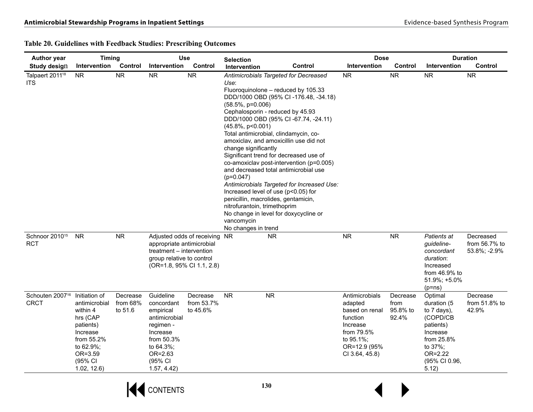| Table 20. Guidelines with Feedback Studies: Prescribing Outcomes |  |
|------------------------------------------------------------------|--|
|------------------------------------------------------------------|--|

| <b>Author year</b>                         | <b>Timing</b>                                                                                                                                  |                                 | <b>Use</b>                                                                                                                                    |                                    | <b>Selection</b>                                                                                                                                               |                                                                                                                                                                                                                                                                                                                                                                                                                                                                                                                                                                                        | <b>Dose</b>                                                                                                                      |                                       |                                                                                                                                          | <b>Duration</b>                            |
|--------------------------------------------|------------------------------------------------------------------------------------------------------------------------------------------------|---------------------------------|-----------------------------------------------------------------------------------------------------------------------------------------------|------------------------------------|----------------------------------------------------------------------------------------------------------------------------------------------------------------|----------------------------------------------------------------------------------------------------------------------------------------------------------------------------------------------------------------------------------------------------------------------------------------------------------------------------------------------------------------------------------------------------------------------------------------------------------------------------------------------------------------------------------------------------------------------------------------|----------------------------------------------------------------------------------------------------------------------------------|---------------------------------------|------------------------------------------------------------------------------------------------------------------------------------------|--------------------------------------------|
| Study design                               | Intervention                                                                                                                                   | Control                         | <b>Intervention</b>                                                                                                                           | Control                            | Intervention                                                                                                                                                   | <b>Control</b>                                                                                                                                                                                                                                                                                                                                                                                                                                                                                                                                                                         | <b>Intervention</b>                                                                                                              | Control                               | Intervention                                                                                                                             | Control                                    |
| Talpaert 2011 <sup>18</sup><br><b>ITS</b>  | <b>NR</b>                                                                                                                                      | <b>NR</b>                       | <b>NR</b>                                                                                                                                     | <b>NR</b>                          | Use:<br>$(58.5\%, p=0.006)$<br>$(45.8\%, p<0.001)$<br>change significantly<br>$(p=0.047)$<br>nitrofurantoin, trimethoprim<br>vancomycin<br>No changes in trend | Antimicrobials Targeted for Decreased<br>Fluoroquinolone - reduced by 105.33<br>DDD/1000 OBD (95% CI-176.48, -34.18)<br>Cephalosporin - reduced by 45.93<br>DDD/1000 OBD (95% CI-67.74, -24.11)<br>Total antimicrobial, clindamycin, co-<br>amoxiclav, and amoxicillin use did not<br>Significant trend for decreased use of<br>co-amoxiclav post-intervention (p=0.005)<br>and decreased total antimicrobial use<br>Antimicrobials Targeted for Increased Use:<br>Increased level of use (p<0.05) for<br>penicillin, macrolides, gentamicin,<br>No change in level for doxycycline or | <b>NR</b>                                                                                                                        | <b>NR</b>                             | <b>NR</b>                                                                                                                                | ${\sf NR}$                                 |
| Schnoor 2010 <sup>15</sup><br><b>RCT</b>   | <b>NR</b>                                                                                                                                      | <b>NR</b>                       | appropriate antimicrobial<br>treatment - intervention<br>group relative to control<br>(OR=1.8, 95% Cl 1.1, 2.8)                               | Adjusted odds of receiving NR      |                                                                                                                                                                | <b>NR</b>                                                                                                                                                                                                                                                                                                                                                                                                                                                                                                                                                                              | <b>NR</b>                                                                                                                        | ${\sf NR}$                            | Patients at<br>guideline-<br>concordant<br>duration:<br>Increased<br>from $46.9\%$ to<br>51.9%; +5.0%<br>$(p=ns)$                        | Decreased<br>from 56.7% to<br>53.8%; -2.9% |
| Schouten 2007 <sup>16</sup><br><b>CRCT</b> | Initiation of<br>antimicrobial<br>within 4<br>hrs (CAP<br>patients)<br>Increase<br>from 55.2%<br>to 62.9%;<br>OR=3.59<br>(95% CI<br>1.02, 12.6 | Decrease<br>from 68%<br>to 51.6 | Guideline<br>concordant<br>empirical<br>antimicrobial<br>regimen -<br>Increase<br>from 50.3%<br>to 64.3%;<br>OR=2.63<br>(95% CI<br>1.57, 4.42 | Decrease<br>from 53.7%<br>to 45.6% | <b>NR</b>                                                                                                                                                      | <b>NR</b>                                                                                                                                                                                                                                                                                                                                                                                                                                                                                                                                                                              | Antimicrobials<br>adapted<br>based on renal<br>function<br>Increase<br>from 79.5%<br>to 95.1%;<br>OR=12.9 (95%<br>CI 3.64, 45.8) | Decrease<br>from<br>95.8% to<br>92.4% | Optimal<br>duration (5<br>to 7 days),<br>(COPD/CB<br>patients)<br>Increase<br>from 25.8%<br>to 37%;<br>OR=2.22<br>(95% CI 0.96,<br>5.12) | Decrease<br>from $51.8\%$ to<br>42.9%      |

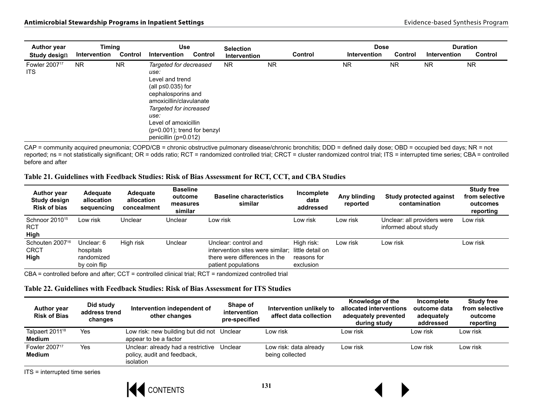| <b>Author year</b><br>Study design | <b>Timing</b><br>Intervention | Control   | <b>Use</b><br><b>Intervention</b>                                                                                                                                                                                                                  | Control | <b>Selection</b><br><b>Intervention</b> |           | <b>Control</b> | <b>Dose</b><br><b>Intervention</b> | Control   | <b>Intervention</b> | <b>Duration</b><br>Control |
|------------------------------------|-------------------------------|-----------|----------------------------------------------------------------------------------------------------------------------------------------------------------------------------------------------------------------------------------------------------|---------|-----------------------------------------|-----------|----------------|------------------------------------|-----------|---------------------|----------------------------|
| Fowler 2007 <sup>17</sup><br>ITS.  | <b>NR</b>                     | <b>NR</b> | Targeted for decreased<br>use:<br>Level and trend<br>(all $p \le 0.035$ ) for<br>cephalosporins and<br>amoxicillin/clavulanate<br>Targeted for increased<br>use:<br>Level of amoxicillin<br>$(p=0.001)$ ; trend for benzyl<br>penicillin (p=0.012) |         | <b>NR</b>                               | <b>NR</b> |                | <b>NR</b>                          | <b>NR</b> | <b>NR</b>           | <b>NR</b>                  |

CAP = community acquired pneumonia; COPD/CB = chronic obstructive pulmonary disease/chronic bronchitis; DDD = defined daily dose; OBD = occupied bed days; NR = not reported; ns = not statistically significant; OR = odds ratio; RCT = randomized controlled trial; CRCT = cluster randomized control trial; ITS = interrupted time series; CBA = controlled before and after

#### **Table 21. Guidelines with Feedback Studies: Risk of Bias Assessment for RCT, CCT, and CBA Studies**

| <b>Author year</b><br><b>Study design</b><br><b>Risk of bias</b> | <b>Adequate</b><br>allocation<br>sequencing           | Adequate<br>allocation<br>concealment | <b>Baseline</b><br>outcome<br>measures<br>similar | <b>Baseline characteristics</b><br>similar                                                                       | Incomplete<br>data<br>addressed                            | Any blinding<br>reported | Study protected against<br>contamination            | <b>Study free</b><br>from selective<br>outcomes<br>reporting |
|------------------------------------------------------------------|-------------------------------------------------------|---------------------------------------|---------------------------------------------------|------------------------------------------------------------------------------------------------------------------|------------------------------------------------------------|--------------------------|-----------------------------------------------------|--------------------------------------------------------------|
| Schnoor 2010 <sup>15</sup><br><b>RCT</b><br>High                 | Low risk                                              | Unclear                               | Unclear                                           | Low risk                                                                                                         | Low risk                                                   | Low risk                 | Unclear: all providers were<br>informed about study | Low risk                                                     |
| Schouten 2007 <sup>16</sup><br><b>CRCT</b><br>High               | Unclear: 6<br>hospitals<br>randomized<br>by coin flip | High risk                             | Unclear                                           | Unclear: control and<br>intervention sites were similar:<br>there were differences in the<br>patient populations | High risk:<br>little detail on<br>reasons for<br>exclusion | Low risk                 | Low risk                                            | Low risk                                                     |

CBA = controlled before and after; CCT = controlled clinical trial; RCT = randomized controlled trial

# **Table 22. Guidelines with Feedback Studies: Risk of Bias Assessment for ITS Studies**

| <b>Author year</b><br><b>Risk of Bias</b>  | Did study<br>address trend<br>changes | Intervention independent of<br>other changes                                   | Shape of<br>intervention<br>pre-specified | Intervention unlikely to<br>affect data collection | Knowledge of the<br>allocated interventions<br>adequately prevented<br>during study | Incomplete<br>outcome data<br>adequately<br>addressed | <b>Study free</b><br>from selective<br>outcome<br>reporting |  |
|--------------------------------------------|---------------------------------------|--------------------------------------------------------------------------------|-------------------------------------------|----------------------------------------------------|-------------------------------------------------------------------------------------|-------------------------------------------------------|-------------------------------------------------------------|--|
| Talpaert 2011 <sup>18</sup><br>Medium      | Yes                                   | Low risk: new building but did not Unclear<br>appear to be a factor            |                                           | Low risk                                           | Low risk                                                                            | Low risk                                              | Low risk                                                    |  |
| Fowler 2007 <sup>17</sup><br><b>Medium</b> | Yes                                   | Unclear: already had a restrictive<br>policy, audit and feedback,<br>isolation | Unclear                                   | Low risk: data already<br>being collected          | Low risk                                                                            | Low risk                                              | Low risk                                                    |  |

ITS = interrupted time series



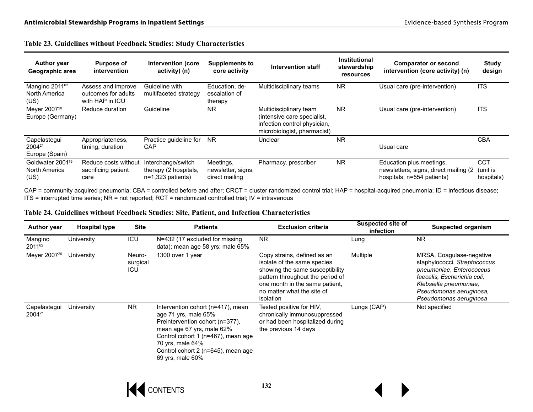## **Table 23. Guidelines without Feedback Studies: Study Characteristics**

| <b>Author year</b><br>Geographic area                 | <b>Purpose of</b><br>intervention                            | Intervention (core<br>activity) (n)                                | <b>Supplements to</b><br>core activity            | Intervention staff                                                                                                   | <b>Institutional</b><br>stewardship<br>resources | <b>Comparator or second</b><br>intervention (core activity) (n)                                  | <b>Study</b><br>design               |
|-------------------------------------------------------|--------------------------------------------------------------|--------------------------------------------------------------------|---------------------------------------------------|----------------------------------------------------------------------------------------------------------------------|--------------------------------------------------|--------------------------------------------------------------------------------------------------|--------------------------------------|
| Mangino 2011 <sup>62</sup><br>North America<br>(US)   | Assess and improve<br>outcomes for adults<br>with HAP in ICU | Guideline with<br>multifaceted strategy                            | Education, de-<br>escalation of<br>therapy        | Multidisciplinary teams                                                                                              | <b>NR</b>                                        | Usual care (pre-intervention)                                                                    | <b>ITS</b>                           |
| Meyer 2007 <sup>20</sup><br>Europe (Germany)          | Reduce duration                                              | Guideline                                                          | <b>NR</b>                                         | Multidisciplinary team<br>(intensive care specialist,<br>infection control physician,<br>microbiologist, pharmacist) | <b>NR</b>                                        | Usual care (pre-intervention)                                                                    | <b>ITS</b>                           |
| Capelastegui<br>$2004^{21}$<br>Europe (Spain)         | Appropriateness,<br>timing, duration                         | Practice guideline for<br>CAP                                      | <b>NR</b>                                         | Unclear                                                                                                              | <b>NR</b>                                        | Usual care                                                                                       | <b>CBA</b>                           |
| Goldwater 2001 <sup>19</sup><br>North America<br>(US) | Reduce costs without<br>sacrificing patient<br>care          | Interchange/switch<br>therapy (2 hospitals,<br>$n=1,323$ patients) | Meetings,<br>newsletter, signs,<br>direct mailing | Pharmacy, prescriber                                                                                                 | <b>NR</b>                                        | Education plus meetings,<br>newsletters, signs, direct mailing (2)<br>hospitals; n=554 patients) | <b>CCT</b><br>(unit is<br>hospitals) |

CAP = community acquired pneumonia; CBA = controlled before and after; CRCT = cluster randomized control trial; HAP = hospital-acquired pneumonia; ID = infectious disease; ITS = interrupted time series; NR = not reported; RCT = randomized controlled trial; IV = intravenous

## **Table 24. Guidelines without Feedback Studies: Site, Patient, and Infection Characteristics**

| <b>Author year</b>                 | <b>Hospital type</b> | <b>Site</b>               | <b>Patients</b>                                                                                                                                                                                                                               | <b>Exclusion criteria</b>                                                                                                                                                                                      | <b>Suspected site of</b><br><i>infection</i> | <b>Suspected organism</b>                                                                                                                                                                          |
|------------------------------------|----------------------|---------------------------|-----------------------------------------------------------------------------------------------------------------------------------------------------------------------------------------------------------------------------------------------|----------------------------------------------------------------------------------------------------------------------------------------------------------------------------------------------------------------|----------------------------------------------|----------------------------------------------------------------------------------------------------------------------------------------------------------------------------------------------------|
| Mangino<br>201162                  | University           | ICU                       | N=432 (17 excluded for missing<br>data); mean age 58 yrs; male 65%                                                                                                                                                                            | <b>NR</b>                                                                                                                                                                                                      | Lung                                         | <b>NR</b>                                                                                                                                                                                          |
| Meyer 2007 <sup>20</sup>           | University           | Neuro-<br>surgical<br>ICU | 1300 over 1 year                                                                                                                                                                                                                              | Copy strains, defined as an<br>isolate of the same species<br>showing the same susceptibility<br>pattern throughout the period of<br>one month in the same patient,<br>no matter what the site of<br>isolation | Multiple                                     | MRSA, Coagulase-negative<br>staphylococci, Streptococcus<br>pneumoniae, Enterococcus<br>faecalis, Escherichia coli,<br>Klebsiella pneumoniae,<br>Pseudomonas aeruginosa.<br>Pseudomonas aeruginosa |
| Capelastegui<br>2004 <sup>21</sup> | University           | <b>NR</b>                 | Intervention cohort (n=417), mean<br>age 71 yrs, male 65%<br>Preintervention cohort (n=377),<br>mean age 67 yrs, male 62%<br>Control cohort 1 (n=467), mean age<br>70 yrs, male 64%<br>Control cohort 2 (n=645), mean age<br>69 yrs, male 60% | Tested positive for HIV,<br>chronically immunosuppressed<br>or had been hospitalized during<br>the previous 14 days                                                                                            | Lungs (CAP)                                  | Not specified                                                                                                                                                                                      |

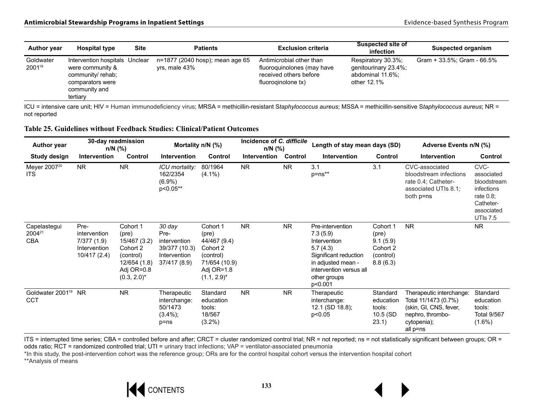| <b>Author year</b>              | <b>Hospital type</b>                                                                                                    | <b>Site</b> | <b>Patients</b>                                  | <b>Exclusion criteria</b>                                                                              | Suspected site of<br>infection                                                | <b>Suspected organism</b>  |
|---------------------------------|-------------------------------------------------------------------------------------------------------------------------|-------------|--------------------------------------------------|--------------------------------------------------------------------------------------------------------|-------------------------------------------------------------------------------|----------------------------|
| Goldwater<br>2001 <sup>19</sup> | Intervention hospitals Unclear<br>were community &<br>community/rehab;<br>comparators were<br>community and<br>tertiary |             | n=1877 (2040 hosp); mean age 65<br>vrs, male 43% | Antimicrobial other than<br>fluoroquinolones (may have<br>received others before<br>fluoroginolone tx) | Respiratory 30.3%;<br>genitourinary 23.4%;<br>abdominal 11.6%;<br>other 12.1% | Gram + 33.5%; Gram - 66.5% |

ICU = intensive care unit; HIV = Human immunodeficiency virus; MRSA = methicillin-resistant S*taphylococcus aureus*; MSSA = methicillin-sensitive S*taphylococcus aureus*; NR = not reported

#### **Table 25. Guidelines without Feedback Studies: Clinical/Patient Outcomes**

| <b>Author year</b>                               | 30-day readmission<br>$n/N$ (%)                                     |                                                                                                                     | Mortality n/N (%)                                                               |                                                                                                                      | Incidence of C. difficile<br>$n/N$ (%) |           | Length of stay mean days (SD)                                                                                                                                 |                                                                             | Adverse Events n/N (%)                                                                                                    |                                                                                                               |
|--------------------------------------------------|---------------------------------------------------------------------|---------------------------------------------------------------------------------------------------------------------|---------------------------------------------------------------------------------|----------------------------------------------------------------------------------------------------------------------|----------------------------------------|-----------|---------------------------------------------------------------------------------------------------------------------------------------------------------------|-----------------------------------------------------------------------------|---------------------------------------------------------------------------------------------------------------------------|---------------------------------------------------------------------------------------------------------------|
| Study design                                     | <b>Intervention</b>                                                 | Control                                                                                                             | <b>Intervention</b>                                                             | Control                                                                                                              | Intervention                           | Control   | <b>Intervention</b>                                                                                                                                           | Control                                                                     | Intervention                                                                                                              | Control                                                                                                       |
| Meyer 2007 <sup>20</sup><br><b>ITS</b>           | N <sub>R</sub>                                                      | <b>NR</b>                                                                                                           | ICU mortality:<br>162/2354<br>$(6.9\%)$<br>p<0.05**                             | 80/1964<br>$(4.1\%)$                                                                                                 | <b>NR</b>                              | <b>NR</b> | 3.1<br>p=ns**                                                                                                                                                 | 3.1                                                                         | CVC-associated<br>bloodstream infections<br>rate 0.4; Catheter-<br>associated UTIs 8.1:<br>both p=ns                      | CVC-<br>associated<br>bloodstream<br>infections<br>rate $0.8$ ;<br>Catheter-<br>associated<br><b>UTIs 7.5</b> |
| Capelastegui<br>2004 <sup>21</sup><br><b>CBA</b> | Pre-<br>intervention<br>7/377 (1.9)<br>Intervention<br>10/417 (2.4) | Cohort 1<br>$(\text{pre})$<br>15/467 (3.2)<br>Cohort 2<br>(control)<br>12/654 (1.8)<br>Adj OR=0.8<br>$(0.3, 2.0)^*$ | 30 day<br>Pre-<br>intervention<br>39/377 (10.3)<br>Intervention<br>37/417 (8.9) | Cohort 1<br>$(\text{pre})$<br>44/467 (9.4)<br>Cohort 2<br>(control)<br>71/654 (10.9)<br>Adj OR=1.8<br>$(1.1, 2.9)^*$ | <b>NR</b>                              | <b>NR</b> | Pre-intervention<br>7.3(5.9)<br>Intervention<br>5.7(4.3)<br>Significant reduction<br>in adjusted mean -<br>intervention versus all<br>other groups<br>p<0.001 | Cohort 1<br>$(\text{pre})$<br>9.1(5.9)<br>Cohort 2<br>(control)<br>8.8(6.3) | <b>NR</b>                                                                                                                 | <b>NR</b>                                                                                                     |
| Goldwater 2001 <sup>19</sup> NR<br><b>CCT</b>    |                                                                     | <b>NR</b>                                                                                                           | Therapeutic<br>interchange:<br>50/1473<br>$(3.4\%)$ ;<br>$p = ns$               | Standard<br>education<br>tools:<br>18/567<br>$(3.2\%)$                                                               | <b>NR</b>                              | <b>NR</b> | Therapeutic<br>interchange:<br>12.1 (SD 18.8);<br>p<0.05                                                                                                      | Standard<br>education<br>tools:<br>10.5 (SD<br>23.1)                        | Therapeutic interchange:<br>Total 11/1473 (0.7%)<br>(skin, GI, CNS, fever,<br>nephro, thrombo-<br>cytopenia);<br>all p=ns | Standard<br>education<br>tools:<br><b>Total 9/567</b><br>$(1.6\%)$                                            |

ITS = interrupted time series; CBA = controlled before and after; CRCT = cluster randomized control trial; NR = not reported; ns = not statistically significant between groups; OR = odds ratio; RCT = randomized controlled trial; UTI = urinary tract infections; VAP = ventilator-associated pneumonia

\*In this study, the post-intervention cohort was the reference group; ORs are for the control hospital cohort versus the intervention hospital cohort

\*\*Analysis of means

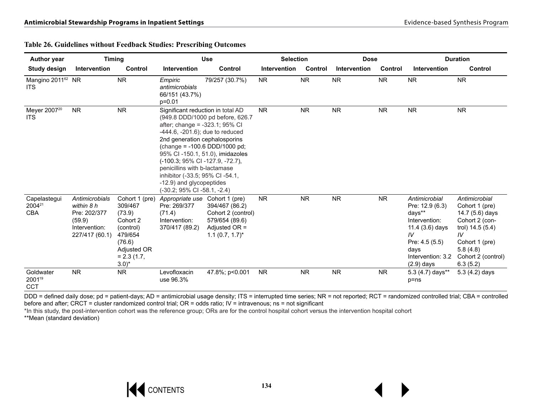| <b>Author year</b>                               | <b>Timing</b>                                                                             |                                                                                                                               |                                                                                                                                                                                                                                                                                                                                                                               | <b>Use</b>                                                                                     | <b>Selection</b>    |                | <b>Dose</b>  |           |                                                                                                                                                     | <b>Duration</b>                                                                                                                                                |
|--------------------------------------------------|-------------------------------------------------------------------------------------------|-------------------------------------------------------------------------------------------------------------------------------|-------------------------------------------------------------------------------------------------------------------------------------------------------------------------------------------------------------------------------------------------------------------------------------------------------------------------------------------------------------------------------|------------------------------------------------------------------------------------------------|---------------------|----------------|--------------|-----------|-----------------------------------------------------------------------------------------------------------------------------------------------------|----------------------------------------------------------------------------------------------------------------------------------------------------------------|
| Study design                                     | Intervention                                                                              | Control                                                                                                                       | Intervention                                                                                                                                                                                                                                                                                                                                                                  | Control                                                                                        | <b>Intervention</b> | <b>Control</b> | Intervention | Control   | Intervention                                                                                                                                        | Control                                                                                                                                                        |
| Mangino 2011 <sup>62</sup> NR<br><b>ITS</b>      |                                                                                           | <b>NR</b>                                                                                                                     | Empiric<br>antimicrobials<br>66/151 (43.7%)<br>$p = 0.01$                                                                                                                                                                                                                                                                                                                     | 79/257 (30.7%)                                                                                 | <b>NR</b>           | <b>NR</b>      | <b>NR</b>    | <b>NR</b> | <b>NR</b>                                                                                                                                           | <b>NR</b>                                                                                                                                                      |
| Meyer 2007 <sup>20</sup><br><b>ITS</b>           | <b>NR</b>                                                                                 | <b>NR</b>                                                                                                                     | Significant reduction in total AD<br>after; change = -323.1; 95% CI<br>-444.6, -201.6); due to reduced<br>2nd generation cephalosporins<br>(change = -100.6 DDD/1000 pd;<br>95% CI -150.1, 51.0), imidazoles<br>(-100.3; 95% CI -127.9, -72.7).<br>penicillins with b-lactamase<br>inhibitor (-33.5; 95% CI -54.1,<br>-12.9) and glycopeptides<br>(-30.2; 95% CI -58.1, -2.4) | (949.8 DDD/1000 pd before, 626.7)                                                              | <b>NR</b>           | <b>NR</b>      | <b>NR</b>    | <b>NR</b> | <b>NR</b>                                                                                                                                           | <b>NR</b>                                                                                                                                                      |
| Capelastegui<br>2004 <sup>21</sup><br><b>CBA</b> | Antimicrobials<br>within 8 h<br>Pre: 202/377<br>(59.9)<br>Intervention:<br>227/417 (60.1) | Cohort 1 (pre)<br>309/467<br>(73.9)<br>Cohort 2<br>(control)<br>479/654<br>(76.6)<br>Adjusted OR<br>$= 2.3(1.7,$<br>$(3.0)^*$ | Appropriate use Cohort 1 (pre)<br>Pre: 269/377<br>(71.4)<br>Intervention:<br>370/417 (89.2)                                                                                                                                                                                                                                                                                   | 394/467 (86.2)<br>Cohort 2 (control)<br>579/654 (89.6)<br>Adjusted $OR =$<br>$1.1$ (0.7, 1.7)* | <b>NR</b>           | <b>NR</b>      | <b>NR</b>    | <b>NR</b> | Antimicrobial<br>Pre: 12.9 (6.3)<br>days**<br>Intervention:<br>11.4 (3.6) days<br>IV<br>Pre: 4.5 (5.5)<br>days<br>Intervention: 3.2<br>$(2.9)$ days | Antimicrobial<br>Cohort 1 (pre)<br>14.7 (5.6) days<br>Cohort 2 (con-<br>trol) 14.5 (5.4)<br>IV<br>Cohort 1 (pre)<br>5.8(4.8)<br>Cohort 2 (control)<br>6.3(5.2) |
| Goldwater<br>200119<br><b>CCT</b>                | <b>NR</b>                                                                                 | <b>NR</b>                                                                                                                     | Levofloxacin<br>use 96.3%                                                                                                                                                                                                                                                                                                                                                     | 47.8%; p<0.001                                                                                 | <b>NR</b>           | <b>NR</b>      | <b>NR</b>    | <b>NR</b> | 5.3 (4.7) days**<br>$p = ns$                                                                                                                        | 5.3 (4.2) days                                                                                                                                                 |

## **Table 26. Guidelines without Feedback Studies: Prescribing Outcomes**

DDD = defined daily dose; pd = patient-days; AD = antimicrobial usage density; ITS = interrupted time series; NR = not reported; RCT = randomized controlled trial; CBA = controlled before and after; CRCT = cluster randomized control trial; OR = odds ratio; IV = intravenous; ns = not significant

\*In this study, the post-intervention cohort was the reference group; ORs are for the control hospital cohort versus the intervention hospital cohort

\*\*Mean (standard deviation)

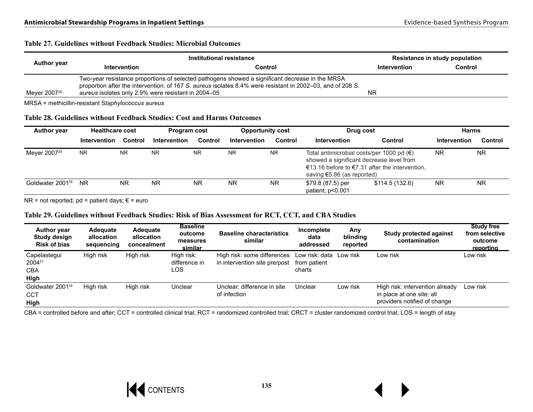## **Table 27. Guidelines without Feedback Studies: Microbial Outcomes**

|                          |                                                     | Institutional resistance                                                                                                                                                                                      | <b>Resistance in study population</b> |         |  |
|--------------------------|-----------------------------------------------------|---------------------------------------------------------------------------------------------------------------------------------------------------------------------------------------------------------------|---------------------------------------|---------|--|
| <b>Author year</b>       | <b>Intervention</b>                                 | Control                                                                                                                                                                                                       | Intervention                          | Control |  |
|                          |                                                     | Two-year resistance proportions of selected pathogens showed a significant decrease in the MRSA<br>proportion after the intervention: of 167 S. aureus isolates 8.4% were resistant in 2002–03, and of 208 S. |                                       |         |  |
| Meyer 2007 <sup>20</sup> | aureus isolates only 2.9% were resistant in 2004–05 |                                                                                                                                                                                                               | <b>NR</b>                             |         |  |

MRSA = methicillin-resistant S*taphylococcus aureus*

## **Table 28. Guidelines without Feedback Studies: Cost and Harms Outcomes**

| <b>Author year</b>           | <b>Healthcare cost</b> |           | <b>Program cost</b> |           | <b>Opportunity cost</b> |           | Drug cost                                                                                                                                                                        |                 | <b>Harms</b>        |           |
|------------------------------|------------------------|-----------|---------------------|-----------|-------------------------|-----------|----------------------------------------------------------------------------------------------------------------------------------------------------------------------------------|-----------------|---------------------|-----------|
|                              | <b>Intervention</b>    | Control   | <b>Intervention</b> | Control   | <b>Intervention</b>     | Control   | Control<br><b>Intervention</b>                                                                                                                                                   |                 | <b>Intervention</b> | Control   |
| Meyer 2007 <sup>20</sup>     | <b>NR</b>              | <b>NR</b> | <b>NR</b>           | <b>NR</b> | <b>NR</b>               | <b>NR</b> | Total antimicrobial costs/per 1000 pd $(\epsilon)$<br>showed a significant decrease level from<br>€13.16 before to €7.31 after the intervention,<br>saving $65.86$ (as reported) |                 | <b>NR</b>           | <b>NR</b> |
| Goldwater 2001 <sup>19</sup> | ΝR                     | <b>NR</b> | <b>NR</b>           | <b>NR</b> | <b>NR</b>               | <b>NR</b> | \$79.8 (87.5) per<br>patient; p<0.001                                                                                                                                            | \$114.5 (132.6) | <b>NR</b>           | <b>NR</b> |

 $NR = not reported; pd = patient days; \in = euro$ 

#### **Table 29. Guidelines without Feedback Studies: Risk of Bias Assessment for RCT, CCT, and CBA Studies**

| <b>Author year</b><br>Study design<br><b>Risk of bias</b> | <b>Adequate</b><br>allocation<br>sequencing | <b>Adequate</b><br>allocation<br>concealment | <b>Baseline</b><br>outcome<br>measures<br>similar | <b>Baseline characteristics</b><br>similar                   | Incomplete<br>data<br>addressed          | Any<br>blinding<br>reported | Study protected against<br>contamination                                                     | <b>Study free</b><br>from selective<br>outcome<br>reporting |
|-----------------------------------------------------------|---------------------------------------------|----------------------------------------------|---------------------------------------------------|--------------------------------------------------------------|------------------------------------------|-----------------------------|----------------------------------------------------------------------------------------------|-------------------------------------------------------------|
| Capelastegui<br>2004 <sup>21</sup><br><b>CBA</b><br>High  | High risk                                   | High risk                                    | High risk:<br>difference in<br>LOS                | High risk: some differences<br>in intervention site pre/post | Low risk: data<br>from patient<br>charts | Low risk                    | Low risk                                                                                     | Low risk                                                    |
| Goldwater 2001 <sup>19</sup><br><b>CCT</b><br>High        | High risk                                   | High risk                                    | Unclear                                           | Unclear: difference in site<br>of infection                  | Unclear                                  | Low risk                    | High risk: intervention already<br>in place at one site; all<br>providers notified of change | Low risk                                                    |

CBA = controlled before and after; CCT = controlled clinical trial; RCT = randomized controlled trial; CRCT = cluster randomized control trial; LOS = length of stay

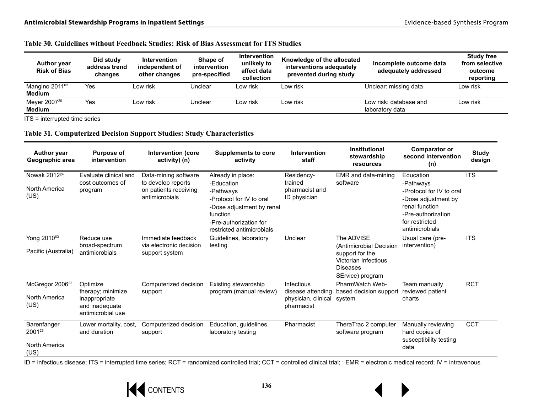### **Table 30. Guidelines without Feedback Studies: Risk of Bias Assessment for ITS Studies**

| <b>Author year</b><br><b>Risk of Bias</b>   | Did study<br><b>Intervention</b><br>independent of<br>address trend<br>other changes<br>changes |          | Shape of<br>intervention<br>pre-specified | <b>Intervention</b><br>unlikely to<br>affect data<br>collection | Knowledge of the allocated<br>interventions adequately<br>prevented during study | Incomplete outcome data<br>adequately addressed | <b>Study free</b><br>from selective<br>outcome<br>reporting |
|---------------------------------------------|-------------------------------------------------------------------------------------------------|----------|-------------------------------------------|-----------------------------------------------------------------|----------------------------------------------------------------------------------|-------------------------------------------------|-------------------------------------------------------------|
| Mangino 2011 <sup>62</sup><br><b>Medium</b> | Yes                                                                                             | Low risk | Unclear                                   | Low risk                                                        | Low risk                                                                         | Unclear: missing data                           | Low risk                                                    |
| Meyer 2007 <sup>20</sup><br>Medium          | Yes                                                                                             | Low risk | Unclear                                   | Low risk                                                        | Low risk                                                                         | Low risk: database and<br>laboratory data       | Low risk                                                    |

ITS = interrupted time series

# **Table 31. Computerized Decision Support Studies: Study Characteristics**

| <b>Author year</b><br>Geographic area                      | <b>Purpose of</b><br>intervention                                                     | Intervention (core<br>activity) (n)                                                   | <b>Supplements to core</b><br>activity                                                                                                                                   | Intervention<br>staff                                                | Institutional<br>stewardship<br>resources                                                                               | <b>Comparator or</b><br>second intervention<br>(n)                                                                                                    | <b>Study</b><br>design |
|------------------------------------------------------------|---------------------------------------------------------------------------------------|---------------------------------------------------------------------------------------|--------------------------------------------------------------------------------------------------------------------------------------------------------------------------|----------------------------------------------------------------------|-------------------------------------------------------------------------------------------------------------------------|-------------------------------------------------------------------------------------------------------------------------------------------------------|------------------------|
| Nowak 2012 <sup>24</sup><br>North America<br>(US)          | Evaluate clinical and<br>cost outcomes of<br>program                                  | Data-mining software<br>to develop reports<br>on patients receiving<br>antimicrobials | Already in place:<br>-Education<br>-Pathways<br>-Protocol for IV to oral<br>-Dose adjustment by renal<br>function<br>-Pre-authorization for<br>restricted antimicrobials | Residency-<br>trained<br>pharmacist and<br>ID physician              | EMR and data-mining<br>software                                                                                         | Education<br>-Pathways<br>-Protocol for IV to oral<br>-Dose adjustment by<br>renal function<br>-Pre-authorization<br>for restricted<br>antimicrobials | <b>ITS</b>             |
| Yong 2010 <sup>63</sup><br>Pacific (Australia)             | Reduce use<br>broad-spectrum<br>antimicrobials                                        | Immediate feedback<br>via electronic decision<br>support system                       | Guidelines, laboratory<br>testing                                                                                                                                        | Unclear                                                              | The ADVISE<br>(Antimicrobial Decision<br>support for the<br>Victorian Infectious<br><b>Diseases</b><br>SErvice) program | Usual care (pre-<br>intervention)                                                                                                                     | <b>ITS</b>             |
| McGregor 2006 <sup>22</sup><br>North America<br>(US)       | Optimize<br>therapy; minimize<br>inappropriate<br>and inadequate<br>antimicrobial use | Computerized decision<br>support                                                      | Existing stewardship<br>program (manual review)                                                                                                                          | Infectious<br>disease attending<br>physician, clinical<br>pharmacist | PharmWatch Web-<br>based decision support<br>svstem                                                                     | Team manually<br>reviewed patient<br>charts                                                                                                           | <b>RCT</b>             |
| Barenfanger<br>2001 <sup>23</sup><br>North America<br>(US) | Lower mortality, cost,<br>and duration                                                | Computerized decision<br>support                                                      | Education, guidelines,<br>laboratory testing                                                                                                                             | Pharmacist                                                           | TheraTrac 2 computer<br>software program                                                                                | Manually reviewing<br>hard copies of<br>susceptibility testing<br>data                                                                                | <b>CCT</b>             |

ID = infectious disease; ITS = interrupted time series; RCT = randomized controlled trial; CCT = controlled clinical trial; ; EMR = electronic medical record; IV = intravenous



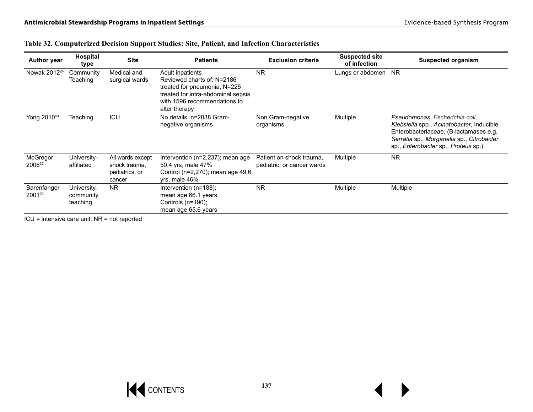## **Table 32. Computerized Decision Support Studies: Site, Patient, and Infection Characteristics**

| <b>Author year</b>             | <b>Hospital</b><br>type              | <b>Site</b>                                                   | <b>Patients</b>                                                                                                                                                       | <b>Exclusion criteria</b>                              | <b>Suspected site</b><br>of infection | <b>Suspected organism</b>                                                                                                                                                                                               |
|--------------------------------|--------------------------------------|---------------------------------------------------------------|-----------------------------------------------------------------------------------------------------------------------------------------------------------------------|--------------------------------------------------------|---------------------------------------|-------------------------------------------------------------------------------------------------------------------------------------------------------------------------------------------------------------------------|
| Nowak 2012 <sup>24</sup>       | Community<br>Teaching                | Medical and<br>surgical wards                                 | Adult inpatients<br>Reviewed charts of: N=2186<br>treated for pneumonia, N=225<br>treated for intra-abdominal sepsis<br>with 1596 recommendations to<br>alter therapy | <b>NR</b>                                              | Lungs or abdomen                      | NR.                                                                                                                                                                                                                     |
| Yong 2010 <sup>63</sup>        | Teaching                             | ICU                                                           | No details, n=2838 Gram-<br>negative organisms                                                                                                                        | Non Gram-negative<br>organisms                         | Multiple                              | Pseudomonas, Escherichia coli,<br>Klebsiella spp., Acinatobacter, Inducible<br>Enterobacteriaceae, (B-lactamases e.g.<br>Serratia sp., Morganella sp., Citrobacter<br>sp., <i>Enterobacter</i> sp., <i>Proteus</i> sp.) |
| McGregor<br>2006 <sup>22</sup> | University-<br>affiliated            | All wards except<br>shock trauma.<br>pediatrics, or<br>cancer | Intervention ( $n=2,237$ ); mean age<br>50.4 yrs, male 47%<br>Control (n=2,270); mean age 49.6<br>yrs, male 46%                                                       | Patient on shock trauma.<br>pediatric, or cancer wards | Multiple                              | NR.                                                                                                                                                                                                                     |
| Barenfanger<br>$2001^{23}$     | University,<br>community<br>teaching | <b>NR</b>                                                     | Intervention (n=188);<br>mean age 66.1 years<br>Controls $(n=190)$ ;<br>mean age 65.6 years                                                                           | <b>NR</b>                                              | Multiple                              | Multiple                                                                                                                                                                                                                |

ICU = intensive care unit; NR = not reported

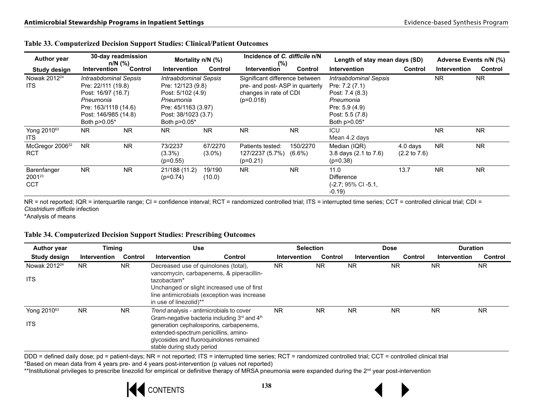| <b>Author year</b>                        | 30-day readmission<br>n/N (%)                                                                                                                              |           | Mortality n/N (%)                                                                                                                          |                      | Incidence of C. difficile n/N<br>(%)                                                                      |                       | Length of stay mean days (SD)                                                                                                       |                                     | Adverse Events n/N (%) |           |
|-------------------------------------------|------------------------------------------------------------------------------------------------------------------------------------------------------------|-----------|--------------------------------------------------------------------------------------------------------------------------------------------|----------------------|-----------------------------------------------------------------------------------------------------------|-----------------------|-------------------------------------------------------------------------------------------------------------------------------------|-------------------------------------|------------------------|-----------|
| Study design                              | Intervention                                                                                                                                               | Control   | <b>Intervention</b>                                                                                                                        | <b>Control</b>       | Intervention                                                                                              | Control               | <b>Intervention</b>                                                                                                                 | Control                             | <b>Intervention</b>    | Control   |
| Nowak 2012 <sup>24</sup><br>ITS.          | <b>Intraabdominal Sepsis</b><br>Pre: 22/111 (19.8)<br>Post: 16/97 (16.7)<br>Pneumonia<br>Pre: 163/1118 (14.6)<br>Post: 146/985 (14.8)<br>Both $p > 0.05^*$ |           | Intraabdominal Sepsis<br>Pre: 12/123 (9.8)<br>Post: 5/102 (4.9)<br>Pneumonia<br>Pre: 45/1163 (3.97)<br>Post: 38/1023 (3.7)<br>Both p>0.05* |                      | Significant difference between<br>pre- and post-ASP in quarterly<br>changes in rate of CDI<br>$(p=0.018)$ |                       | <b>Intraabdominal Sepsis</b><br>Pre: 7.2 (7.1)<br>Post: 7.4 (8.3)<br>Pneumonia<br>Pre: 5.9 (4.9)<br>Post: 5.5 (7.8)<br>Both p>0.05* |                                     | <b>NR</b>              | <b>NR</b> |
| Yong 2010 <sup>63</sup><br>ITS.           | NR.                                                                                                                                                        | <b>NR</b> | <b>NR</b>                                                                                                                                  | <b>NR</b>            | <b>NR</b>                                                                                                 | NR.                   | ICU<br>Mean 4.2 days                                                                                                                |                                     | <b>NR</b>              | <b>NR</b> |
| McGregor 2006 <sup>22</sup><br><b>RCT</b> | NR.                                                                                                                                                        | <b>NR</b> | 73/2237<br>$(3.3\%)$<br>$(p=0.55)$                                                                                                         | 67/2270<br>$(3.0\%)$ | Patients tested:<br>127/2237 (5.7%)<br>$(p=0.21)$                                                         | 150/2270<br>$(6.6\%)$ | Median (IQR)<br>3.8 days (2.1 to 7.6)<br>$(p=0.38)$                                                                                 | 4.0 days<br>$(2.2 \text{ to } 7.6)$ | <b>NR</b>              | <b>NR</b> |
| Barenfanger<br>$2001^{23}$<br><b>CCT</b>  | <b>NR</b>                                                                                                                                                  | <b>NR</b> | 21/188 (11.2)<br>$(p=0.74)$                                                                                                                | 19/190<br>(10.0)     | N <sub>R</sub>                                                                                            | <b>NR</b>             | 11.0<br>Difference<br>(-2.7; 95% CI -5.1,<br>$-0.19$                                                                                | 13.7                                | <b>NR</b>              | <b>NR</b> |

# **Table 33. Computerized Decision Support Studies: Clinical/Patient Outcomes**

NR = not reported; IQR = interquartile range; CI = confidence interval; RCT = randomized controlled trial; ITS = interrupted time series; CCT = controlled clinical trial; CDI *<sup>=</sup> Clostridium difficile* infection

\*Analysis of means

### **Table 34. Computerized Decision Support Studies: Prescribing Outcomes**

| <b>Author year</b>                     | Timing              |           | <b>Use</b>                                                                    |                                                                                                                                                                                                                                                                                             | <b>Selection</b> |           | <b>Dose</b>         |           | <b>Duration</b>     |           |
|----------------------------------------|---------------------|-----------|-------------------------------------------------------------------------------|---------------------------------------------------------------------------------------------------------------------------------------------------------------------------------------------------------------------------------------------------------------------------------------------|------------------|-----------|---------------------|-----------|---------------------|-----------|
| <b>Study design</b>                    | <b>Intervention</b> | Control   | Intervention                                                                  | Control                                                                                                                                                                                                                                                                                     |                  | Control   | <b>Intervention</b> | Control   | <b>Intervention</b> | Control   |
| Nowak 2012 <sup>24</sup><br><b>ITS</b> | NR.                 | <b>NR</b> | Decreased use of quinolones (total),<br>tazobactam*<br>in use of linezolid)** | vancomycin, carbapenems, & piperacillin-<br>Unchanged or slight increased use of first<br>line antimicrobials (exception was increase                                                                                                                                                       | <b>NR</b>        | <b>NR</b> | <b>NR</b>           | <b>NR</b> | <b>NR</b>           | <b>NR</b> |
| Yong 2010 <sup>63</sup><br><b>ITS</b>  | <b>NR</b>           | <b>NR</b> |                                                                               | Trend analysis - antimicrobials to cover<br><b>NR</b><br>Gram-negative bacteria including 3 <sup>rd</sup> and 4 <sup>th</sup><br>generation cephalosporins, carbapenems,<br>extended-spectrum penicillins, amino-<br>glycosides and fluoroquinolones remained<br>stable during study period |                  | <b>NR</b> | <b>NR</b>           | <b>NR</b> | <b>NR</b>           | <b>NR</b> |

DDD = defined daily dose; pd = patient-days; NR = not reported; ITS = interrupted time series; RCT = randomized controlled trial; CCT = controlled clinical trial \*Based on mean data from 4 years pre- and 4 years post-intervention (p values not reported)

\*\*Institutional privileges to prescribe linezolid for empirical or definitive therapy of MRSA pneumonia were expanded during the 2<sup>nd</sup> year post-intervention



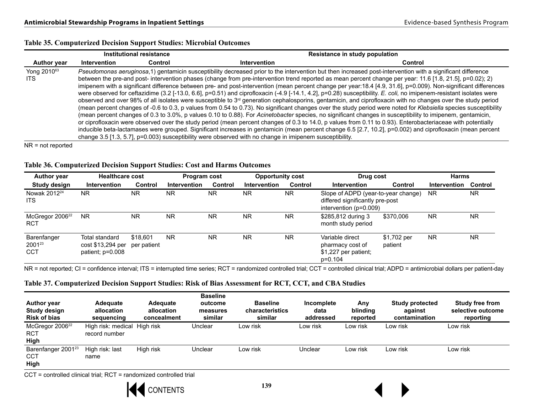### **Table 35. Computerized Decision Support Studies: Microbial Outcomes**

|                                 |                     | Institutional resistance |                                                                                                         | Resistance in study population                                                                                                                                                                                                                                                                                                                                                                                                                                                                                                                                                                                                                                                                                                                                                                                                                                                                                                                                                                                                                                                                                                                                                                                                                                                                                                                                                                                                                                                                                |
|---------------------------------|---------------------|--------------------------|---------------------------------------------------------------------------------------------------------|---------------------------------------------------------------------------------------------------------------------------------------------------------------------------------------------------------------------------------------------------------------------------------------------------------------------------------------------------------------------------------------------------------------------------------------------------------------------------------------------------------------------------------------------------------------------------------------------------------------------------------------------------------------------------------------------------------------------------------------------------------------------------------------------------------------------------------------------------------------------------------------------------------------------------------------------------------------------------------------------------------------------------------------------------------------------------------------------------------------------------------------------------------------------------------------------------------------------------------------------------------------------------------------------------------------------------------------------------------------------------------------------------------------------------------------------------------------------------------------------------------------|
| <b>Author year</b>              | <b>Intervention</b> | Control                  | <b>Intervention</b>                                                                                     | Control                                                                                                                                                                                                                                                                                                                                                                                                                                                                                                                                                                                                                                                                                                                                                                                                                                                                                                                                                                                                                                                                                                                                                                                                                                                                                                                                                                                                                                                                                                       |
| Yong 2010 <sup>63</sup><br>ITS. |                     |                          | change 3.5 [1.3, 5.7], p=0.003) susceptibility were observed with no change in imipenem susceptibility. | Pseudomonas aeruginosa, 1) gentamicin susceptibility decreased prior to the intervention but then increased post-intervention with a significant difference<br>between the pre-and post- intervention phases (change from pre-intervention trend reported as mean percent change per year: 11.6 [1.8, 21.5], p=0.02); 2)<br>imipenem with a significant difference between pre- and post-intervention (mean percent change per year:18.4 [4.9, 31.6], p=0.009). Non-significant differences<br>were observed for ceftazidime (3.2 [-13.0, 6.6], p=0.51) and ciprofloxacin (-4.9 [-14.1, 4.2], p=0.28) susceptibility. E. coli, no imipenem-resistant isolates were<br>observed and over 98% of all isolates were susceptible to 3 <sup>rd</sup> generation cephalosporins, gentamicin, and ciprofloxacin with no changes over the study period<br>(mean percent changes of -0.6 to 0.3, p values from 0.54 to 0.73). No significant changes over the study period were noted for Klebsiella species susceptibility<br>(mean percent changes of 0.3 to 3.0%, p values 0.10 to 0.88). For Acinetobacter species, no significant changes in susceptibility to imipenem, gentamicin,<br>or ciprofloxacin were observed over the study period (mean percent changes of 0.3 to 14.0, p values from 0.11 to 0.93). Enterobacteriaceae with potentially<br>inducible beta-lactamases were grouped. Significant increases in gentamicin (mean percent change 6.5 [2.7, 10.2], p=0.002) and ciprofloxacin (mean percent |

NR = not reported

### **Table 36. Computerized Decision Support Studies: Cost and Harms Outcomes**

| <b>Author year</b>                              | <b>Healthcare cost</b>                                    |                         | <b>Program cost</b> |           | <b>Opportunity cost</b> |           | Drug cost                                                                                          |                        | <b>Harms</b>        |           |
|-------------------------------------------------|-----------------------------------------------------------|-------------------------|---------------------|-----------|-------------------------|-----------|----------------------------------------------------------------------------------------------------|------------------------|---------------------|-----------|
| Study design                                    | <b>Intervention</b>                                       | Control                 | Intervention        | Control   | <b>Intervention</b>     | Control   | Control<br><b>Intervention</b>                                                                     |                        | <b>Intervention</b> | Control   |
| Nowak 2012 <sup>24</sup><br>ITS.                | <b>NR</b>                                                 | <b>NR</b>               | ΝR                  | NR.       | <b>NR</b>               | <b>NR</b> | Slope of ADPD (year-to-year change)<br>differed significantly pre-post<br>intervention $(p=0.009)$ |                        | <b>NR</b>           | <b>NR</b> |
| McGregor 2006 <sup>22</sup><br><b>RCT</b>       | <b>NR</b>                                                 | <b>NR</b>               | <b>NR</b>           | <b>NR</b> | <b>NR</b>               | <b>NR</b> | \$285,812 during 3<br>month study period                                                           | \$370,006              | <b>NR</b>           | <b>NR</b> |
| Barenfanger<br>2001 <sup>23</sup><br><b>CCT</b> | Total standard<br>cost \$13,294 per<br>patient; $p=0.008$ | \$18.601<br>per patient | <b>NR</b>           | <b>NR</b> | <b>NR</b>               | <b>NR</b> | Variable direct<br>pharmacy cost of<br>\$1,227 per patient;<br>p=0.104                             | \$1,702 per<br>patient | <b>NR</b>           | <b>NR</b> |

NR = not reported; CI = confidence interval; ITS = interrupted time series; RCT = randomized controlled trial; CCT = controlled clinical trial; ADPD = antimicrobial dollars per patient-day

#### **Table 37. Computerized Decision Support Studies: Risk of Bias Assessment for RCT, CCT, and CBA Studies**

| <b>Author year</b><br><b>Study design</b><br><b>Risk of bias</b> | <b>Adequate</b><br>allocation<br>sequencing   | <b>Adequate</b><br>allocation<br>concealment | <b>Baseline</b><br>outcome<br>measures<br>similar | <b>Baseline</b><br>characteristics<br>similar | Incomplete<br>data<br>addressed | Any<br>blinding<br>reported | <b>Study protected</b><br>against<br>contamination | <b>Study free from</b><br>selective outcome<br>reporting |
|------------------------------------------------------------------|-----------------------------------------------|----------------------------------------------|---------------------------------------------------|-----------------------------------------------|---------------------------------|-----------------------------|----------------------------------------------------|----------------------------------------------------------|
| McGregor 2006 <sup>22</sup><br><b>RCT</b><br>High                | High risk: medical High risk<br>record number |                                              | Unclear                                           | Low risk                                      | Low risk                        | Low risk                    | Low risk                                           | Low risk                                                 |
| Barenfanger 2001 <sup>23</sup><br><b>CCT</b><br>High             | High risk: last<br>name                       | High risk                                    | Unclear                                           | Low risk                                      | Unclear                         | Low risk                    | Low risk                                           | Low risk                                                 |

CCT = controlled clinical trial; RCT = randomized controlled trial

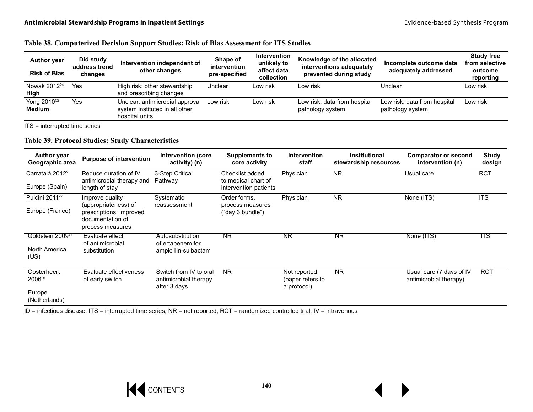## **Table 38. Computerized Decision Support Studies: Risk of Bias Assessment for ITS Studies**

| <b>Author year</b><br><b>Risk of Bias</b> | Did study<br>address trend<br>changes | Intervention independent of<br>other changes                                        | Shape of<br>intervention<br>pre-specified | Intervention<br>unlikely to<br>affect data<br>collection | Knowledge of the allocated<br>interventions adequately<br>prevented during study | Incomplete outcome data<br>adequately addressed  | <b>Study free</b><br>from selective<br>outcome<br>reporting |
|-------------------------------------------|---------------------------------------|-------------------------------------------------------------------------------------|-------------------------------------------|----------------------------------------------------------|----------------------------------------------------------------------------------|--------------------------------------------------|-------------------------------------------------------------|
| Nowak 2012 <sup>24</sup><br>High          | Yes                                   | High risk: other stewardship<br>and prescribing changes                             | Unclear                                   | Low risk                                                 | Low risk                                                                         | Unclear                                          | Low risk                                                    |
| Yong 2010 <sup>63</sup><br><b>Medium</b>  | Yes                                   | Unclear: antimicrobial approval<br>system instituted in all other<br>hospital units | Low risk                                  | Low risk                                                 | Low risk: data from hospital<br>pathology system                                 | Low risk: data from hospital<br>pathology system | Low risk                                                    |

ITS = interrupted time series

## **Table 39. Protocol Studies: Study Characteristics**

| <b>Author year</b><br>Geographic area | <b>Purpose of intervention</b>                                  | Intervention (core<br>activity) (n)   | <b>Supplements to</b><br>core activity | <b>Intervention</b><br>staff    | Institutional<br>stewardship resources | <b>Comparator or second</b><br>intervention (n) | <b>Study</b><br>design |
|---------------------------------------|-----------------------------------------------------------------|---------------------------------------|----------------------------------------|---------------------------------|----------------------------------------|-------------------------------------------------|------------------------|
| Carratalà 2012 <sup>25</sup>          | Reduce duration of IV<br>antimicrobial therapy and              | 3-Step Critical<br>Pathway            | Checklist added<br>to medical chart of | Physician                       | <b>NR</b>                              | Usual care                                      | <b>RCT</b>             |
| Europe (Spain)                        | length of stay                                                  |                                       | intervention patients                  |                                 |                                        |                                                 |                        |
| Pulcini 2011 <sup>27</sup>            | Improve quality<br>(appropriateness) of                         | Systematic<br>reassessment            | Order forms.<br>process measures       | Physician                       | <b>NR</b>                              | None (ITS)                                      | <b>ITS</b>             |
| Europe (France)                       | prescriptions; improved<br>documentation of<br>process measures |                                       | ("day 3 bundle")                       |                                 |                                        |                                                 |                        |
| Goldstein 2009 <sup>64</sup>          | Evaluate effect<br>of antimicrobial                             | Autosubstitution<br>of ertapenem for  | NR                                     | NR                              | $N\mathsf{R}$                          | None (ITS)                                      | TTS                    |
| North America<br>(US)                 | substitution                                                    | ampicillin-sulbactam                  |                                        |                                 |                                        |                                                 |                        |
| Oosterheert                           | Evaluate effectiveness                                          | Switch from IV to oral                | $\overline{\text{NR}}$                 | Not reported                    | NR                                     | Usual care (7 days of IV                        | <b>RCT</b>             |
| 2006 <sup>26</sup>                    | of early switch                                                 | antimicrobial therapy<br>after 3 days |                                        | (paper refers to<br>a protocol) |                                        | antimicrobial therapy)                          |                        |
| Europe<br>(Netherlands)               |                                                                 |                                       |                                        |                                 |                                        |                                                 |                        |

ID = infectious disease; ITS = interrupted time series; NR = not reported; RCT = randomized controlled trial; IV = intravenous

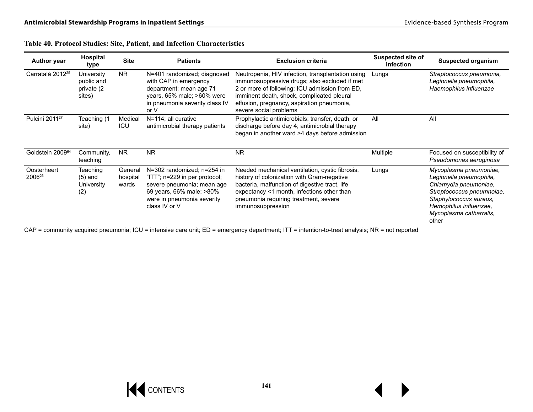| <b>Author year</b>                | <b>Hospital</b><br>type                           | <b>Site</b>                  | <b>Patients</b>                                                                                                                                                      | <b>Exclusion criteria</b>                                                                                                                                                                                                                                                  | Suspected site of<br><i>infection</i> | <b>Suspected organism</b>                                                                                                                                                                       |
|-----------------------------------|---------------------------------------------------|------------------------------|----------------------------------------------------------------------------------------------------------------------------------------------------------------------|----------------------------------------------------------------------------------------------------------------------------------------------------------------------------------------------------------------------------------------------------------------------------|---------------------------------------|-------------------------------------------------------------------------------------------------------------------------------------------------------------------------------------------------|
| Carratalà 2012 <sup>25</sup>      | University<br>public and<br>private (2)<br>sites) | <b>NR</b>                    | N=401 randomized; diagnosed<br>with CAP in emergency<br>department; mean age 71<br>years, 65% male; >60% were<br>in pneumonia severity class IV<br>or V              | Neutropenia, HIV infection, transplantation using<br>immunosuppressive drugs; also excluded if met<br>2 or more of following: ICU admission from ED,<br>imminent death, shock, complicated pleural<br>effusion, pregnancy, aspiration pneumonia,<br>severe social problems | Lungs                                 | Streptococcus pneumonia,<br>Legionella pneumophila,<br>Haemophilus influenzae                                                                                                                   |
| Pulcini 2011 <sup>27</sup>        | Teaching (1<br>site)                              | Medical<br><b>ICU</b>        | N=114; all curative<br>antimicrobial therapy patients                                                                                                                | Prophylactic antimicrobials; transfer, death, or<br>discharge before day 4; antimicrobial therapy<br>began in another ward >4 days before admission                                                                                                                        | All                                   | All                                                                                                                                                                                             |
| Goldstein 2009 <sup>64</sup>      | Community,<br>teaching                            | <b>NR</b>                    | <b>NR</b>                                                                                                                                                            | <b>NR</b>                                                                                                                                                                                                                                                                  | Multiple                              | Focused on susceptibility of<br>Pseudomonas aeruginosa                                                                                                                                          |
| Oosterheert<br>2006 <sup>26</sup> | Teaching<br>$(5)$ and<br>University<br>(2)        | General<br>hospital<br>wards | N=302 randomized; n=254 in<br>"ITT"; n=229 in per protocol;<br>severe pneumonia; mean age<br>69 years, 66% male; >80%<br>were in pneumonia severity<br>class IV or V | Needed mechanical ventilation, cystic fibrosis,<br>history of colonization with Gram-negative<br>bacteria, malfunction of digestive tract, life<br>expectancy <1 month, infections other than<br>pneumonia requiring treatment, severe<br>immunosuppression                | Lungs                                 | Mycoplasma pneumoniae,<br>Legionella pneumophila,<br>Chlamydia pneumoniae,<br>Streptococcus pneumnoiae,<br>Staphylococcus aureus,<br>Hemophilus influenzae,<br>Mycoplasma catharralis,<br>other |

**Table 40. Protocol Studies: Site, Patient, and Infection Characteristics**

CAP = community acquired pneumonia; ICU = intensive care unit; ED = emergency department; ITT = intention-to-treat analysis; NR = not reported

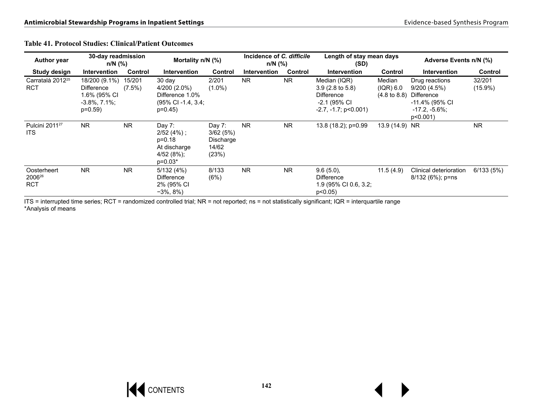| 30-day readmission<br><b>Author year</b><br>n/N (%) |                                                                                    | Mortality n/N (%)   |                                                                                   | Incidence of C. difficile<br>n/N (%)                |                     | Length of stay mean days<br>(SD) |                                                                                                            | Adverse Events n/N (%)                          |                                                                                                          |                      |
|-----------------------------------------------------|------------------------------------------------------------------------------------|---------------------|-----------------------------------------------------------------------------------|-----------------------------------------------------|---------------------|----------------------------------|------------------------------------------------------------------------------------------------------------|-------------------------------------------------|----------------------------------------------------------------------------------------------------------|----------------------|
| Study design                                        | <b>Intervention</b>                                                                | Control             | <b>Intervention</b>                                                               | Control                                             | <b>Intervention</b> | Control                          | <b>Intervention</b>                                                                                        | Control                                         | <b>Intervention</b>                                                                                      | Control              |
| Carratalà 2012 <sup>25</sup><br><b>RCT</b>          | 18/200 (9.1%)<br><b>Difference</b><br>1.6% (95% CI<br>$-3.8\%$ , 7.1%;<br>$p=0.59$ | 15/201<br>$(7.5\%)$ | $30$ day<br>4/200 (2.0%)<br>Difference 1.0%<br>(95% CI - 1.4, 3.4;<br>$p=0.45$    | 2/201<br>$(1.0\%)$                                  | NR.                 | <b>NR</b>                        | Median (IQR)<br>$3.9(2.8 \text{ to } 5.8)$<br><b>Difference</b><br>-2.1 (95% CI<br>$-2.7, -1.7; p<0.001$ ) | Median<br>( IQR) 6.0<br>$(4.8 \text{ to } 8.8)$ | Drug reactions<br>9/200(4.5%)<br><b>Difference</b><br>-11.4% (95% CI<br>$-17.2, -5.6\%$ ;<br>$p<0.001$ ) | 32/201<br>$(15.9\%)$ |
| Pulcini 2011 <sup>27</sup><br><b>ITS</b>            | <b>NR</b>                                                                          | <b>NR</b>           | Day $7:$<br>$2/52(4%)$ ;<br>$p=0.18$<br>At discharge<br>$4/52(8%)$ ;<br>$p=0.03*$ | Day $7:$<br>3/62(5%)<br>Discharge<br>14/62<br>(23%) | <b>NR</b>           | <b>NR</b>                        | 13.8 (18.2); p=0.99                                                                                        | 13.9 (14.9) NR                                  |                                                                                                          | <b>NR</b>            |
| Oosterheert<br>2006 <sup>26</sup><br><b>RCT</b>     | <b>NR</b>                                                                          | <b>NR</b>           | 5/132(4%)<br><b>Difference</b><br>2% (95% CI<br>$-3\%$ , 8%)                      | 8/133<br>(6%)                                       | <b>NR</b>           | <b>NR</b>                        | $9.6(5.0)$ ,<br><b>Difference</b><br>1.9 (95% CI 0.6, 3.2;<br>p<0.05                                       | 11.5(4.9)                                       | Clinical deterioration<br>$8/132(6%)$ ; p=ns                                                             | 6/133(5%)            |

#### **Table 41. Protocol Studies: Clinical/Patient Outcomes**

ITS = interrupted time series; RCT = randomized controlled trial; NR = not reported; ns = not statistically significant; IQR = interquartile range \*Analysis of means

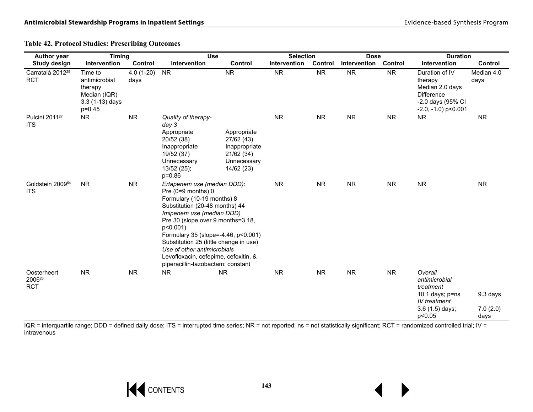p<0.05

days

| <b>Author year</b>                              | Timing                                                                             |                     | Use                                                                                                                                                                                                                                                                                                                                                                                                 |                                                                                       | <b>Selection</b>    |                | <b>Dose</b>  |           | <b>Duration</b>                                                                                                      |                      |
|-------------------------------------------------|------------------------------------------------------------------------------------|---------------------|-----------------------------------------------------------------------------------------------------------------------------------------------------------------------------------------------------------------------------------------------------------------------------------------------------------------------------------------------------------------------------------------------------|---------------------------------------------------------------------------------------|---------------------|----------------|--------------|-----------|----------------------------------------------------------------------------------------------------------------------|----------------------|
| <b>Study design</b>                             | Intervention                                                                       | Control             | Intervention                                                                                                                                                                                                                                                                                                                                                                                        | Control                                                                               | <b>Intervention</b> | <b>Control</b> | Intervention | Control   | <b>Intervention</b>                                                                                                  | Control              |
| Carratalà 2012 <sup>25</sup><br><b>RCT</b>      | Time to<br>antimicrobial<br>therapy<br>Median (IQR)<br>3.3 (1-13) days<br>$p=0.45$ | $4.0(1-20)$<br>days | <b>NR</b>                                                                                                                                                                                                                                                                                                                                                                                           | <b>NR</b>                                                                             | <b>NR</b>           | <b>NR</b>      | <b>NR</b>    | <b>NR</b> | Duration of IV<br>therapy<br>Median 2.0 days<br><b>Difference</b><br>-2.0 days (95% CI<br>$-2.0, -1.0$ ) $p < 0.001$ | Median 4.0<br>days   |
| Pulcini 2011 <sup>27</sup><br><b>ITS</b>        | <b>NR</b>                                                                          | <b>NR</b>           | Quality of therapy-<br>day 3<br>Appropriate<br>20/52 (38)<br>Inappropriate<br>19/52 (37)<br>Unnecessary<br>13/52 (25);<br>p=0.86                                                                                                                                                                                                                                                                    | Appropriate<br>27/62 (43)<br>Inappropriate<br>21/62 (34)<br>Unnecessary<br>14/62 (23) | <b>NR</b>           | <b>NR</b>      | <b>NR</b>    | <b>NR</b> | <b>NR</b>                                                                                                            | <b>NR</b>            |
| Goldstein 2009 <sup>64</sup><br><b>ITS</b>      | <b>NR</b>                                                                          | <b>NR</b>           | Ertapenem use (median DDD):<br>Pre $(0=9$ months) $0$<br>Formulary (10-19 months) 8<br>Substitution (20-48 months) 44<br>Imipenem use (median DDD)<br>Pre 30 (slope over 9 months=3.18,<br>$p<0.001$ )<br>Formulary 35 (slope=-4.46, p<0.001)<br>Substitution 25 (little change in use)<br>Use of other antimicrobials<br>Levofloxacin, cefepime, cefoxitin, &<br>piperacillin-tazobactam: constant |                                                                                       | <b>NR</b>           | <b>NR</b>      | <b>NR</b>    | <b>NR</b> | <b>NR</b>                                                                                                            | <b>NR</b>            |
| Oosterheert<br>2006 <sup>26</sup><br><b>RCT</b> | <b>NR</b>                                                                          | <b>NR</b>           | <b>NR</b>                                                                                                                                                                                                                                                                                                                                                                                           | <b>NR</b>                                                                             | <b>NR</b>           | <b>NR</b>      | <b>NR</b>    | <b>NR</b> | Overall<br>antimicrobial<br>treatment<br>10.1 days; $p=ns$<br><b>IV</b> treatment<br>3.6 (1.5) days;                 | 9.3 days<br>7.0(2.0) |

### **Table 42. Protocol Studies: Prescribing Outcomes**

IQR = interquartile range; DDD = defined daily dose; ITS = interrupted time series; NR = not reported; ns = not statistically significant; RCT = randomized controlled trial; IV = intravenous